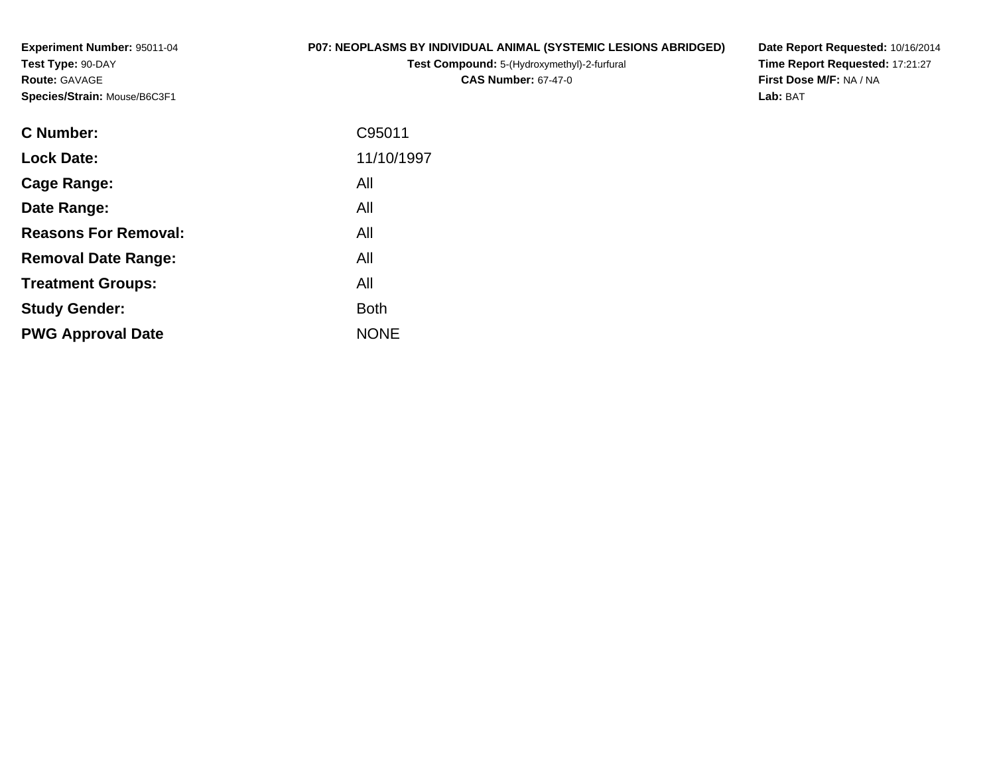**Experiment Number:** 95011-04**Test Type:** 90-DAY**Route:** GAVAGE**Species/Strain:** Mouse/B6C3F1

# **P07: NEOPLASMS BY INDIVIDUAL ANIMAL (SYSTEMIC LESIONS ABRIDGED)**

**Test Compound:** 5-(Hydroxymethyl)-2-furfural **CAS Number:** 67-47-0

**Date Report Requested:** 10/16/2014 **Time Report Requested:** 17:21:27**First Dose M/F:** NA / NA**Lab:** BAT

| <b>Lock Date:</b><br>All<br>Cage Range:<br>All<br>Date Range:<br><b>Reasons For Removal:</b><br>All<br>All<br><b>Removal Date Range:</b><br>All<br><b>Treatment Groups:</b><br><b>Both</b><br><b>Study Gender:</b><br><b>NONE</b><br><b>PWG Approval Date</b> | <b>C</b> Number: | C95011     |
|---------------------------------------------------------------------------------------------------------------------------------------------------------------------------------------------------------------------------------------------------------------|------------------|------------|
|                                                                                                                                                                                                                                                               |                  | 11/10/1997 |
|                                                                                                                                                                                                                                                               |                  |            |
|                                                                                                                                                                                                                                                               |                  |            |
|                                                                                                                                                                                                                                                               |                  |            |
|                                                                                                                                                                                                                                                               |                  |            |
|                                                                                                                                                                                                                                                               |                  |            |
|                                                                                                                                                                                                                                                               |                  |            |
|                                                                                                                                                                                                                                                               |                  |            |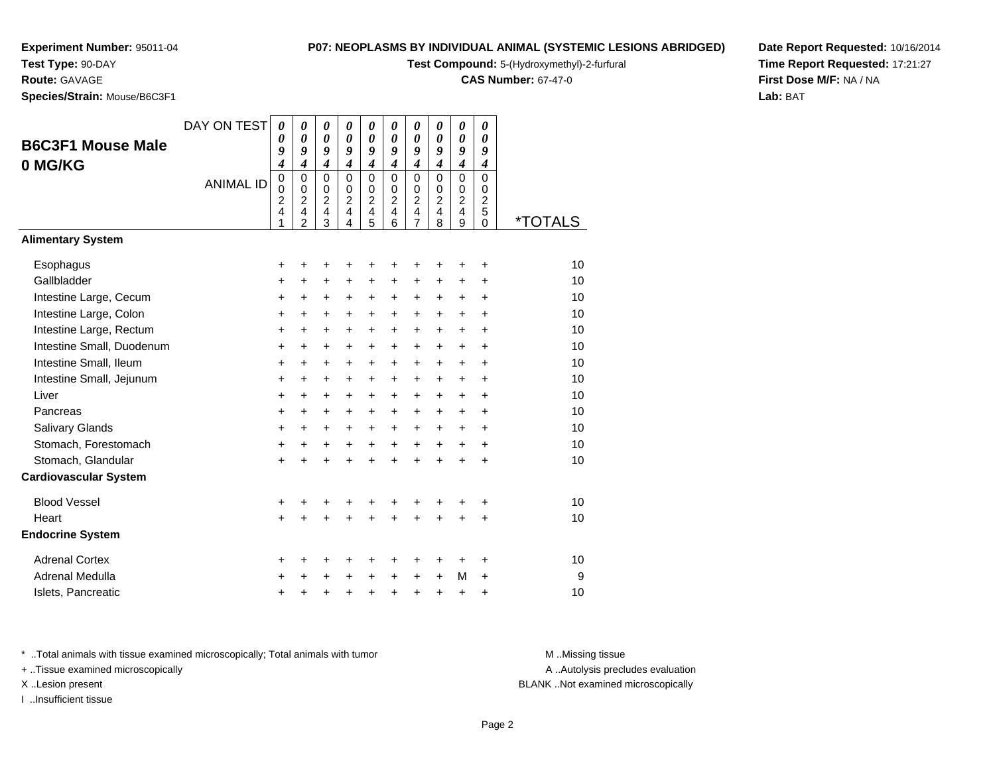# **Test Type:** 90-DAY

**Route:** GAVAGE

**Species/Strain:** Mouse/B6C3F1

## **P07: NEOPLASMS BY INDIVIDUAL ANIMAL (SYSTEMIC LESIONS ABRIDGED)**

**Test Compound:** 5-(Hydroxymethyl)-2-furfural

**CAS Number:** 67-47-0

**Date Report Requested:** 10/16/2014**Time Report Requested:** 17:21:27**First Dose M/F:** NA / NA**Lab:** BAT

| <b>B6C3F1 Mouse Male</b><br>0 MG/KG | DAY ON TEST<br><b>ANIMAL ID</b> | $\boldsymbol{\theta}$<br>0<br>9<br>$\boldsymbol{4}$<br>$\mathbf 0$<br>0<br>$\overline{c}$<br>4<br>1 | 0<br>0<br>9<br>$\overline{\boldsymbol{4}}$<br>$\mathbf 0$<br>0<br>$\boldsymbol{2}$<br>4<br>$\overline{2}$ | 0<br>$\boldsymbol{\theta}$<br>9<br>$\boldsymbol{4}$<br>$\mathbf 0$<br>0<br>$\overline{c}$<br>4<br>3 | $\boldsymbol{\theta}$<br>$\boldsymbol{\theta}$<br>9<br>$\boldsymbol{4}$<br>$\Omega$<br>$\mathbf 0$<br>$\overline{c}$<br>4<br>4 | 0<br>$\boldsymbol{\theta}$<br>9<br>$\boldsymbol{4}$<br>$\mathbf 0$<br>$\mathbf 0$<br>$\overline{c}$<br>$\overline{4}$<br>5 | 0<br>$\boldsymbol{\theta}$<br>9<br>$\boldsymbol{4}$<br>$\Omega$<br>0<br>$\overline{c}$<br>$\overline{4}$<br>6 | 0<br>0<br>9<br>$\boldsymbol{4}$<br>$\mathbf 0$<br>$\boldsymbol{0}$<br>$\overline{c}$<br>4<br>7 | 0<br>$\boldsymbol{\theta}$<br>9<br>$\boldsymbol{4}$<br>$\Omega$<br>$\mathbf 0$<br>$\overline{2}$<br>4<br>8 | 0<br>$\boldsymbol{\theta}$<br>9<br>$\boldsymbol{4}$<br>$\mathbf 0$<br>0<br>$\overline{c}$<br>$\overline{4}$<br>9 | 0<br>0<br>9<br>$\boldsymbol{4}$<br>$\mathbf 0$<br>$\mathbf 0$<br>$\overline{2}$<br>5<br>$\Omega$ | <i><b>*TOTALS</b></i> |
|-------------------------------------|---------------------------------|-----------------------------------------------------------------------------------------------------|-----------------------------------------------------------------------------------------------------------|-----------------------------------------------------------------------------------------------------|--------------------------------------------------------------------------------------------------------------------------------|----------------------------------------------------------------------------------------------------------------------------|---------------------------------------------------------------------------------------------------------------|------------------------------------------------------------------------------------------------|------------------------------------------------------------------------------------------------------------|------------------------------------------------------------------------------------------------------------------|--------------------------------------------------------------------------------------------------|-----------------------|
| <b>Alimentary System</b>            |                                 |                                                                                                     |                                                                                                           |                                                                                                     |                                                                                                                                |                                                                                                                            |                                                                                                               |                                                                                                |                                                                                                            |                                                                                                                  |                                                                                                  |                       |
| Esophagus                           |                                 | +                                                                                                   | +                                                                                                         | +                                                                                                   | +                                                                                                                              | +                                                                                                                          | +                                                                                                             | +                                                                                              | +                                                                                                          | +                                                                                                                | +                                                                                                | 10                    |
| Gallbladder                         |                                 | +                                                                                                   | $\ddot{}$                                                                                                 | $\ddot{}$                                                                                           | $\ddot{}$                                                                                                                      | $\ddot{}$                                                                                                                  | $\ddot{}$                                                                                                     | $\ddot{}$                                                                                      | +                                                                                                          | $\ddot{}$                                                                                                        | $\ddot{}$                                                                                        | 10                    |
| Intestine Large, Cecum              |                                 | +                                                                                                   | +                                                                                                         | +                                                                                                   | +                                                                                                                              | +                                                                                                                          | +                                                                                                             | +                                                                                              | $\ddot{}$                                                                                                  | $\ddot{}$                                                                                                        | +                                                                                                | 10                    |
| Intestine Large, Colon              |                                 | +                                                                                                   | $\ddot{}$                                                                                                 | $\ddot{}$                                                                                           | $\ddot{}$                                                                                                                      | $\ddot{}$                                                                                                                  | $\ddot{}$                                                                                                     | +                                                                                              | $\ddot{}$                                                                                                  | $\ddot{}$                                                                                                        | $\ddot{}$                                                                                        | 10                    |
| Intestine Large, Rectum             |                                 | $\ddot{}$                                                                                           | $\ddot{}$                                                                                                 | $\ddot{}$                                                                                           | $\ddot{}$                                                                                                                      | $\ddot{}$                                                                                                                  | $\ddot{}$                                                                                                     | $\ddot{}$                                                                                      | $\ddot{}$                                                                                                  | $\ddot{}$                                                                                                        | $\ddot{}$                                                                                        | 10                    |
| Intestine Small, Duodenum           |                                 | $\ddot{}$                                                                                           | $\ddot{}$                                                                                                 | +                                                                                                   | $\ddot{}$                                                                                                                      | $\ddot{}$                                                                                                                  | $\ddot{}$                                                                                                     | +                                                                                              | $\ddot{}$                                                                                                  | $\ddot{}$                                                                                                        | $\ddot{}$                                                                                        | 10                    |
| Intestine Small, Ileum              |                                 | +                                                                                                   | +                                                                                                         | +                                                                                                   | +                                                                                                                              | $\ddot{}$                                                                                                                  | $\ddot{}$                                                                                                     | +                                                                                              | +                                                                                                          | +                                                                                                                | +                                                                                                | 10                    |
| Intestine Small, Jejunum            |                                 | +                                                                                                   | $\ddot{}$                                                                                                 | +                                                                                                   | $\ddot{}$                                                                                                                      | $\ddot{}$                                                                                                                  | $\ddot{}$                                                                                                     | +                                                                                              | $\ddot{}$                                                                                                  | $\ddot{}$                                                                                                        | $\ddot{}$                                                                                        | 10                    |
| Liver                               |                                 | +                                                                                                   | +                                                                                                         | $\ddot{}$                                                                                           | $\ddot{}$                                                                                                                      | $\ddot{}$                                                                                                                  | +                                                                                                             | +                                                                                              | +                                                                                                          | +                                                                                                                | $\ddot{}$                                                                                        | 10                    |
| Pancreas                            |                                 | $\ddot{}$                                                                                           | +                                                                                                         | $\ddot{}$                                                                                           | $\ddot{}$                                                                                                                      | $\ddot{}$                                                                                                                  | $\ddot{}$                                                                                                     | $\ddot{}$                                                                                      | $\ddot{}$                                                                                                  | $\ddot{}$                                                                                                        | $\ddot{}$                                                                                        | 10                    |
| Salivary Glands                     |                                 | +                                                                                                   | +                                                                                                         | +                                                                                                   | $\ddot{}$                                                                                                                      | $\ddot{}$                                                                                                                  | $\ddot{}$                                                                                                     | $\ddot{}$                                                                                      | $\ddot{}$                                                                                                  | +                                                                                                                | $\ddot{}$                                                                                        | 10                    |
| Stomach, Forestomach                |                                 | $\ddot{}$                                                                                           | $\ddot{}$                                                                                                 | +                                                                                                   | $\ddot{}$                                                                                                                      | $\ddot{}$                                                                                                                  | $\ddot{}$                                                                                                     | $\ddot{}$                                                                                      | $\ddot{}$                                                                                                  | $\ddot{}$                                                                                                        | $\ddot{}$                                                                                        | 10                    |
| Stomach, Glandular                  |                                 | $\ddot{}$                                                                                           | $\ddot{}$                                                                                                 | $\ddot{}$                                                                                           | $\ddot{}$                                                                                                                      | $\ddot{}$                                                                                                                  | $\ddot{}$                                                                                                     | $\ddot{}$                                                                                      | $\ddot{}$                                                                                                  | $\ddot{}$                                                                                                        | $\ddot{}$                                                                                        | 10                    |
| <b>Cardiovascular System</b>        |                                 |                                                                                                     |                                                                                                           |                                                                                                     |                                                                                                                                |                                                                                                                            |                                                                                                               |                                                                                                |                                                                                                            |                                                                                                                  |                                                                                                  |                       |
| <b>Blood Vessel</b>                 |                                 | +                                                                                                   | +                                                                                                         | +                                                                                                   |                                                                                                                                |                                                                                                                            |                                                                                                               | +                                                                                              |                                                                                                            | +                                                                                                                | +                                                                                                | 10                    |
| Heart                               |                                 | $\ddot{}$                                                                                           | +                                                                                                         | +                                                                                                   |                                                                                                                                |                                                                                                                            |                                                                                                               | Ł                                                                                              |                                                                                                            | +                                                                                                                | $\ddot{}$                                                                                        | 10                    |
| <b>Endocrine System</b>             |                                 |                                                                                                     |                                                                                                           |                                                                                                     |                                                                                                                                |                                                                                                                            |                                                                                                               |                                                                                                |                                                                                                            |                                                                                                                  |                                                                                                  |                       |
| <b>Adrenal Cortex</b>               |                                 | +                                                                                                   | ٠                                                                                                         | +                                                                                                   | +                                                                                                                              | +                                                                                                                          | ٠                                                                                                             | +                                                                                              | ٠                                                                                                          | +                                                                                                                | +                                                                                                | 10                    |
| Adrenal Medulla                     |                                 | +                                                                                                   |                                                                                                           | +                                                                                                   | +                                                                                                                              | $\ddot{}$                                                                                                                  | $\ddot{}$                                                                                                     | +                                                                                              | $\ddot{}$                                                                                                  | М                                                                                                                | $\ddot{}$                                                                                        | 9                     |
| Islets, Pancreatic                  |                                 | +                                                                                                   | +                                                                                                         | +                                                                                                   | +                                                                                                                              | $\ddot{}$                                                                                                                  | $\ddot{}$                                                                                                     | +                                                                                              | $\ddot{}$                                                                                                  | +                                                                                                                | +                                                                                                | 10                    |

\* ..Total animals with tissue examined microscopically; Total animals with tumor **M** . Missing tissue M ..Missing tissue

+ ..Tissue examined microscopically

I ..Insufficient tissue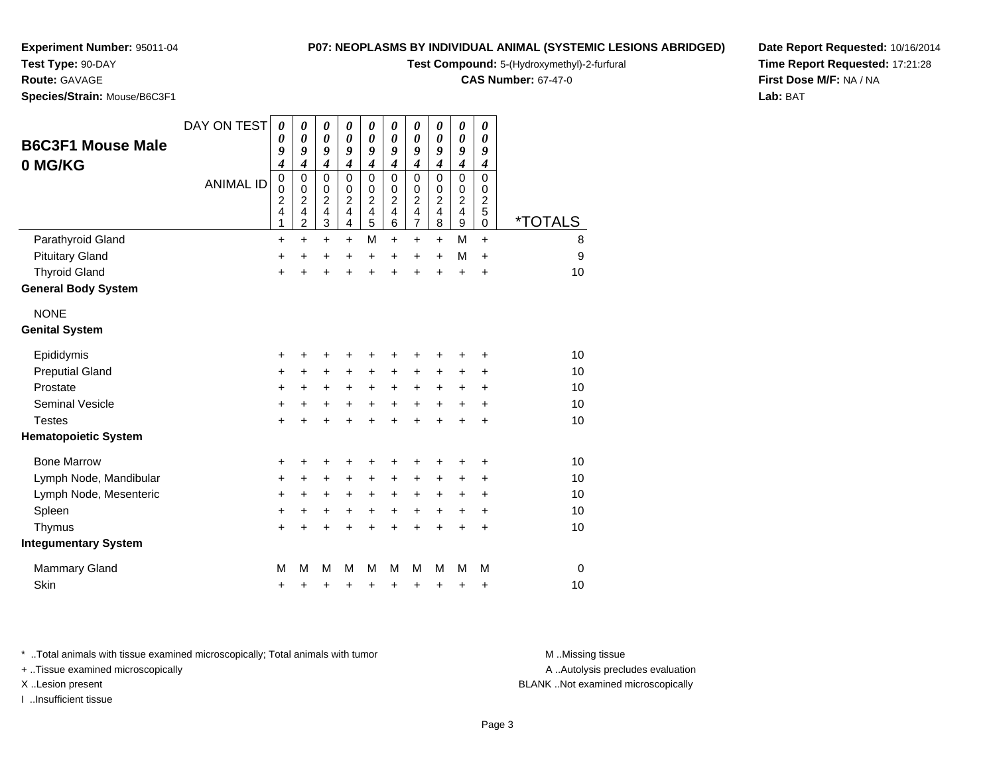# **Test Type:** 90-DAY

**Route:** GAVAGE

**Species/Strain:** Mouse/B6C3F1

#### **P07: NEOPLASMS BY INDIVIDUAL ANIMAL (SYSTEMIC LESIONS ABRIDGED)**

**Test Compound:** 5-(Hydroxymethyl)-2-furfural

**CAS Number:** 67-47-0

**Date Report Requested:** 10/16/2014**Time Report Requested:** 17:21:28**First Dose M/F:** NA / NA**Lab:** BAT

| <b>B6C3F1 Mouse Male</b>    | DAY ON TEST      | 0<br>0                                              | 0<br>0                                                                          | 0<br>$\boldsymbol{\theta}$                                                 | 0<br>0                                                             | 0<br>0                                                                                      | 0<br>0                                                                    | $\boldsymbol{\theta}$<br>$\boldsymbol{\theta}$                                          | 0<br>0                                                                    | 0<br>$\boldsymbol{\theta}$                                                    | 0<br>0                                                        |                       |
|-----------------------------|------------------|-----------------------------------------------------|---------------------------------------------------------------------------------|----------------------------------------------------------------------------|--------------------------------------------------------------------|---------------------------------------------------------------------------------------------|---------------------------------------------------------------------------|-----------------------------------------------------------------------------------------|---------------------------------------------------------------------------|-------------------------------------------------------------------------------|---------------------------------------------------------------|-----------------------|
|                             |                  | 9<br>4                                              | 9<br>$\boldsymbol{4}$                                                           | 9<br>$\boldsymbol{4}$                                                      | 9<br>4                                                             | 9<br>$\boldsymbol{4}$                                                                       | 9<br>4                                                                    | 9<br>$\boldsymbol{4}$                                                                   | 9<br>$\boldsymbol{4}$                                                     | 9<br>$\boldsymbol{4}$                                                         | 9<br>$\boldsymbol{4}$                                         |                       |
| 0 MG/KG                     | <b>ANIMAL ID</b> | 0<br>$\pmb{0}$<br>$\overline{\mathbf{c}}$<br>4<br>1 | 0<br>$\mathbf 0$<br>$\overline{c}$<br>$\overline{\mathbf{4}}$<br>$\overline{c}$ | $\mathbf 0$<br>$\pmb{0}$<br>$\overline{c}$<br>$\overline{\mathbf{4}}$<br>3 | 0<br>$\mathbf 0$<br>$\overline{c}$<br>$\overline{\mathbf{4}}$<br>4 | $\mathbf 0$<br>$\mathbf 0$<br>$\boldsymbol{2}$<br>$\overline{\mathbf{4}}$<br>$\overline{5}$ | $\Omega$<br>$\mathbf 0$<br>$\overline{c}$<br>$\overline{\mathbf{4}}$<br>6 | $\mathbf 0$<br>$\pmb{0}$<br>$\overline{c}$<br>$\overline{\mathbf{4}}$<br>$\overline{7}$ | $\Omega$<br>$\mathbf 0$<br>$\overline{c}$<br>$\overline{\mathbf{4}}$<br>8 | $\mathbf 0$<br>$\begin{array}{c} 0 \\ 2 \\ 4 \end{array}$<br>$\boldsymbol{9}$ | $\Omega$<br>$\mathbf 0$<br>$\overline{c}$<br>5<br>$\mathbf 0$ | <i><b>*TOTALS</b></i> |
| Parathyroid Gland           |                  | $\ddot{}$                                           | $\ddot{}$                                                                       | $\ddot{}$                                                                  | +                                                                  | M                                                                                           | $\ddot{}$                                                                 | $\ddot{}$                                                                               | $\ddot{}$                                                                 | M                                                                             | $+$                                                           | 8                     |
| <b>Pituitary Gland</b>      |                  | +                                                   | $\ddot{}$                                                                       | +                                                                          | +                                                                  | +                                                                                           | $\ddot{}$                                                                 | $\ddot{}$                                                                               | $\ddot{}$                                                                 | M                                                                             | $\ddot{}$                                                     | 9                     |
| <b>Thyroid Gland</b>        |                  | $\ddot{}$                                           | $\ddot{}$                                                                       | $\ddot{}$                                                                  | $\ddot{}$                                                          | $\ddot{}$                                                                                   | $\ddot{}$                                                                 | $\ddot{}$                                                                               | $\ddot{}$                                                                 | $\ddot{}$                                                                     | $\ddot{}$                                                     | 10                    |
| <b>General Body System</b>  |                  |                                                     |                                                                                 |                                                                            |                                                                    |                                                                                             |                                                                           |                                                                                         |                                                                           |                                                                               |                                                               |                       |
| <b>NONE</b>                 |                  |                                                     |                                                                                 |                                                                            |                                                                    |                                                                                             |                                                                           |                                                                                         |                                                                           |                                                                               |                                                               |                       |
| <b>Genital System</b>       |                  |                                                     |                                                                                 |                                                                            |                                                                    |                                                                                             |                                                                           |                                                                                         |                                                                           |                                                                               |                                                               |                       |
| Epididymis                  |                  | +                                                   | +                                                                               | +                                                                          | +                                                                  | +                                                                                           | +                                                                         | +                                                                                       | +                                                                         | +                                                                             | ٠                                                             | 10                    |
| <b>Preputial Gland</b>      |                  | $\ddot{}$                                           | $\ddot{}$                                                                       | $\ddot{}$                                                                  | $\ddot{}$                                                          | $\ddot{}$                                                                                   | $\ddot{}$                                                                 | +                                                                                       | $\ddot{}$                                                                 | +                                                                             | $\ddot{}$                                                     | 10                    |
| Prostate                    |                  | $\ddot{}$                                           | +                                                                               | $\ddot{}$                                                                  | $\ddot{}$                                                          | $\ddot{}$                                                                                   | $\ddot{}$                                                                 | $\ddot{}$                                                                               | $\ddot{}$                                                                 | +                                                                             | $\ddot{}$                                                     | 10                    |
| <b>Seminal Vesicle</b>      |                  | +                                                   | +                                                                               | +                                                                          | +                                                                  | +                                                                                           | +                                                                         | +                                                                                       | $\ddot{}$                                                                 | +                                                                             | $\ddot{}$                                                     | 10                    |
| <b>Testes</b>               |                  | +                                                   |                                                                                 | $\ddot{}$                                                                  | $\ddot{}$                                                          | $\ddot{}$                                                                                   | $\ddot{}$                                                                 | $\ddot{}$                                                                               | $\ddot{}$                                                                 | $\ddot{}$                                                                     | $\ddot{}$                                                     | 10                    |
| <b>Hematopoietic System</b> |                  |                                                     |                                                                                 |                                                                            |                                                                    |                                                                                             |                                                                           |                                                                                         |                                                                           |                                                                               |                                                               |                       |
| <b>Bone Marrow</b>          |                  | +                                                   |                                                                                 | +                                                                          | +                                                                  | +                                                                                           | +                                                                         | +                                                                                       | +                                                                         | +                                                                             | +                                                             | 10                    |
| Lymph Node, Mandibular      |                  | +                                                   | +                                                                               | $\ddot{}$                                                                  | $\pm$                                                              | $\ddot{}$                                                                                   | +                                                                         | +                                                                                       | +                                                                         | $\pm$                                                                         | +                                                             | 10                    |
| Lymph Node, Mesenteric      |                  | +                                                   | +                                                                               | +                                                                          | +                                                                  | +                                                                                           | +                                                                         | +                                                                                       | $\ddot{}$                                                                 | $\pm$                                                                         | +                                                             | 10                    |
| Spleen                      |                  | $\ddot{}$                                           | +                                                                               | +                                                                          | +                                                                  | +                                                                                           | +                                                                         | $\ddot{}$                                                                               | $\ddot{}$                                                                 | $\pm$                                                                         | $\ddot{}$                                                     | 10                    |
| Thymus                      |                  | $\pm$                                               | +                                                                               | +                                                                          | +                                                                  | $\ddot{}$                                                                                   | $\ddot{}$                                                                 | $\ddot{}$                                                                               | $\ddot{}$                                                                 | $\ddot{}$                                                                     | $\ddot{}$                                                     | 10                    |
| <b>Integumentary System</b> |                  |                                                     |                                                                                 |                                                                            |                                                                    |                                                                                             |                                                                           |                                                                                         |                                                                           |                                                                               |                                                               |                       |
| <b>Mammary Gland</b>        |                  | M                                                   | М                                                                               | M                                                                          | М                                                                  | M                                                                                           | М                                                                         | М                                                                                       | М                                                                         | M                                                                             | M                                                             | $\mathbf 0$           |
| Skin                        |                  | +                                                   | +                                                                               | +                                                                          | +                                                                  | +                                                                                           | +                                                                         | +                                                                                       | +                                                                         | +                                                                             | +                                                             | 10                    |

\* ..Total animals with tissue examined microscopically; Total animals with tumor **M** . Missing tissue M ..Missing tissue

+ ..Tissue examined microscopically

I ..Insufficient tissue

A ..Autolysis precludes evaluation

X ..Lesion present BLANK ..Not examined microscopically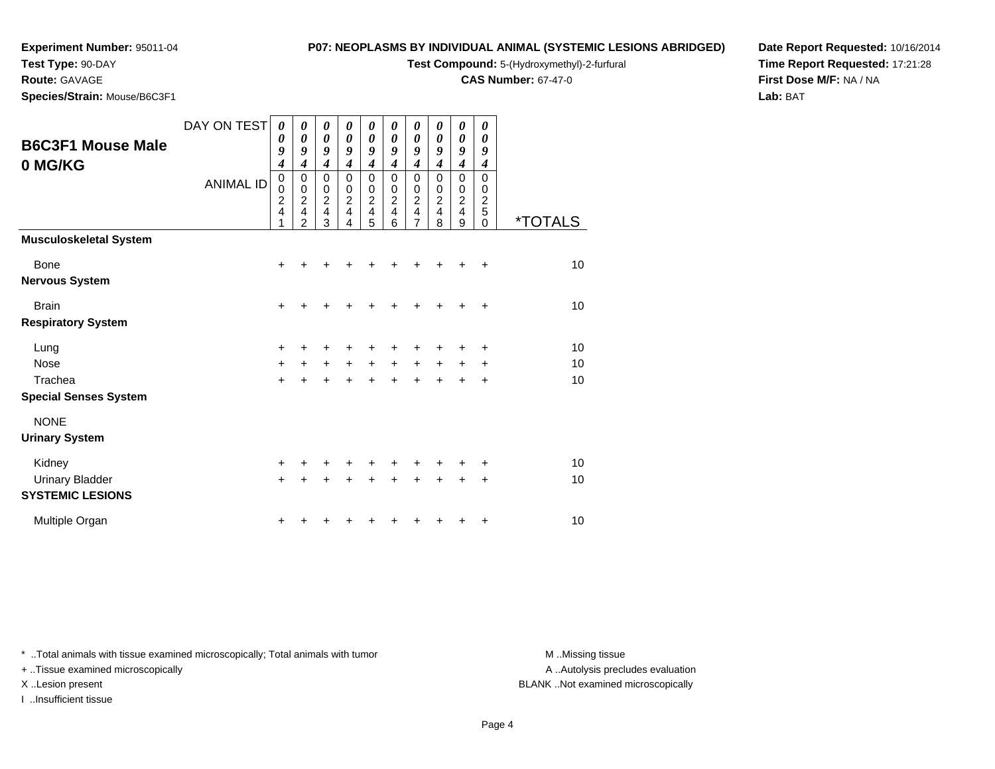**Test Type:** 90-DAY

# **Route:** GAVAGE

**Species/Strain:** Mouse/B6C3F1

## **P07: NEOPLASMS BY INDIVIDUAL ANIMAL (SYSTEMIC LESIONS ABRIDGED)**

**Test Compound:** 5-(Hydroxymethyl)-2-furfural

**CAS Number:** 67-47-0

**Date Report Requested:** 10/16/2014**Time Report Requested:** 17:21:28**First Dose M/F:** NA / NA**Lab:** BAT

|                                                   | DAY ON TEST      | 0<br>0                                       | 0<br>0                                                    | 0<br>$\boldsymbol{\theta}$                                                   | 0<br>0                                                 | 0<br>$\boldsymbol{\theta}$                                                 | 0<br>0                                       | 0<br>0                                                                | 0<br>0                             | 0<br>$\pmb{\theta}$                          | 0<br>0                                       |                       |
|---------------------------------------------------|------------------|----------------------------------------------|-----------------------------------------------------------|------------------------------------------------------------------------------|--------------------------------------------------------|----------------------------------------------------------------------------|----------------------------------------------|-----------------------------------------------------------------------|------------------------------------|----------------------------------------------|----------------------------------------------|-----------------------|
| <b>B6C3F1 Mouse Male</b><br>0 MG/KG               |                  | 9<br>$\boldsymbol{4}$                        | 9<br>$\overline{4}$                                       | 9<br>$\overline{\boldsymbol{4}}$                                             | 9<br>$\boldsymbol{4}$                                  | 9<br>$\boldsymbol{4}$                                                      | 9<br>$\boldsymbol{4}$                        | 9<br>$\boldsymbol{4}$                                                 | 9<br>$\boldsymbol{4}$              | 9<br>$\overline{\boldsymbol{4}}$             | 9<br>$\boldsymbol{4}$                        |                       |
|                                                   | <b>ANIMAL ID</b> | $\mathbf 0$<br>0<br>$\overline{2}$<br>4<br>1 | 0<br>$\mathbf 0$<br>$\overline{c}$<br>4<br>$\overline{2}$ | $\mathbf 0$<br>$\mathbf 0$<br>$\overline{2}$<br>$\overline{\mathbf{4}}$<br>3 | $\mathbf 0$<br>$\mathbf 0$<br>$\overline{2}$<br>4<br>4 | $\mathbf 0$<br>$\pmb{0}$<br>$\overline{2}$<br>$\overline{\mathbf{4}}$<br>5 | $\mathbf 0$<br>0<br>$\overline{2}$<br>4<br>6 | 0<br>0<br>$\overline{c}$<br>$\overline{\mathbf{4}}$<br>$\overline{7}$ | 0<br>0<br>$\overline{c}$<br>4<br>8 | $\mathbf 0$<br>0<br>$\overline{2}$<br>4<br>9 | $\mathbf 0$<br>0<br>$\overline{c}$<br>5<br>0 | <i><b>*TOTALS</b></i> |
| <b>Musculoskeletal System</b>                     |                  |                                              |                                                           |                                                                              |                                                        |                                                                            |                                              |                                                                       |                                    |                                              |                                              |                       |
| <b>Bone</b><br><b>Nervous System</b>              |                  | $\ddot{}$                                    |                                                           |                                                                              |                                                        |                                                                            |                                              |                                                                       |                                    |                                              | ÷                                            | 10                    |
| <b>Brain</b><br><b>Respiratory System</b>         |                  | +                                            |                                                           |                                                                              |                                                        |                                                                            |                                              | +                                                                     |                                    |                                              | $\ddot{}$                                    | 10                    |
| Lung                                              |                  | +                                            |                                                           |                                                                              |                                                        | +                                                                          | +                                            | +                                                                     |                                    | ٠                                            | ٠                                            | 10                    |
| Nose<br>Trachea                                   |                  | $\ddot{}$<br>$\ddot{}$                       | $\ddot{}$                                                 | $\ddot{}$                                                                    | $\ddot{}$<br>$\ddot{}$                                 | $\ddot{}$<br>$\ddot{}$                                                     | $\ddot{}$<br>$\ddot{}$                       | $\ddot{}$<br>$\ddot{}$                                                | $\ddot{}$<br>$\ddot{}$             | $\pm$<br>$\ddot{}$                           | ÷<br>$\ddot{}$                               | 10<br>10              |
| <b>Special Senses System</b>                      |                  |                                              |                                                           |                                                                              |                                                        |                                                                            |                                              |                                                                       |                                    |                                              |                                              |                       |
| <b>NONE</b>                                       |                  |                                              |                                                           |                                                                              |                                                        |                                                                            |                                              |                                                                       |                                    |                                              |                                              |                       |
| <b>Urinary System</b>                             |                  |                                              |                                                           |                                                                              |                                                        |                                                                            |                                              |                                                                       |                                    |                                              |                                              |                       |
| Kidney                                            |                  | +                                            |                                                           |                                                                              |                                                        |                                                                            |                                              |                                                                       |                                    |                                              |                                              | 10                    |
| <b>Urinary Bladder</b><br><b>SYSTEMIC LESIONS</b> |                  | $\ddot{}$                                    |                                                           |                                                                              |                                                        | +                                                                          | ÷                                            | +                                                                     | +                                  | +                                            | +                                            | 10                    |
| Multiple Organ                                    |                  |                                              |                                                           |                                                                              |                                                        |                                                                            |                                              |                                                                       |                                    |                                              | +                                            | 10                    |

\* ..Total animals with tissue examined microscopically; Total animals with tumor **M** . Missing tissue M ..Missing tissue

+ ..Tissue examined microscopically

I ..Insufficient tissue

A ..Autolysis precludes evaluation

X ..Lesion present BLANK ..Not examined microscopically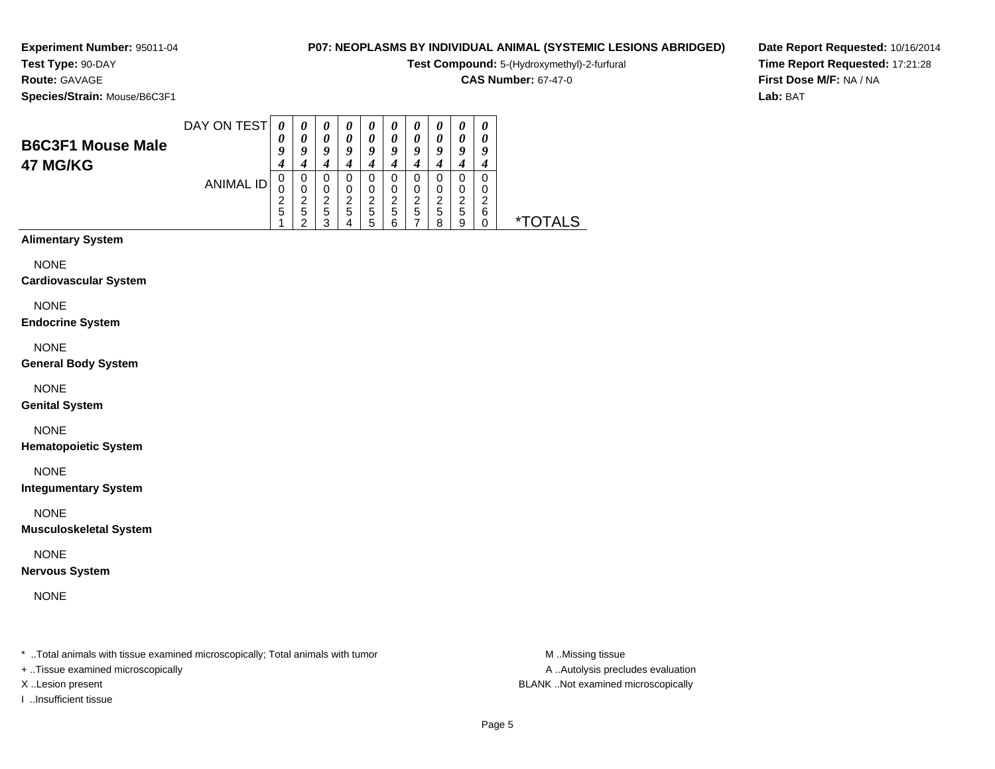# **Test Type:** 90-DAY

**Route:** GAVAGE

**Species/Strain:** Mouse/B6C3F1

# **P07: NEOPLASMS BY INDIVIDUAL ANIMAL (SYSTEMIC LESIONS ABRIDGED)**

**Test Compound:** 5-(Hydroxymethyl)-2-furfural

**CAS Number:** 67-47-0

**Date Report Requested:** 10/16/2014**Time Report Requested:** 17:21:28**First Dose M/F:** NA / NA**Lab:** BAT

| <b>B6C3F1 Mouse Male</b><br>47 MG/KG | DAY ON TEST      | 0<br>0      | $\boldsymbol{\theta}$<br>0 | $\boldsymbol{\theta}$<br>0<br>q | $\boldsymbol{\theta}$<br>0 | $\boldsymbol{\theta}$<br>$\theta$<br>Q | $\boldsymbol{\theta}$<br>$\boldsymbol{\theta}$<br>u | $\boldsymbol{\theta}$<br>$\boldsymbol{\theta}$<br>9 | U<br>$\boldsymbol{\mathit{u}}$<br>ч | $\boldsymbol{\theta}$<br>0<br>q | $\boldsymbol{\theta}$<br>0<br>у |    |
|--------------------------------------|------------------|-------------|----------------------------|---------------------------------|----------------------------|----------------------------------------|-----------------------------------------------------|-----------------------------------------------------|-------------------------------------|---------------------------------|---------------------------------|----|
|                                      | <b>ANIMAL ID</b> | 0<br>0<br>5 | 0<br>0<br>ີ<br>5           | O<br>0<br>◠<br>5<br>ົ           | ◠<br>5                     | 0<br>0<br>ົ<br>5<br>:5                 | 0<br>റ<br>5<br>ี                                    | 0<br>0<br>ົ<br>{<br>5                               | 0<br>0<br>റ<br>5<br>я               | 0<br>0<br>ົ<br>৴<br>5<br>9      | 0<br>0<br>◠<br>6                | ∗⊤ |

# **Alimentary System**

NONE

#### **Cardiovascular System**

NONE

#### **Endocrine System**

NONE

#### **General Body System**

NONE

#### **Genital System**

NONE

#### **Hematopoietic System**

NONE

#### **Integumentary System**

NONE

#### **Musculoskeletal System**

NONE

#### **Nervous System**

NONE

\* ..Total animals with tissue examined microscopically; Total animals with tumor **M** ..Missing tissue M ..Missing tissue

+ ..Tissue examined microscopically

I ..Insufficient tissue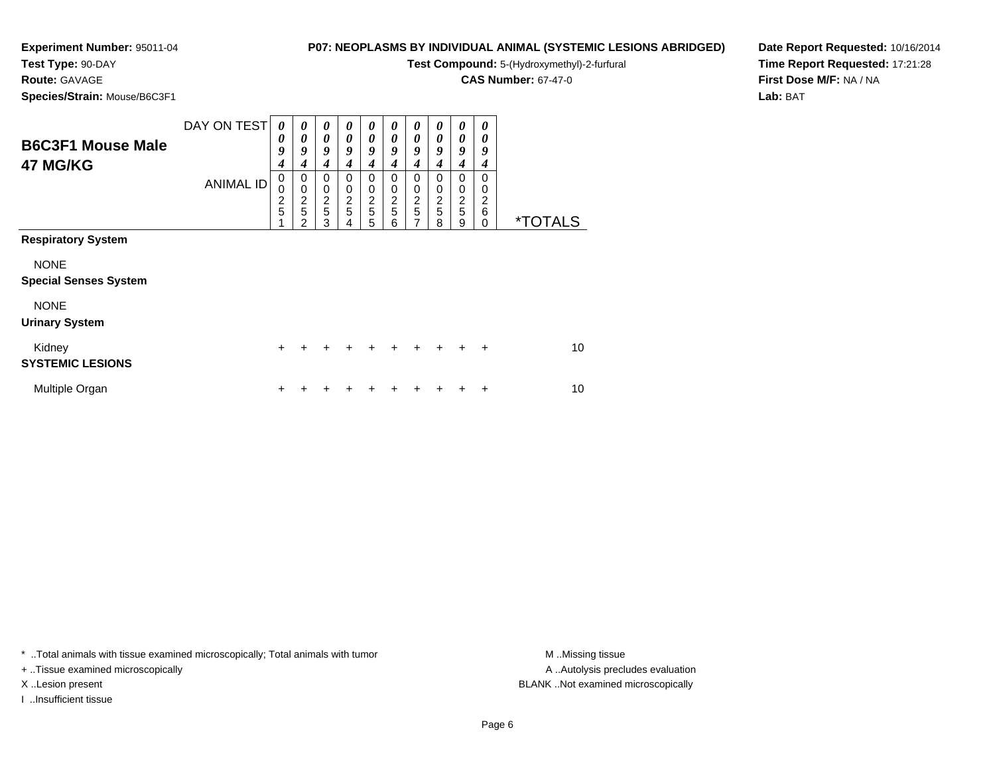# **Test Type:** 90-DAY

**Route:** GAVAGE

**Species/Strain:** Mouse/B6C3F1

# **P07: NEOPLASMS BY INDIVIDUAL ANIMAL (SYSTEMIC LESIONS ABRIDGED)**

**Test Compound:** 5-(Hydroxymethyl)-2-furfural

**CAS Number:** 67-47-0

**Date Report Requested:** 10/16/2014**Time Report Requested:** 17:21:28**First Dose M/F:** NA / NA**Lab:** BAT

| <b>B6C3F1 Mouse Male</b><br>47 MG/KG        | DAY ON TEST<br><b>ANIMAL ID</b> | $\boldsymbol{\theta}$<br>0<br>9<br>4<br>$\mathbf 0$<br>0<br>$\overline{c}$<br>5 | 0<br>$\boldsymbol{\theta}$<br>9<br>4<br>0<br>$\mathbf 0$<br>$\overline{\mathbf{c}}$<br>5<br>$\mathfrak{p}$ | $\boldsymbol{\theta}$<br>$\boldsymbol{\theta}$<br>9<br>4<br>0<br>$\mathbf 0$<br>$\overline{c}$<br>$\overline{5}$<br>3 | 0<br>0<br>9<br>4<br>$\Omega$<br>0<br>$\overline{c}$<br>5 | $\boldsymbol{\theta}$<br>0<br>9<br>4<br>$\Omega$<br>0<br>$\boldsymbol{2}$<br>5<br>5 | 0<br>0<br>9<br>4<br>0<br>0<br>$\overline{c}$<br>5<br>6 | 0<br>0<br>9<br>4<br>$\Omega$<br>0<br>$\frac{2}{5}$<br>7 | 0<br>0<br>9<br>4<br>0<br>0<br>$\frac{2}{5}$<br>8 | 0<br>0<br>9<br>4<br>0<br>0<br>$\frac{2}{5}$<br>9 | 0<br>0<br>9<br>4<br>0<br>0<br>2<br>6<br>0 | <i><b>*TOTALS</b></i> |
|---------------------------------------------|---------------------------------|---------------------------------------------------------------------------------|------------------------------------------------------------------------------------------------------------|-----------------------------------------------------------------------------------------------------------------------|----------------------------------------------------------|-------------------------------------------------------------------------------------|--------------------------------------------------------|---------------------------------------------------------|--------------------------------------------------|--------------------------------------------------|-------------------------------------------|-----------------------|
| <b>Respiratory System</b>                   |                                 |                                                                                 |                                                                                                            |                                                                                                                       |                                                          |                                                                                     |                                                        |                                                         |                                                  |                                                  |                                           |                       |
| <b>NONE</b><br><b>Special Senses System</b> |                                 |                                                                                 |                                                                                                            |                                                                                                                       |                                                          |                                                                                     |                                                        |                                                         |                                                  |                                                  |                                           |                       |
| <b>NONE</b><br><b>Urinary System</b>        |                                 |                                                                                 |                                                                                                            |                                                                                                                       |                                                          |                                                                                     |                                                        |                                                         |                                                  |                                                  |                                           |                       |
| Kidney<br><b>SYSTEMIC LESIONS</b>           |                                 | $\ddot{}$                                                                       |                                                                                                            |                                                                                                                       |                                                          | +                                                                                   | +                                                      | +                                                       |                                                  | ÷                                                | $\div$                                    | 10                    |
| Multiple Organ                              |                                 |                                                                                 |                                                                                                            |                                                                                                                       |                                                          |                                                                                     |                                                        |                                                         |                                                  |                                                  | ٠                                         | 10                    |

\* ..Total animals with tissue examined microscopically; Total animals with tumor **M** . Missing tissue M ..Missing tissue

+ ..Tissue examined microscopically

I ..Insufficient tissue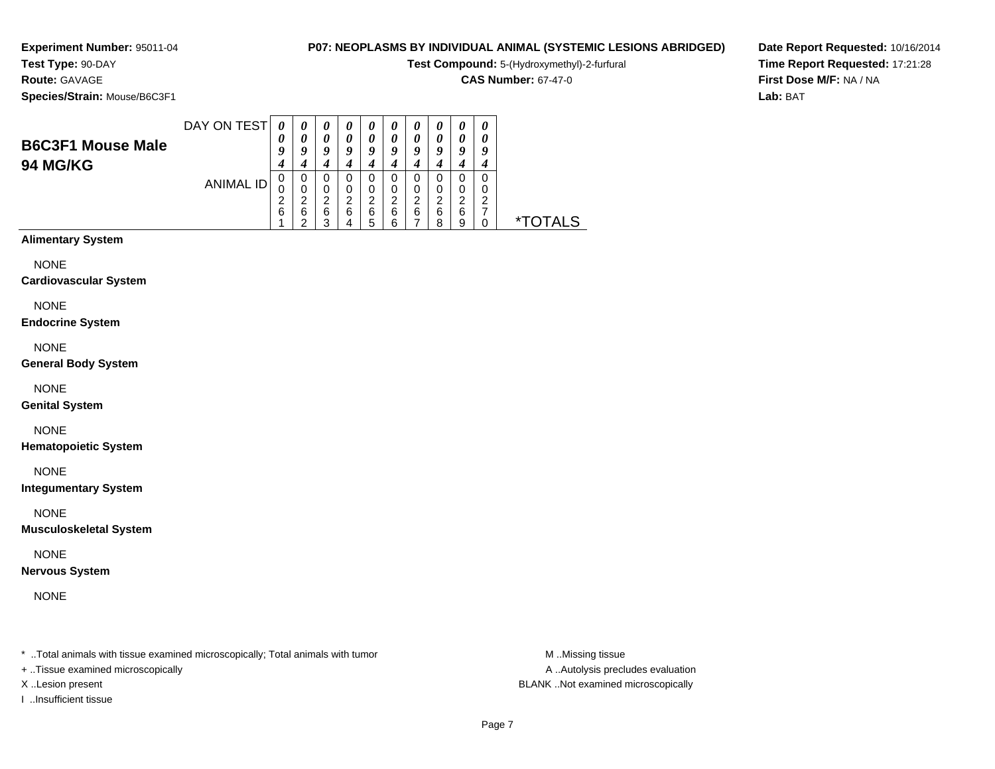### **Test Type:** 90-DAY**Route:** GAVAGE

**Species/Strain:** Mouse/B6C3F1

# **P07: NEOPLASMS BY INDIVIDUAL ANIMAL (SYSTEMIC LESIONS ABRIDGED)**

**Test Compound:** 5-(Hydroxymethyl)-2-furfural

**CAS Number:** 67-47-0

**Date Report Requested:** 10/16/2014**Time Report Requested:** 17:21:28**First Dose M/F:** NA / NA**Lab:** BAT

| <b>B6C3F1 Mouse Male</b><br><b>94 MG/KG</b> | DAY ON TEST      | 0<br>$\boldsymbol{\theta}$<br>O | $\boldsymbol{\theta}$<br>a | $\boldsymbol{\theta}$<br>O<br>q | $\boldsymbol{\theta}$<br>o | $\boldsymbol{\theta}$<br>O<br>q | $\boldsymbol{\theta}$<br>o | $\boldsymbol{\theta}$<br>$\theta$<br>q | $\boldsymbol{\theta}$<br>o | 0<br>0<br>o      | 0<br>0<br>9 |      |
|---------------------------------------------|------------------|---------------------------------|----------------------------|---------------------------------|----------------------------|---------------------------------|----------------------------|----------------------------------------|----------------------------|------------------|-------------|------|
|                                             | <b>ANIMAL ID</b> | 6                               | ◠<br>6                     | ີ<br>6<br>◠                     | ີ<br>6                     | ີ<br>6                          | ີ<br>6<br>ี                | ີ<br>6<br>–                            | ີ<br>6<br>ິດ               | 0<br>ີ<br>6<br>9 | 0<br>O<br>ີ | ALS. |

# **Alimentary System**

NONE

#### **Cardiovascular System**

NONE

#### **Endocrine System**

NONE

#### **General Body System**

NONE

#### **Genital System**

NONE

#### **Hematopoietic System**

NONE

#### **Integumentary System**

NONE

#### **Musculoskeletal System**

NONE

#### **Nervous System**

NONE

\* ..Total animals with tissue examined microscopically; Total animals with tumor **M** ...Missing tissue M ...Missing tissue

+ ..Tissue examined microscopically

I ..Insufficient tissue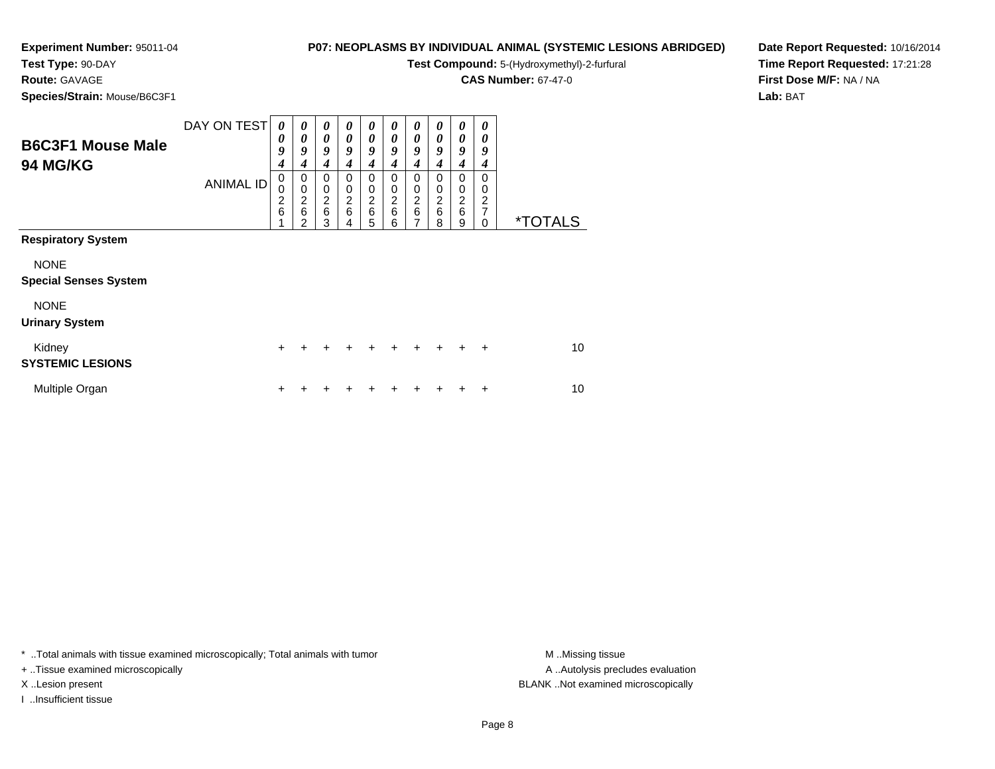# **Test Type:** 90-DAY

**Route:** GAVAGE

**Species/Strain:** Mouse/B6C3F1

# **P07: NEOPLASMS BY INDIVIDUAL ANIMAL (SYSTEMIC LESIONS ABRIDGED)**

**Test Compound:** 5-(Hydroxymethyl)-2-furfural

**CAS Number:** 67-47-0

**Date Report Requested:** 10/16/2014**Time Report Requested:** 17:21:28**First Dose M/F:** NA / NA**Lab:** BAT

| <b>B6C3F1 Mouse Male</b><br><b>94 MG/KG</b>                              | DAY ON TEST<br><b>ANIMAL ID</b> | $\boldsymbol{\theta}$<br>0<br>9<br>4<br>0<br>0<br>$\frac{2}{6}$ | $\boldsymbol{\theta}$<br>0<br>9<br>4<br>0<br>$\mathbf 0$<br>$\frac{2}{6}$<br>$\mathfrak{p}$ | 0<br>$\boldsymbol{\theta}$<br>9<br>$\boldsymbol{4}$<br>$\Omega$<br>$\pmb{0}$<br>$\frac{2}{6}$<br>3 | 0<br>0<br>9<br>4<br>0<br>$\mathbf 0$<br>$\overline{c}$<br>$6\phantom{1}6$<br>4 | 0<br>0<br>9<br>4<br>0<br>$\mathbf 0$<br>$\frac{2}{6}$<br>5 | 0<br>0<br>9<br>4<br>0<br>0<br>$\overline{c}$<br>6<br>6 | $\theta$<br>0<br>9<br>4<br>0<br>0<br>$\frac{2}{6}$<br>7 | 0<br>0<br>9<br>4<br>0<br>0<br>2<br>6<br>8 | 0<br>0<br>9<br>$\boldsymbol{4}$<br>0<br>0<br>$\frac{2}{6}$<br>9 | 0<br>0<br>9<br>4<br>0<br>0<br>2<br>$\overline{7}$<br>0 | <i><b>*TOTALS</b></i> |
|--------------------------------------------------------------------------|---------------------------------|-----------------------------------------------------------------|---------------------------------------------------------------------------------------------|----------------------------------------------------------------------------------------------------|--------------------------------------------------------------------------------|------------------------------------------------------------|--------------------------------------------------------|---------------------------------------------------------|-------------------------------------------|-----------------------------------------------------------------|--------------------------------------------------------|-----------------------|
| <b>Respiratory System</b><br><b>NONE</b><br><b>Special Senses System</b> |                                 |                                                                 |                                                                                             |                                                                                                    |                                                                                |                                                            |                                                        |                                                         |                                           |                                                                 |                                                        |                       |
| <b>NONE</b><br><b>Urinary System</b>                                     |                                 |                                                                 |                                                                                             |                                                                                                    |                                                                                |                                                            |                                                        |                                                         |                                           |                                                                 |                                                        |                       |
| Kidney<br><b>SYSTEMIC LESIONS</b>                                        |                                 | +                                                               |                                                                                             |                                                                                                    |                                                                                | +                                                          | +                                                      | +                                                       |                                           |                                                                 | $\div$                                                 | 10                    |
| Multiple Organ                                                           |                                 | +                                                               |                                                                                             |                                                                                                    |                                                                                |                                                            |                                                        |                                                         |                                           |                                                                 | +                                                      | 10                    |

\* ..Total animals with tissue examined microscopically; Total animals with tumor **M** . Missing tissue M ..Missing tissue

+ ..Tissue examined microscopically

I ..Insufficient tissue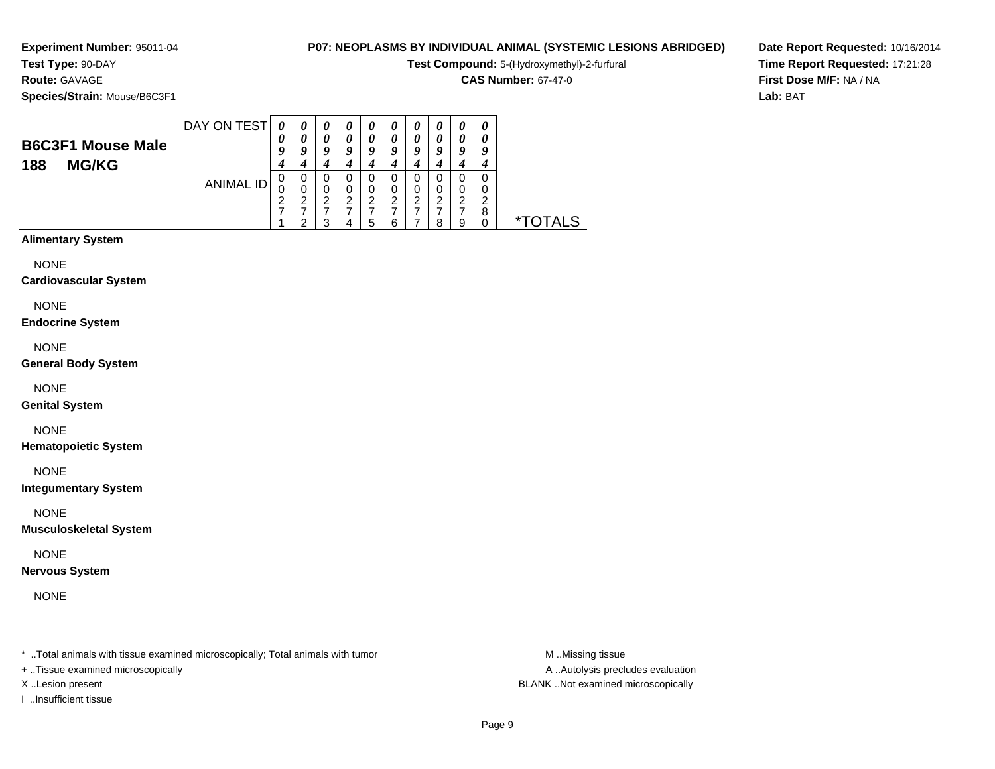# **Route:** GAVAGE

**Species/Strain:** Mouse/B6C3F1

## **P07: NEOPLASMS BY INDIVIDUAL ANIMAL (SYSTEMIC LESIONS ABRIDGED)**

**Test Compound:** 5-(Hydroxymethyl)-2-furfural

**CAS Number:** 67-47-0

**Date Report Requested:** 10/16/2014**Time Report Requested:** 17:21:28**First Dose M/F:** NA / NA**Lab:** BAT

| <b>B6C3F1 Mouse Male</b><br><b>MG/KG</b><br>188 | DAY ON TEST | U<br>ч           | $\boldsymbol{\theta}$<br>a | $\boldsymbol{\theta}$<br>Q | c.          | $\boldsymbol{\theta}$<br>O |             | Q           |                  | $\boldsymbol{\theta}$<br>0<br>o | U      |    |
|-------------------------------------------------|-------------|------------------|----------------------------|----------------------------|-------------|----------------------------|-------------|-------------|------------------|---------------------------------|--------|----|
|                                                 | ANIMAL ID   | υ<br>U<br>ົ<br>← | 0<br>0<br>◠<br>←<br>◠      | 0<br>0<br>っ<br>∠<br>າ      | 0<br>ີ<br>← | 0<br>ົ<br>∠<br>5           | ◠<br>ے<br>6 | 0<br>າ<br>∠ | O<br>ົ<br>←<br>ິ | 0<br>າ<br>∠<br>-<br>9           | ◠<br>8 | ∗⊤ |

# **Alimentary System**

NONE

#### **Cardiovascular System**

NONE

#### **Endocrine System**

NONE

#### **General Body System**

NONE

#### **Genital System**

NONE

#### **Hematopoietic System**

NONE

#### **Integumentary System**

NONE

#### **Musculoskeletal System**

NONE

#### **Nervous System**

NONE

\* ..Total animals with tissue examined microscopically; Total animals with tumor **M** ..Missing tissue M ..Missing tissue

+ ..Tissue examined microscopically

I ..Insufficient tissue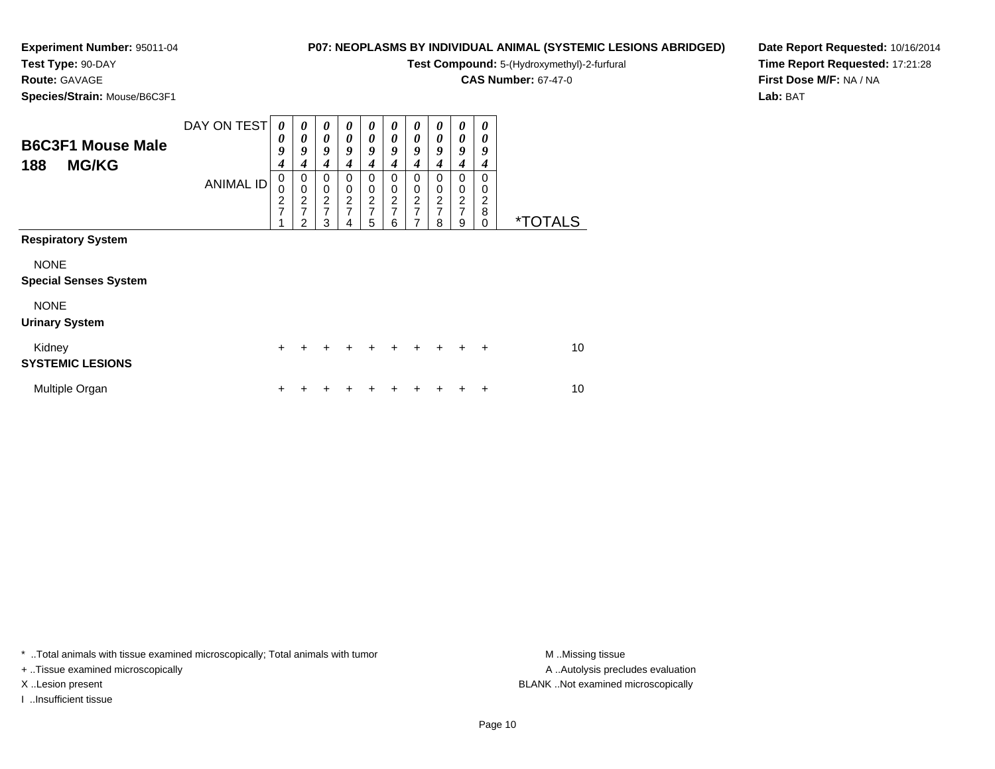# **Test Type:** 90-DAY

**Route:** GAVAGE

**Species/Strain:** Mouse/B6C3F1

# **P07: NEOPLASMS BY INDIVIDUAL ANIMAL (SYSTEMIC LESIONS ABRIDGED)**

**Test Compound:** 5-(Hydroxymethyl)-2-furfural

**CAS Number:** 67-47-0

**Date Report Requested:** 10/16/2014**Time Report Requested:** 17:21:28**First Dose M/F:** NA / NA**Lab:** BAT

| <b>B6C3F1 Mouse Male</b><br><b>MG/KG</b><br>188                                                                  | DAY ON TEST<br><b>ANIMAL ID</b> | 0<br>0<br>9<br>4<br>$\mathbf 0$<br>0<br>$\frac{2}{7}$ | 0<br>0<br>9<br>4<br>0<br>$\pmb{0}$<br>$\frac{2}{7}$<br>$\overline{2}$ | 0<br>$\boldsymbol{\theta}$<br>9<br>$\boldsymbol{4}$<br>0<br>$\pmb{0}$<br>$\frac{2}{7}$<br>3 | 0<br>$\boldsymbol{\theta}$<br>9<br>4<br>$\mathbf 0$<br>$\mathbf 0$<br>$\frac{2}{7}$<br>4 | 0<br>0<br>9<br>4<br>0<br>0<br>$\frac{2}{7}$<br>5 | 0<br>0<br>9<br>4<br>0<br>0<br>$\frac{2}{7}$<br>6 | 0<br>0<br>9<br>$\boldsymbol{4}$<br>0<br>$\pmb{0}$<br>$\frac{2}{7}$<br>7 | 0<br>0<br>9<br>4<br>0<br>$\mathbf 0$<br>$\frac{2}{7}$<br>8 | 0<br>0<br>9<br>4<br>0<br>0<br>$\frac{2}{7}$<br>9 | 0<br>0<br>9<br>4<br>0<br>0<br>2<br>8<br>$\Omega$ | <i><b>*TOTALS</b></i> |
|------------------------------------------------------------------------------------------------------------------|---------------------------------|-------------------------------------------------------|-----------------------------------------------------------------------|---------------------------------------------------------------------------------------------|------------------------------------------------------------------------------------------|--------------------------------------------------|--------------------------------------------------|-------------------------------------------------------------------------|------------------------------------------------------------|--------------------------------------------------|--------------------------------------------------|-----------------------|
| <b>Respiratory System</b><br><b>NONE</b><br><b>Special Senses System</b><br><b>NONE</b><br><b>Urinary System</b> |                                 |                                                       |                                                                       |                                                                                             |                                                                                          |                                                  |                                                  |                                                                         |                                                            |                                                  |                                                  |                       |
| Kidney<br><b>SYSTEMIC LESIONS</b>                                                                                |                                 | $\ddot{}$                                             |                                                                       |                                                                                             |                                                                                          |                                                  |                                                  |                                                                         |                                                            |                                                  | $\ddot{}$                                        | 10                    |
| Multiple Organ                                                                                                   |                                 | ٠                                                     |                                                                       |                                                                                             |                                                                                          |                                                  |                                                  |                                                                         |                                                            |                                                  | +                                                | 10                    |

\* ..Total animals with tissue examined microscopically; Total animals with tumor **M** . Missing tissue M ..Missing tissue

+ ..Tissue examined microscopically

I ..Insufficient tissue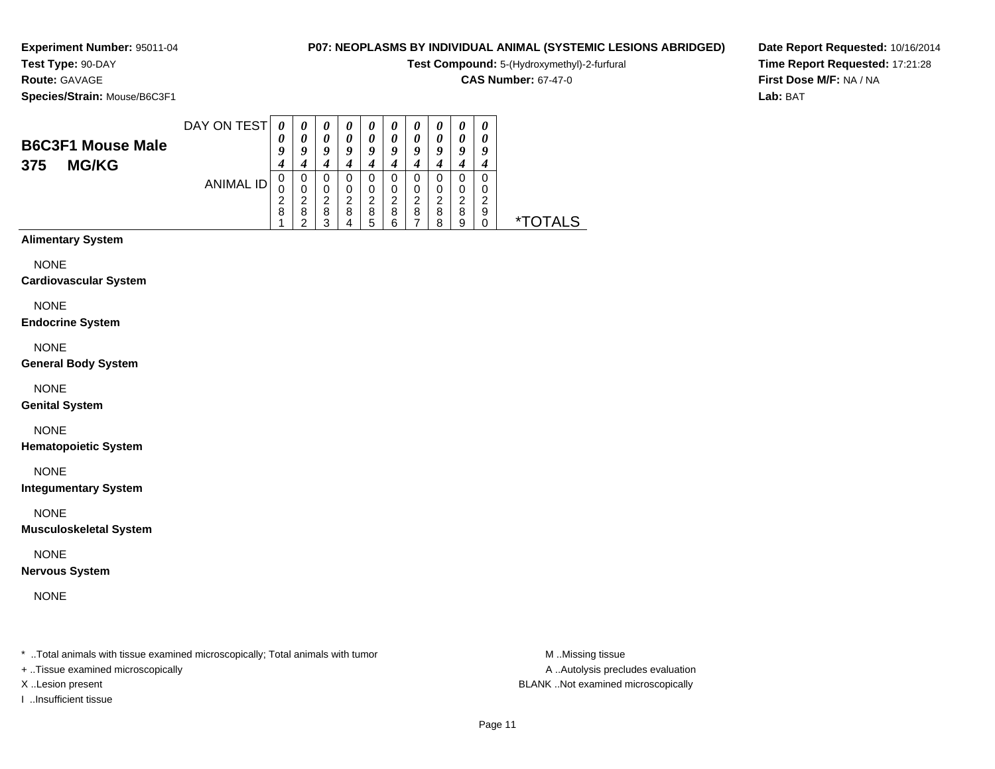# **Route:** GAVAGE

**Species/Strain:** Mouse/B6C3F1

# **P07: NEOPLASMS BY INDIVIDUAL ANIMAL (SYSTEMIC LESIONS ABRIDGED)**

**Test Compound:** 5-(Hydroxymethyl)-2-furfural

**CAS Number:** 67-47-0

**Date Report Requested:** 10/16/2014**Time Report Requested:** 17:21:28**First Dose M/F:** NA / NA**Lab:** BAT

| <b>B6C3F1 Mouse Male</b><br><b>MG/KG</b><br>375 | DAY ON TEST      | 0<br>0 | $\boldsymbol{\theta}$<br>0 | $\boldsymbol{\theta}$<br>$\theta$<br>a | $\boldsymbol{\theta}$<br>0 | $\boldsymbol{\theta}$<br>0<br>Q | U<br>U<br>u | U<br>$\boldsymbol{\theta}$<br>U | U<br>$\boldsymbol{\mathsf{u}}$<br>ч | $\boldsymbol{\theta}$<br>0<br>о | 0<br>U<br>ч      |     |
|-------------------------------------------------|------------------|--------|----------------------------|----------------------------------------|----------------------------|---------------------------------|-------------|---------------------------------|-------------------------------------|---------------------------------|------------------|-----|
|                                                 | <b>ANIMAL ID</b> | O<br>8 | 0<br>O<br>◠<br>8           | 0<br>O<br>ີ<br>8<br>c                  | O<br>ີ<br>8                | 0<br>0<br>ົ<br>8                | O<br>◠<br>8 | U<br>0<br>2<br>8                | O<br>O<br>ີ<br>8<br>8               | 0<br>0<br>ົ<br>8<br>9           | 0<br>0<br>◠<br>9 | ѫ ၂ |

## **Alimentary System**

NONE

#### **Cardiovascular System**

NONE

#### **Endocrine System**

NONE

#### **General Body System**

NONE

#### **Genital System**

NONE

#### **Hematopoietic System**

NONE

#### **Integumentary System**

NONE

#### **Musculoskeletal System**

NONE

#### **Nervous System**

NONE

\* ..Total animals with tissue examined microscopically; Total animals with tumor **M** ..Missing tissue M ..Missing tissue

+ ..Tissue examined microscopically

I ..Insufficient tissue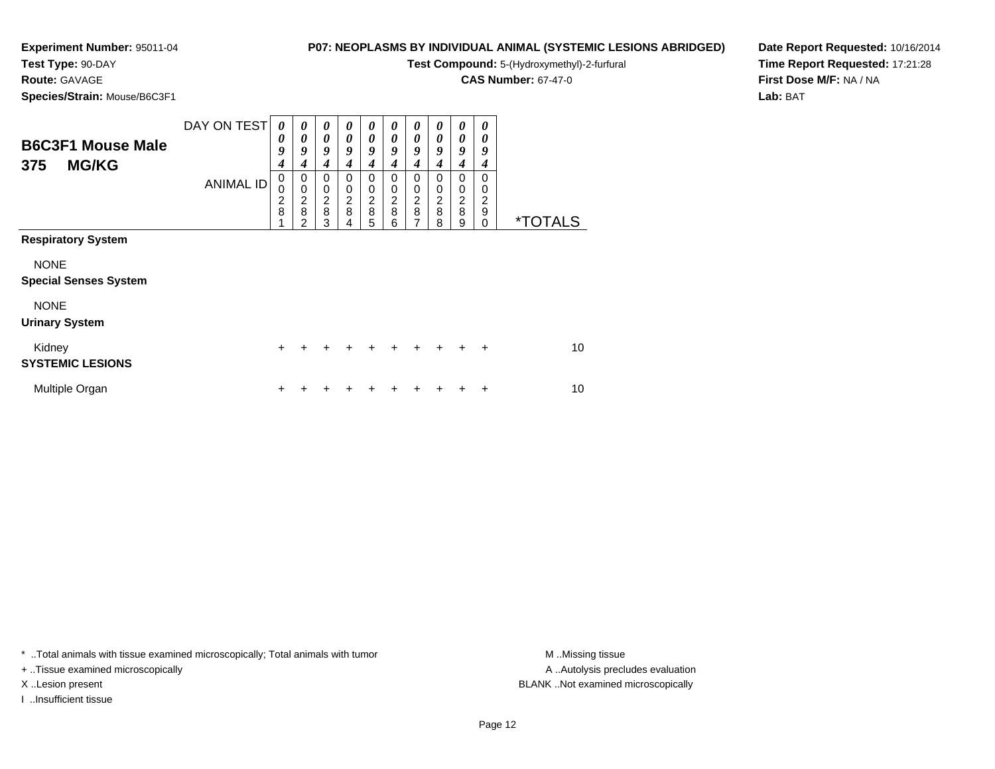# **Test Type:** 90-DAY

**Route:** GAVAGE

**Species/Strain:** Mouse/B6C3F1

# **P07: NEOPLASMS BY INDIVIDUAL ANIMAL (SYSTEMIC LESIONS ABRIDGED)**

**Test Compound:** 5-(Hydroxymethyl)-2-furfural

**CAS Number:** 67-47-0

**Date Report Requested:** 10/16/2014**Time Report Requested:** 17:21:28**First Dose M/F:** NA / NA**Lab:** BAT

| <b>B6C3F1 Mouse Male</b><br><b>MG/KG</b><br>375 | DAY ON TEST<br><b>ANIMAL ID</b> | 0<br>0<br>9<br>4<br>$\pmb{0}$<br>$\mathbf 0$<br>$\frac{2}{8}$ | 0<br>0<br>9<br>4<br>0<br>$\pmb{0}$<br>$\frac{2}{8}$ | 0<br>$\boldsymbol{\theta}$<br>9<br>$\boldsymbol{4}$<br>0<br>0<br>$\frac{2}{8}$ | 0<br>$\boldsymbol{\theta}$<br>9<br>4<br>$\mathbf 0$<br>0<br>$\overline{\mathbf{c}}$ | 0<br>0<br>9<br>4<br>0<br>0<br>$\boldsymbol{2}$ | 0<br>0<br>9<br>4<br>0<br>0<br>$\overline{c}$ | 0<br>0<br>9<br>4<br>0<br>$\begin{array}{c} 0 \\ 2 \\ 8 \end{array}$ | 0<br>0<br>9<br>4<br>0<br>0<br>$\overline{c}$ | 0<br>0<br>9<br>4<br>0<br>0<br>$\frac{2}{8}$ | 0<br>0<br>9<br>4<br>$\Omega$<br>0<br>$\overline{2}$ |                       |
|-------------------------------------------------|---------------------------------|---------------------------------------------------------------|-----------------------------------------------------|--------------------------------------------------------------------------------|-------------------------------------------------------------------------------------|------------------------------------------------|----------------------------------------------|---------------------------------------------------------------------|----------------------------------------------|---------------------------------------------|-----------------------------------------------------|-----------------------|
|                                                 |                                 |                                                               | 2                                                   | 3                                                                              | 8<br>4                                                                              | 8<br>5                                         | 8<br>6                                       | 7                                                                   | 8<br>8                                       | 9                                           | 9<br>$\Omega$                                       | <i><b>*TOTALS</b></i> |
| <b>Respiratory System</b>                       |                                 |                                                               |                                                     |                                                                                |                                                                                     |                                                |                                              |                                                                     |                                              |                                             |                                                     |                       |
| <b>NONE</b><br><b>Special Senses System</b>     |                                 |                                                               |                                                     |                                                                                |                                                                                     |                                                |                                              |                                                                     |                                              |                                             |                                                     |                       |
| <b>NONE</b><br><b>Urinary System</b>            |                                 |                                                               |                                                     |                                                                                |                                                                                     |                                                |                                              |                                                                     |                                              |                                             |                                                     |                       |
| Kidney<br><b>SYSTEMIC LESIONS</b>               |                                 | $\ddot{}$                                                     |                                                     |                                                                                |                                                                                     |                                                | $\div$                                       |                                                                     | $\ddot{}$                                    | $\div$                                      | $\ddot{}$                                           | 10                    |
| Multiple Organ                                  |                                 | ٠                                                             |                                                     |                                                                                |                                                                                     |                                                |                                              |                                                                     |                                              |                                             | ÷                                                   | 10                    |

\* ..Total animals with tissue examined microscopically; Total animals with tumor **M** . Missing tissue M ..Missing tissue

+ ..Tissue examined microscopically

I ..Insufficient tissue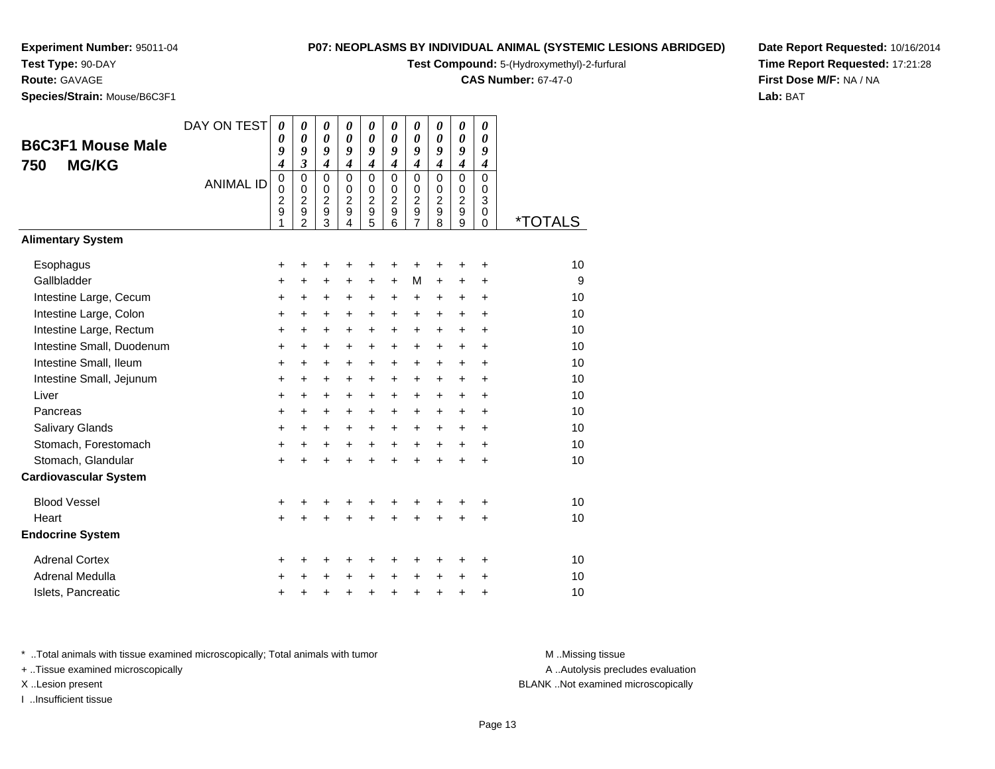# **Test Type:** 90-DAY

# **Route:** GAVAGE

**Species/Strain:** Mouse/B6C3F1

#### **P07: NEOPLASMS BY INDIVIDUAL ANIMAL (SYSTEMIC LESIONS ABRIDGED)**

**Test Compound:** 5-(Hydroxymethyl)-2-furfural

**CAS Number:** 67-47-0

**Date Report Requested:** 10/16/2014**Time Report Requested:** 17:21:28**First Dose M/F:** NA / NA**Lab:** BAT

| <b>B6C3F1 Mouse Male</b><br><b>MG/KG</b><br>750 | DAY ON TEST<br><b>ANIMAL ID</b> | $\boldsymbol{\theta}$<br>0<br>9<br>4<br>$\pmb{0}$<br>$\mathbf 0$<br>2<br>9 | 0<br>$\boldsymbol{\theta}$<br>9<br>$\mathfrak{z}$<br>$\mathbf 0$<br>$\mathbf 0$<br>$\overline{\mathbf{c}}$<br>9 | $\boldsymbol{\theta}$<br>$\boldsymbol{\theta}$<br>9<br>$\boldsymbol{4}$<br>$\mathbf 0$<br>$\mathbf 0$<br>$\overline{c}$<br>$\boldsymbol{9}$ | 0<br>$\boldsymbol{\theta}$<br>9<br>$\overline{\boldsymbol{4}}$<br>$\mathbf 0$<br>$\mathbf 0$<br>$\overline{2}$<br>$\boldsymbol{9}$ | 0<br>$\boldsymbol{\theta}$<br>9<br>$\boldsymbol{4}$<br>$\mathbf 0$<br>$\mathbf 0$<br>$\overline{c}$<br>$\mathsf g$ | 0<br>$\boldsymbol{\theta}$<br>9<br>$\boldsymbol{4}$<br>$\Omega$<br>$\mathbf 0$<br>$\overline{2}$<br>9 | 0<br>$\boldsymbol{\theta}$<br>9<br>$\boldsymbol{4}$<br>$\mathbf 0$<br>$\mathbf 0$<br>$\overline{c}$<br>9 | 0<br>$\boldsymbol{\theta}$<br>9<br>$\overline{4}$<br>$\mathbf 0$<br>$\mathbf 0$<br>$\boldsymbol{2}$<br>$\overline{9}$ | 0<br>$\boldsymbol{\theta}$<br>9<br>$\overline{4}$<br>0<br>$\mathbf 0$<br>$\overline{2}$<br>9 | 0<br>$\boldsymbol{\theta}$<br>9<br>$\boldsymbol{4}$<br>$\mathbf 0$<br>$\mathbf 0$<br>3<br>0 |                       |
|-------------------------------------------------|---------------------------------|----------------------------------------------------------------------------|-----------------------------------------------------------------------------------------------------------------|---------------------------------------------------------------------------------------------------------------------------------------------|------------------------------------------------------------------------------------------------------------------------------------|--------------------------------------------------------------------------------------------------------------------|-------------------------------------------------------------------------------------------------------|----------------------------------------------------------------------------------------------------------|-----------------------------------------------------------------------------------------------------------------------|----------------------------------------------------------------------------------------------|---------------------------------------------------------------------------------------------|-----------------------|
| <b>Alimentary System</b>                        |                                 | 1                                                                          | $\overline{2}$                                                                                                  | $\overline{3}$                                                                                                                              | $\overline{4}$                                                                                                                     | 5                                                                                                                  | 6                                                                                                     | $\overline{7}$                                                                                           | 8                                                                                                                     | $\overline{9}$                                                                               | 0                                                                                           | <i><b>*TOTALS</b></i> |
|                                                 |                                 |                                                                            |                                                                                                                 |                                                                                                                                             |                                                                                                                                    |                                                                                                                    |                                                                                                       |                                                                                                          |                                                                                                                       |                                                                                              |                                                                                             |                       |
| Esophagus                                       |                                 | +                                                                          | +                                                                                                               | +                                                                                                                                           | +                                                                                                                                  | +                                                                                                                  | +                                                                                                     | +                                                                                                        | +                                                                                                                     | +                                                                                            | +                                                                                           | 10                    |
| Gallbladder                                     |                                 | $\ddot{}$                                                                  | +                                                                                                               | +                                                                                                                                           | +                                                                                                                                  | +                                                                                                                  | $\ddot{}$                                                                                             | М                                                                                                        | $\ddot{}$                                                                                                             | $\pm$                                                                                        | +                                                                                           | 9                     |
| Intestine Large, Cecum                          |                                 | $\ddot{}$                                                                  | $\ddot{}$                                                                                                       | $\ddot{}$                                                                                                                                   | $\ddot{}$                                                                                                                          | +                                                                                                                  | $\ddot{}$                                                                                             | $\ddot{}$                                                                                                | $\ddot{}$                                                                                                             | $+$                                                                                          | $\ddot{}$                                                                                   | 10                    |
| Intestine Large, Colon                          |                                 | $\ddot{}$                                                                  | $\ddot{}$                                                                                                       | $\ddot{}$                                                                                                                                   | $\ddot{}$                                                                                                                          | $\ddot{}$                                                                                                          | $\ddot{}$                                                                                             | $\ddot{}$                                                                                                | $\ddot{}$                                                                                                             | $+$                                                                                          | ÷                                                                                           | 10                    |
| Intestine Large, Rectum                         |                                 | $\ddot{}$                                                                  | $\ddot{}$                                                                                                       | $\ddot{}$                                                                                                                                   | +                                                                                                                                  | $\ddot{}$                                                                                                          | $\ddot{}$                                                                                             | $\ddot{}$                                                                                                | $\ddot{}$                                                                                                             | $+$                                                                                          | $\ddot{}$                                                                                   | 10                    |
| Intestine Small, Duodenum                       |                                 | +                                                                          | +                                                                                                               | $\ddot{}$                                                                                                                                   | +                                                                                                                                  | $\ddot{}$                                                                                                          | $\ddot{}$                                                                                             | $\ddot{}$                                                                                                | $\ddot{}$                                                                                                             | $+$                                                                                          | $\ddot{}$                                                                                   | 10                    |
| Intestine Small, Ileum                          |                                 | $\ddot{}$                                                                  | $\ddot{}$                                                                                                       | $\ddot{}$                                                                                                                                   | $\ddot{}$                                                                                                                          | $\ddot{}$                                                                                                          | $\ddot{}$                                                                                             | $\ddot{}$                                                                                                | $\ddot{}$                                                                                                             | $\ddot{}$                                                                                    | $\ddot{}$                                                                                   | 10                    |
| Intestine Small, Jejunum                        |                                 | +                                                                          | $\ddot{}$                                                                                                       | $\ddot{}$                                                                                                                                   | $\pm$                                                                                                                              | +                                                                                                                  | $\ddot{}$                                                                                             | $\ddot{}$                                                                                                | $\pm$                                                                                                                 | $\pm$                                                                                        | +                                                                                           | 10                    |
| Liver                                           |                                 | $\ddot{}$                                                                  | $\ddot{}$                                                                                                       | $\ddot{}$                                                                                                                                   | $\ddot{}$                                                                                                                          | $\ddot{}$                                                                                                          | $\ddot{}$                                                                                             | $\ddot{}$                                                                                                | $\ddot{}$                                                                                                             | $+$                                                                                          | $\ddot{}$                                                                                   | 10                    |
| Pancreas                                        |                                 | $\ddot{}$                                                                  | +                                                                                                               | +                                                                                                                                           | +                                                                                                                                  | $\ddot{}$                                                                                                          | $\ddot{}$                                                                                             | $\ddot{}$                                                                                                | $\ddot{}$                                                                                                             | $+$                                                                                          | $\ddot{}$                                                                                   | 10                    |
| Salivary Glands                                 |                                 | $\ddot{}$                                                                  | $\ddot{}$                                                                                                       | $\ddot{}$                                                                                                                                   | $\ddot{}$                                                                                                                          | $+$                                                                                                                | $\ddot{}$                                                                                             | $\ddot{}$                                                                                                | $+$                                                                                                                   | $\ddot{}$                                                                                    | $\ddot{}$                                                                                   | 10                    |
| Stomach, Forestomach                            |                                 | $\ddot{}$                                                                  | +                                                                                                               | +                                                                                                                                           | $\ddot{}$                                                                                                                          | +                                                                                                                  | $\ddot{}$                                                                                             | $\ddot{}$                                                                                                | $\ddot{}$                                                                                                             | $\pm$                                                                                        | +                                                                                           | 10                    |
| Stomach, Glandular                              |                                 | $\ddot{}$                                                                  |                                                                                                                 | $\ddot{}$                                                                                                                                   | $\ddot{}$                                                                                                                          | $\ddot{}$                                                                                                          | $\ddot{}$                                                                                             | $\ddot{}$                                                                                                | $\ddot{}$                                                                                                             | $\ddot{}$                                                                                    | +                                                                                           | 10                    |
| <b>Cardiovascular System</b>                    |                                 |                                                                            |                                                                                                                 |                                                                                                                                             |                                                                                                                                    |                                                                                                                    |                                                                                                       |                                                                                                          |                                                                                                                       |                                                                                              |                                                                                             |                       |
| <b>Blood Vessel</b>                             |                                 | +                                                                          | +                                                                                                               | +                                                                                                                                           | +                                                                                                                                  | +                                                                                                                  | +                                                                                                     | +                                                                                                        | +                                                                                                                     |                                                                                              | ٠                                                                                           | 10                    |
| Heart                                           |                                 | $\ddot{}$                                                                  |                                                                                                                 |                                                                                                                                             |                                                                                                                                    | $\ddot{}$                                                                                                          | ÷                                                                                                     | $\ddot{}$                                                                                                |                                                                                                                       | $\ddot{}$                                                                                    | $\ddot{}$                                                                                   | 10                    |
| <b>Endocrine System</b>                         |                                 |                                                                            |                                                                                                                 |                                                                                                                                             |                                                                                                                                    |                                                                                                                    |                                                                                                       |                                                                                                          |                                                                                                                       |                                                                                              |                                                                                             |                       |
| <b>Adrenal Cortex</b>                           |                                 | +                                                                          | +                                                                                                               | +                                                                                                                                           | +                                                                                                                                  | +                                                                                                                  | +                                                                                                     | +                                                                                                        | ٠                                                                                                                     | ٠                                                                                            | ٠                                                                                           | 10                    |
| Adrenal Medulla                                 |                                 | +                                                                          |                                                                                                                 | +                                                                                                                                           | +                                                                                                                                  | +                                                                                                                  | $\ddot{}$                                                                                             | $\ddot{}$                                                                                                | $\ddot{}$                                                                                                             | +                                                                                            | +                                                                                           | 10                    |
| Islets, Pancreatic                              |                                 | +                                                                          |                                                                                                                 | +                                                                                                                                           | +                                                                                                                                  | +                                                                                                                  | +                                                                                                     | $\ddot{}$                                                                                                | +                                                                                                                     | +                                                                                            | +                                                                                           | 10                    |

\* ..Total animals with tissue examined microscopically; Total animals with tumor **M** . Missing tissue M ..Missing tissue

+ ..Tissue examined microscopically

I ..Insufficient tissue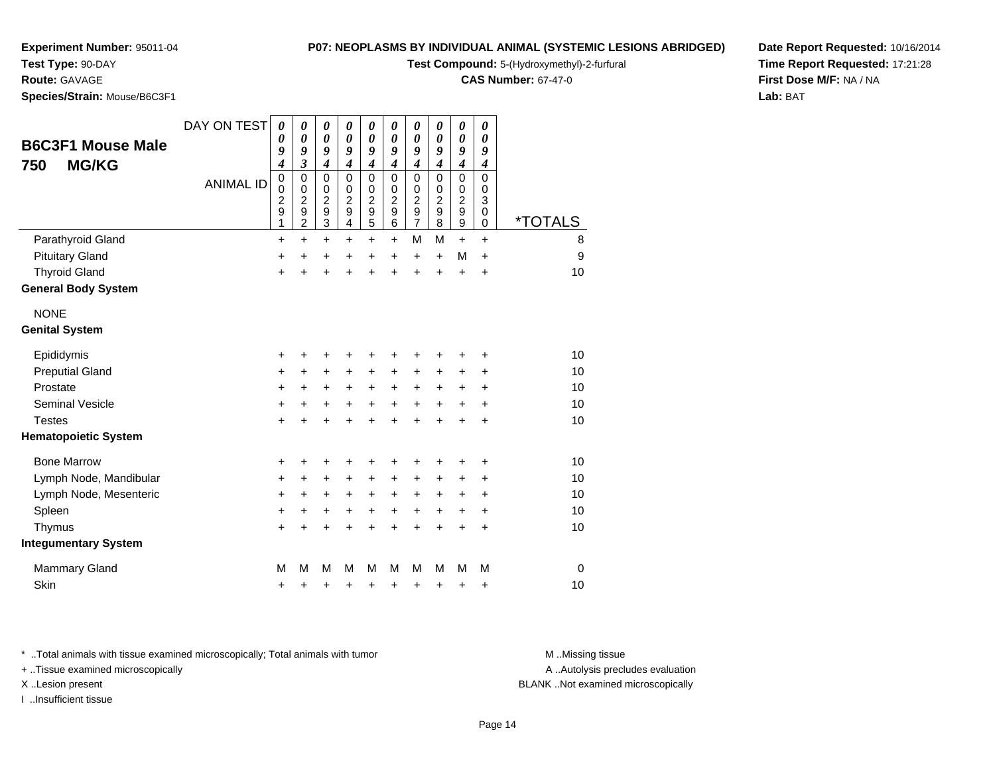# **Test Type:** 90-DAY

**Route:** GAVAGE

**Species/Strain:** Mouse/B6C3F1

**Test Compound:** 5-(Hydroxymethyl)-2-furfural

**CAS Number:** 67-47-0

**Date Report Requested:** 10/16/2014**Time Report Requested:** 17:21:28**First Dose M/F:** NA / NA**Lab:** BAT

| <b>B6C3F1 Mouse Male</b><br><b>MG/KG</b><br>750 | DAY ON TEST      | $\boldsymbol{\theta}$<br>0<br>9<br>4                          | 0<br>0<br>9<br>3                                                            | 0<br>$\boldsymbol{\theta}$<br>9<br>4                      | 0<br>0<br>9<br>$\boldsymbol{4}$                                                       | 0<br>0<br>9<br>4                                                          | 0<br>0<br>9<br>$\boldsymbol{4}$                        | 0<br>0<br>9<br>$\boldsymbol{4}$                     | 0<br>0<br>9<br>$\boldsymbol{4}$                                         | 0<br>$\boldsymbol{\theta}$<br>9<br>4 | 0<br>0<br>9<br>$\boldsymbol{4}$ |                       |
|-------------------------------------------------|------------------|---------------------------------------------------------------|-----------------------------------------------------------------------------|-----------------------------------------------------------|---------------------------------------------------------------------------------------|---------------------------------------------------------------------------|--------------------------------------------------------|-----------------------------------------------------|-------------------------------------------------------------------------|--------------------------------------|---------------------------------|-----------------------|
|                                                 | <b>ANIMAL ID</b> | $\boldsymbol{0}$<br>$\mathbf 0$<br>$\boldsymbol{2}$<br>9<br>1 | $\mathbf 0$<br>$\pmb{0}$<br>$\overline{c}$<br>$\mathsf g$<br>$\overline{c}$ | $\mathbf 0$<br>0<br>$\overline{c}$<br>9<br>$\overline{3}$ | $\Omega$<br>$\mathbf 0$<br>$\boldsymbol{2}$<br>$\mathsf g$<br>$\overline{\mathbf{4}}$ | $\mathbf 0$<br>$\mathbf 0$<br>$\overline{\mathbf{c}}$<br>$\mathbf 9$<br>5 | $\mathbf 0$<br>$\mathbf 0$<br>$\overline{c}$<br>9<br>6 | $\mathbf 0$<br>0<br>$\frac{2}{9}$<br>$\overline{7}$ | $\mathbf 0$<br>$\mathbf 0$<br>$\boldsymbol{2}$<br>$\boldsymbol{9}$<br>8 | 0<br>$\frac{0}{2}$<br>$\overline{9}$ | $\Omega$<br>0<br>3<br>0<br>0    | <i><b>*TOTALS</b></i> |
| Parathyroid Gland                               |                  | $\ddot{}$                                                     | $\ddot{}$                                                                   | +                                                         | +                                                                                     | $\ddot{}$                                                                 | $\ddot{}$                                              | M                                                   | M                                                                       | $\ddot{}$                            | $\ddot{}$                       | 8                     |
| <b>Pituitary Gland</b>                          |                  | +                                                             | $\ddot{}$                                                                   | +                                                         | +                                                                                     | +                                                                         | $\ddot{}$                                              | $\ddot{}$                                           | $\ddot{}$                                                               | M                                    | $\ddot{}$                       | 9                     |
| <b>Thyroid Gland</b>                            |                  | $\ddot{}$                                                     | $\ddot{}$                                                                   | $\ddot{}$                                                 | $\ddot{}$                                                                             | $\ddot{}$                                                                 | $\ddot{}$                                              | $\ddot{}$                                           | $\ddot{}$                                                               | +                                    | $\ddot{}$                       | 10                    |
| <b>General Body System</b>                      |                  |                                                               |                                                                             |                                                           |                                                                                       |                                                                           |                                                        |                                                     |                                                                         |                                      |                                 |                       |
| <b>NONE</b>                                     |                  |                                                               |                                                                             |                                                           |                                                                                       |                                                                           |                                                        |                                                     |                                                                         |                                      |                                 |                       |
| <b>Genital System</b>                           |                  |                                                               |                                                                             |                                                           |                                                                                       |                                                                           |                                                        |                                                     |                                                                         |                                      |                                 |                       |
| Epididymis                                      |                  | +                                                             | +                                                                           | +                                                         | +                                                                                     | +                                                                         | +                                                      | +                                                   | +                                                                       | +                                    | +                               | 10                    |
| <b>Preputial Gland</b>                          |                  | $\ddot{}$                                                     | $\ddot{}$                                                                   | +                                                         | +                                                                                     | $\ddot{}$                                                                 | +                                                      | $\ddot{}$                                           | $\ddot{}$                                                               | +                                    | +                               | 10                    |
| Prostate                                        |                  | $\ddot{}$                                                     | $\ddot{}$                                                                   | +                                                         | $\ddot{}$                                                                             | $\ddot{}$                                                                 | $\ddot{}$                                              | $\ddot{}$                                           | $\ddot{}$                                                               | +                                    | $\ddot{}$                       | 10                    |
| <b>Seminal Vesicle</b>                          |                  | +                                                             | +                                                                           | +                                                         | $\ddot{}$                                                                             | +                                                                         | $\ddot{}$                                              | $\ddot{}$                                           | $\ddot{}$                                                               | +                                    | $\ddot{}$                       | 10                    |
| <b>Testes</b>                                   |                  | +                                                             | +                                                                           | $\ddot{}$                                                 | ÷                                                                                     | $\ddot{}$                                                                 | $\ddot{}$                                              | $\ddot{}$                                           | $\ddot{}$                                                               | $\ddot{}$                            | $\ddot{}$                       | 10                    |
| <b>Hematopoietic System</b>                     |                  |                                                               |                                                                             |                                                           |                                                                                       |                                                                           |                                                        |                                                     |                                                                         |                                      |                                 |                       |
| <b>Bone Marrow</b>                              |                  | +                                                             | +                                                                           | +                                                         | +                                                                                     | +                                                                         | +                                                      | +                                                   |                                                                         | +                                    | +                               | 10                    |
| Lymph Node, Mandibular                          |                  | +                                                             | $\ddot{}$                                                                   | $\ddot{}$                                                 | $\ddot{}$                                                                             | +                                                                         | $\ddot{}$                                              | $\ddot{}$                                           | +                                                                       | $\ddot{}$                            | +                               | 10                    |
| Lymph Node, Mesenteric                          |                  | +                                                             | +                                                                           | +                                                         | +                                                                                     | +                                                                         | $\ddot{}$                                              | +                                                   | $\ddot{}$                                                               | $\ddot{}$                            | +                               | 10                    |
| Spleen                                          |                  | $\ddot{}$                                                     | +                                                                           | +                                                         | +                                                                                     | +                                                                         | $\ddot{}$                                              | $\ddot{}$                                           | $\ddot{}$                                                               | $\ddot{}$                            | $\ddot{}$                       | 10                    |
| Thymus                                          |                  | $\ddot{}$                                                     | +                                                                           | $\ddot{}$                                                 | +                                                                                     | $\ddot{}$                                                                 | $\ddot{}$                                              | $\ddot{}$                                           | $\ddot{}$                                                               | $\ddot{}$                            | $\ddot{}$                       | 10                    |
| <b>Integumentary System</b>                     |                  |                                                               |                                                                             |                                                           |                                                                                       |                                                                           |                                                        |                                                     |                                                                         |                                      |                                 |                       |
| Mammary Gland                                   |                  | M                                                             | М                                                                           | M                                                         | М                                                                                     | M                                                                         | м                                                      | М                                                   | М                                                                       | М                                    | M                               | $\mathbf 0$           |
| Skin                                            |                  | +                                                             | +                                                                           | +                                                         | +                                                                                     | +                                                                         | +                                                      | +                                                   | +                                                                       | +                                    | +                               | 10                    |

\* ..Total animals with tissue examined microscopically; Total animals with tumor **M** . Missing tissue M ..Missing tissue

+ ..Tissue examined microscopically

I ..Insufficient tissue

A ..Autolysis precludes evaluation

X ..Lesion present BLANK ..Not examined microscopically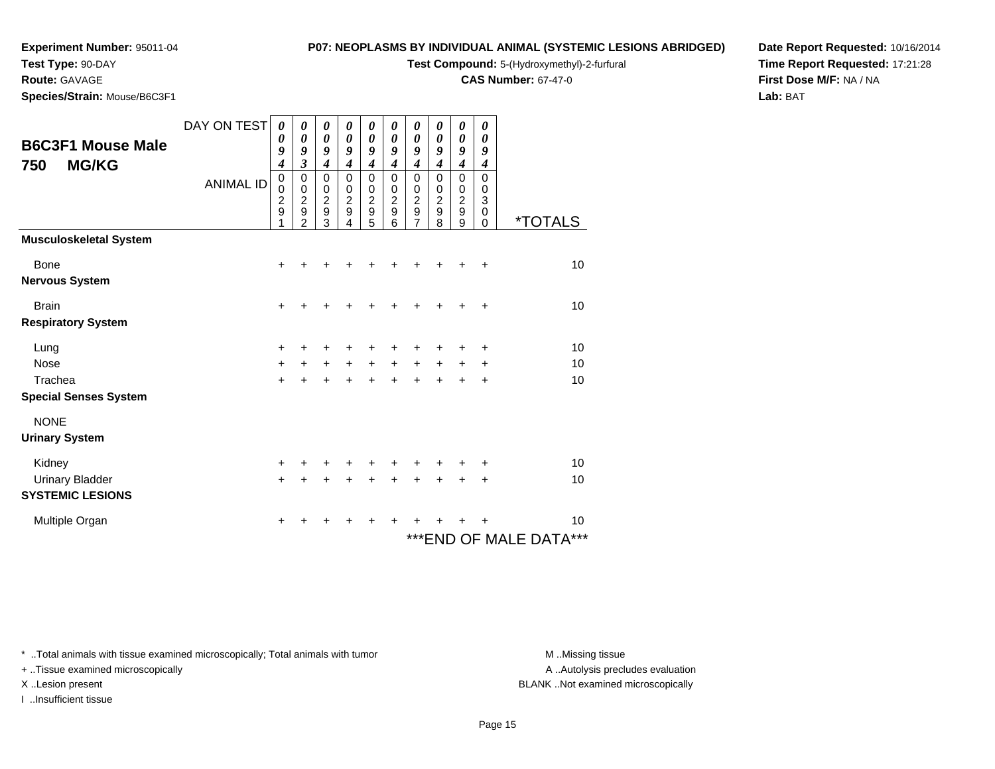## **Test Type:** 90-DAY

**Route:** GAVAGE

**Species/Strain:** Mouse/B6C3F1

## **P07: NEOPLASMS BY INDIVIDUAL ANIMAL (SYSTEMIC LESIONS ABRIDGED)**

**Test Compound:** 5-(Hydroxymethyl)-2-furfural

**CAS Number:** 67-47-0

**Date Report Requested:** 10/16/2014**Time Report Requested:** 17:21:28**First Dose M/F:** NA / NA**Lab:** BAT

|                               | DAY ON TEST      | 0                | 0                          | 0                     | 0                          | 0                                            | 0                           | 0                       | 0                           | 0                           | 0                          |                             |
|-------------------------------|------------------|------------------|----------------------------|-----------------------|----------------------------|----------------------------------------------|-----------------------------|-------------------------|-----------------------------|-----------------------------|----------------------------|-----------------------------|
| <b>B6C3F1 Mouse Male</b>      |                  | 0                | $\boldsymbol{\theta}$      | $\boldsymbol{\theta}$ | $\boldsymbol{\theta}$      | 0                                            | 0                           | $\boldsymbol{\theta}$   | $\boldsymbol{\theta}$       | $\boldsymbol{\theta}$       | 0                          |                             |
|                               |                  | 9                | 9                          | 9                     | 9                          | 9                                            | 9                           | 9                       | 9                           | 9                           | 9                          |                             |
| <b>MG/KG</b><br>750           |                  | $\boldsymbol{4}$ | $\overline{\mathbf{3}}$    | $\boldsymbol{4}$      | $\boldsymbol{4}$           | $\overline{\boldsymbol{4}}$                  | $\overline{\boldsymbol{4}}$ | $\overline{\mathbf{4}}$ | $\overline{\boldsymbol{4}}$ | $\overline{\boldsymbol{4}}$ | $\boldsymbol{4}$           |                             |
|                               | <b>ANIMAL ID</b> | 0<br>0           | $\mathbf 0$<br>$\mathbf 0$ | 0<br>0                | $\mathbf 0$<br>$\mathbf 0$ | 0<br>0                                       | $\mathbf 0$<br>$\mathbf 0$  | 0<br>$\mathbf 0$        | $\mathbf 0$<br>$\mathbf 0$  | $\mathbf 0$<br>$\pmb{0}$    | $\mathbf 0$<br>$\mathbf 0$ |                             |
|                               |                  | $\frac{2}{9}$    | $\overline{c}$             | $\frac{2}{9}$         | $\boldsymbol{2}$           |                                              | $\overline{c}$              | $\overline{\mathbf{c}}$ | $\overline{c}$              | $\frac{2}{9}$               | $\mathfrak{S}$             |                             |
|                               |                  | 1                | 9<br>$\overline{2}$        | $\overline{3}$        | $\boldsymbol{9}$<br>4      | $\begin{array}{c}\n2 \\ 9 \\ 5\n\end{array}$ | 9<br>6                      | 9<br>$\overline{7}$     | $\boldsymbol{9}$<br>8       | 9                           | $\pmb{0}$                  | <i><b>*TOTALS</b></i>       |
| <b>Musculoskeletal System</b> |                  |                  |                            |                       |                            |                                              |                             |                         |                             |                             | 0                          |                             |
|                               |                  |                  |                            |                       |                            |                                              |                             |                         |                             |                             |                            |                             |
| Bone                          |                  | +                |                            |                       |                            |                                              |                             |                         |                             |                             |                            | 10                          |
| <b>Nervous System</b>         |                  |                  |                            |                       |                            |                                              |                             |                         |                             |                             |                            |                             |
| <b>Brain</b>                  |                  | +                | +                          | +                     |                            | +                                            | +                           | +                       | ٠                           |                             | $\ddot{}$                  | 10                          |
| <b>Respiratory System</b>     |                  |                  |                            |                       |                            |                                              |                             |                         |                             |                             |                            |                             |
| Lung                          |                  | $\pm$            | +                          | +                     |                            | ٠                                            |                             |                         |                             |                             | ÷                          | 10                          |
| <b>Nose</b>                   |                  | $\ddot{}$        | $\ddot{}$                  | $\ddot{}$             | $+$                        | $+$                                          | $+$                         | $+$                     | $\ddot{}$                   | $\ddot{}$                   | $\ddot{}$                  | 10                          |
| Trachea                       |                  | $\ddot{}$        | $\ddot{}$                  | $\ddot{}$             | $+$                        | $+$                                          | $\ddot{}$                   | $\ddot{}$               | $\ddot{}$                   | $\ddot{}$                   | $\ddot{}$                  | 10                          |
| <b>Special Senses System</b>  |                  |                  |                            |                       |                            |                                              |                             |                         |                             |                             |                            |                             |
| <b>NONE</b>                   |                  |                  |                            |                       |                            |                                              |                             |                         |                             |                             |                            |                             |
| <b>Urinary System</b>         |                  |                  |                            |                       |                            |                                              |                             |                         |                             |                             |                            |                             |
| Kidney                        |                  | $\ddot{}$        |                            | +                     |                            |                                              |                             |                         |                             |                             | ٠                          | 10                          |
| <b>Urinary Bladder</b>        |                  | $\ddot{}$        | $\ddot{}$                  | +                     | +                          | $\ddot{}$                                    | +                           | +                       | +                           |                             | $\ddot{}$                  | 10                          |
| <b>SYSTEMIC LESIONS</b>       |                  |                  |                            |                       |                            |                                              |                             |                         |                             |                             |                            |                             |
| Multiple Organ                |                  | +                | +                          | +                     | ٠                          | ÷                                            | ÷                           | +                       |                             |                             |                            | 10                          |
|                               |                  |                  |                            |                       |                            |                                              |                             |                         |                             |                             |                            | ***<br>***END OF MALE DATA® |

\* ..Total animals with tissue examined microscopically; Total animals with tumor **M** . Missing tissue M ..Missing tissue

+ ..Tissue examined microscopically

I ..Insufficient tissue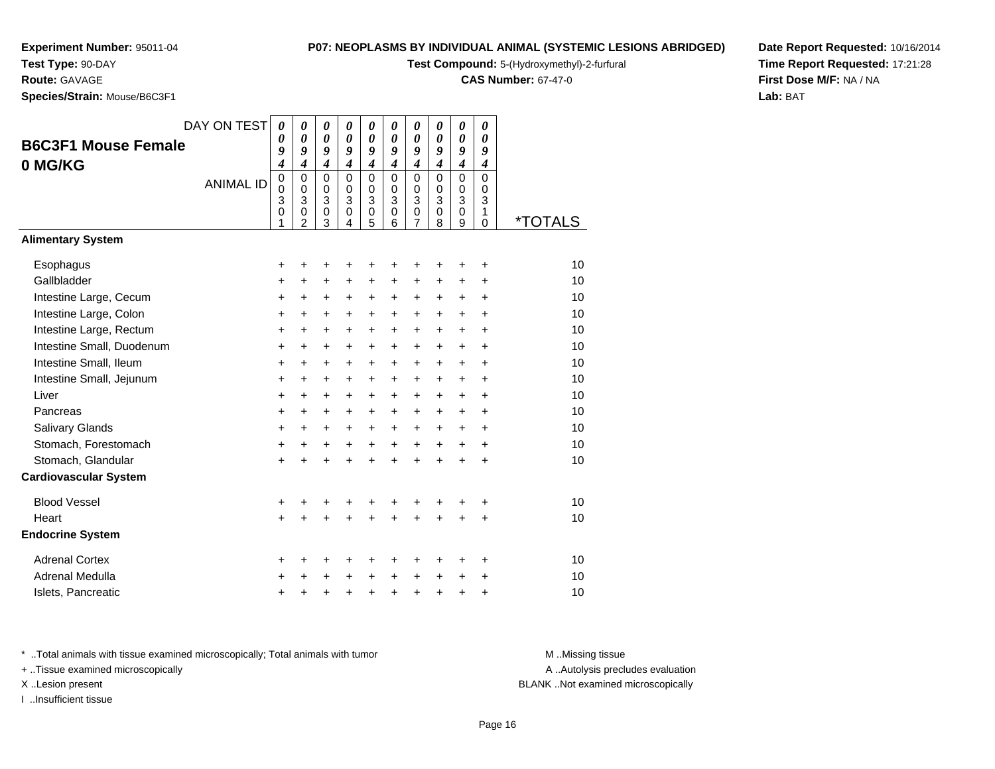# **Test Type:** 90-DAY

**Route:** GAVAGE

**Species/Strain:** Mouse/B6C3F1

**Test Compound:** 5-(Hydroxymethyl)-2-furfural

**CAS Number:** 67-47-0

**Date Report Requested:** 10/16/2014**Time Report Requested:** 17:21:28**First Dose M/F:** NA / NA**Lab:** BAT

| <b>B6C3F1 Mouse Female</b><br>0 MG/KG | DAY ON TEST<br><b>ANIMAL ID</b> | 0<br>0<br>9<br>4<br>$\mathbf 0$<br>$\mathbf 0$<br>3<br>0<br>1 | $\boldsymbol{\theta}$<br>$\boldsymbol{\theta}$<br>9<br>$\boldsymbol{4}$<br>$\mathbf 0$<br>$\mathbf 0$<br>3<br>0<br>$\overline{2}$ | 0<br>0<br>9<br>$\boldsymbol{4}$<br>$\mathbf 0$<br>0<br>$\ensuremath{\mathsf{3}}$<br>$\mathbf 0$<br>3 | 0<br>$\boldsymbol{\theta}$<br>9<br>$\boldsymbol{4}$<br>$\mathbf 0$<br>$\mathbf 0$<br>3<br>$\,0\,$<br>4 | 0<br>0<br>9<br>$\boldsymbol{4}$<br>$\mathbf 0$<br>0<br>3<br>0<br>5 | 0<br>0<br>9<br>$\boldsymbol{4}$<br>$\Omega$<br>$\mathbf 0$<br>3<br>$\mathbf 0$<br>6 | 0<br>0<br>9<br>$\boldsymbol{4}$<br>$\mathbf 0$<br>0<br>3<br>$\mathbf 0$<br>7 | 0<br>0<br>9<br>$\boldsymbol{4}$<br>$\mathbf 0$<br>$\pmb{0}$<br>3<br>0<br>8 | 0<br>$\boldsymbol{\theta}$<br>9<br>$\boldsymbol{4}$<br>$\mathbf 0$<br>0<br>3<br>$\boldsymbol{0}$<br>9 | 0<br>0<br>9<br>4<br>0<br>0<br>3<br>1<br>0 | <i><b>*TOTALS</b></i> |
|---------------------------------------|---------------------------------|---------------------------------------------------------------|-----------------------------------------------------------------------------------------------------------------------------------|------------------------------------------------------------------------------------------------------|--------------------------------------------------------------------------------------------------------|--------------------------------------------------------------------|-------------------------------------------------------------------------------------|------------------------------------------------------------------------------|----------------------------------------------------------------------------|-------------------------------------------------------------------------------------------------------|-------------------------------------------|-----------------------|
| <b>Alimentary System</b>              |                                 |                                                               |                                                                                                                                   |                                                                                                      |                                                                                                        |                                                                    |                                                                                     |                                                                              |                                                                            |                                                                                                       |                                           |                       |
| Esophagus                             |                                 | +                                                             | +                                                                                                                                 | +                                                                                                    | +                                                                                                      | +                                                                  | +                                                                                   | +                                                                            | +                                                                          | +                                                                                                     | +                                         | 10                    |
| Gallbladder                           |                                 | +                                                             | $\ddot{}$                                                                                                                         | $\ddot{}$                                                                                            | $\ddot{}$                                                                                              | $\ddot{}$                                                          | $\ddot{}$                                                                           | $\ddot{}$                                                                    | $\ddot{}$                                                                  | $\ddot{}$                                                                                             | $\ddot{}$                                 | 10                    |
| Intestine Large, Cecum                |                                 | +                                                             | $\ddot{}$                                                                                                                         | $\ddot{}$                                                                                            | $\ddot{}$                                                                                              | $\ddot{}$                                                          | +                                                                                   | $\ddot{}$                                                                    | $\ddot{}$                                                                  | $\ddot{}$                                                                                             | $\ddot{}$                                 | 10                    |
| Intestine Large, Colon                |                                 | $\ddot{}$                                                     | $\ddot{}$                                                                                                                         | $\ddot{}$                                                                                            | $\ddot{}$                                                                                              | $\ddot{}$                                                          | +                                                                                   | $\ddot{}$                                                                    | $\ddot{}$                                                                  | $\ddot{}$                                                                                             | $\ddot{}$                                 | 10                    |
| Intestine Large, Rectum               |                                 | $\ddot{}$                                                     | $\ddot{}$                                                                                                                         | $\ddot{}$                                                                                            | +                                                                                                      | +                                                                  | +                                                                                   | $\ddot{}$                                                                    | $\ddot{}$                                                                  | $\ddot{}$                                                                                             | $\ddot{}$                                 | 10                    |
| Intestine Small, Duodenum             |                                 | $\ddot{}$                                                     | $\ddot{}$                                                                                                                         | $\ddot{}$                                                                                            | $\ddot{}$                                                                                              | $\ddot{}$                                                          | $\ddot{}$                                                                           | $\ddot{}$                                                                    | $\ddot{}$                                                                  | $\ddot{}$                                                                                             | $\ddot{}$                                 | 10                    |
| Intestine Small, Ileum                |                                 | $\ddot{}$                                                     | $\ddot{}$                                                                                                                         | $\ddot{}$                                                                                            | $\ddot{}$                                                                                              | $\ddot{}$                                                          | $\ddot{}$                                                                           | $\ddot{}$                                                                    | $\ddot{}$                                                                  | $\ddot{}$                                                                                             | $\ddot{}$                                 | 10                    |
| Intestine Small, Jejunum              |                                 | $\ddot{}$                                                     | $\ddot{}$                                                                                                                         | $\ddot{}$                                                                                            | $\ddot{}$                                                                                              | $\ddot{}$                                                          | $\ddot{}$                                                                           | $\ddot{}$                                                                    | $\ddot{}$                                                                  | $\ddot{}$                                                                                             | $\ddot{}$                                 | 10                    |
| Liver                                 |                                 | $\ddot{}$                                                     | $\ddot{}$                                                                                                                         | $\ddot{}$                                                                                            | $\ddot{}$                                                                                              | $\ddot{}$                                                          | +                                                                                   | +                                                                            | $\ddot{}$                                                                  | $\ddot{}$                                                                                             | +                                         | 10                    |
| Pancreas                              |                                 | $\ddot{}$                                                     | $\ddot{}$                                                                                                                         | $\ddot{}$                                                                                            | $+$                                                                                                    | $\ddot{}$                                                          | $\ddot{}$                                                                           | $\ddot{}$                                                                    | $\ddot{}$                                                                  | $\ddot{}$                                                                                             | $\ddot{}$                                 | 10                    |
| Salivary Glands                       |                                 | +                                                             | $\ddot{}$                                                                                                                         | $\ddot{}$                                                                                            | $\ddot{}$                                                                                              | $\ddot{}$                                                          | $\ddot{}$                                                                           | +                                                                            | $\ddot{}$                                                                  | +                                                                                                     | +                                         | 10                    |
| Stomach, Forestomach                  |                                 | $\ddot{}$                                                     | $\ddot{}$                                                                                                                         | +                                                                                                    | $\ddot{}$                                                                                              | $\ddot{}$                                                          | $\ddot{}$                                                                           | $\ddot{}$                                                                    | $\ddot{}$                                                                  | $\ddot{}$                                                                                             | $\ddot{}$                                 | 10                    |
| Stomach, Glandular                    |                                 | $\ddot{}$                                                     | +                                                                                                                                 | $\ddot{}$                                                                                            | ÷                                                                                                      | $\ddot{}$                                                          | $\ddot{}$                                                                           | $\ddot{}$                                                                    | $\ddot{}$                                                                  | $\ddot{}$                                                                                             | +                                         | 10                    |
| <b>Cardiovascular System</b>          |                                 |                                                               |                                                                                                                                   |                                                                                                      |                                                                                                        |                                                                    |                                                                                     |                                                                              |                                                                            |                                                                                                       |                                           |                       |
| <b>Blood Vessel</b>                   |                                 | +                                                             |                                                                                                                                   |                                                                                                      | +                                                                                                      | +                                                                  | +                                                                                   | +                                                                            |                                                                            | +                                                                                                     | +                                         | 10                    |
| Heart                                 |                                 | $\ddot{}$                                                     |                                                                                                                                   |                                                                                                      |                                                                                                        | ÷                                                                  | ÷                                                                                   | $\ddot{}$                                                                    |                                                                            | $\ddot{}$                                                                                             | $\ddot{}$                                 | 10                    |
| <b>Endocrine System</b>               |                                 |                                                               |                                                                                                                                   |                                                                                                      |                                                                                                        |                                                                    |                                                                                     |                                                                              |                                                                            |                                                                                                       |                                           |                       |
| <b>Adrenal Cortex</b>                 |                                 | +                                                             | +                                                                                                                                 | +                                                                                                    | +                                                                                                      | +                                                                  | +                                                                                   | +                                                                            | +                                                                          | +                                                                                                     | +                                         | 10                    |
| Adrenal Medulla                       |                                 | +                                                             |                                                                                                                                   | +                                                                                                    |                                                                                                        | +                                                                  | +                                                                                   | +                                                                            | +                                                                          | +                                                                                                     | +                                         | 10                    |
| Islets, Pancreatic                    |                                 | +                                                             |                                                                                                                                   | +                                                                                                    | +                                                                                                      | +                                                                  | +                                                                                   | +                                                                            | +                                                                          | +                                                                                                     | +                                         | 10                    |

\* ..Total animals with tissue examined microscopically; Total animals with tumor **M** . Missing tissue M ..Missing tissue

+ ..Tissue examined microscopically

I ..Insufficient tissue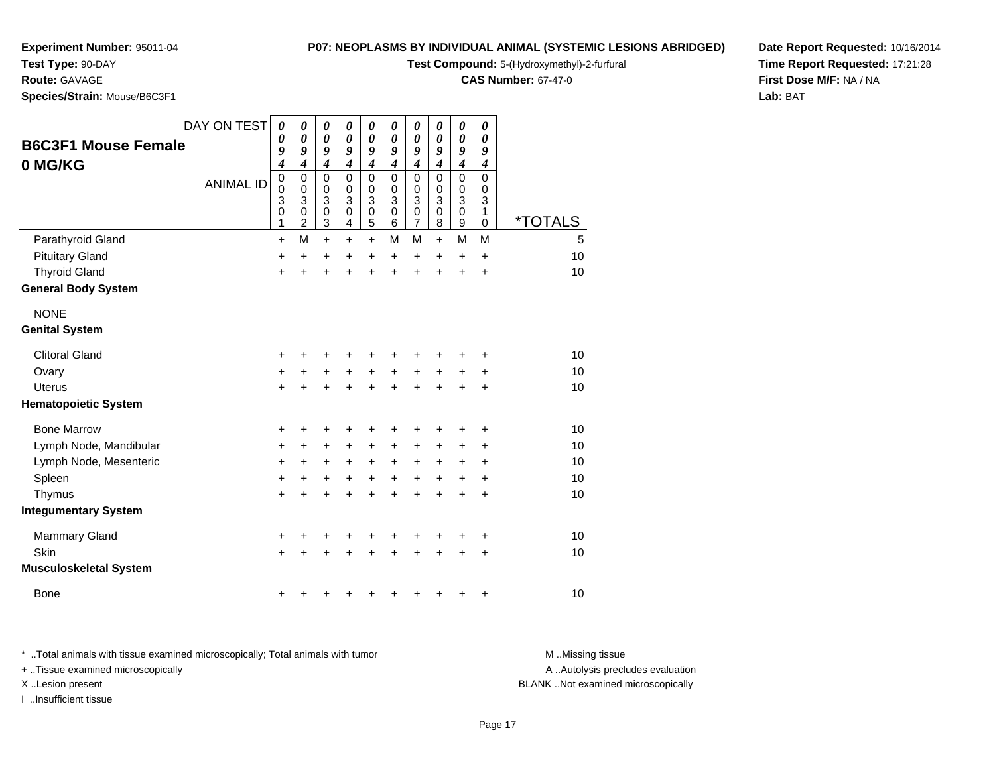## **Test Type:** 90-DAY

**Route:** GAVAGE

**Species/Strain:** Mouse/B6C3F1

## **P07: NEOPLASMS BY INDIVIDUAL ANIMAL (SYSTEMIC LESIONS ABRIDGED)**

**Test Compound:** 5-(Hydroxymethyl)-2-furfural

**CAS Number:** 67-47-0

**Date Report Requested:** 10/16/2014**Time Report Requested:** 17:21:28**First Dose M/F:** NA / NA**Lab:** BAT

| <b>B6C3F1 Mouse Female</b><br>0 MG/KG | DAY ON TEST<br><b>ANIMAL ID</b> | 0<br>0<br>9<br>$\boldsymbol{4}$<br>$\pmb{0}$<br>0<br>3<br>$\mathbf 0$<br>1 | 0<br>0<br>9<br>$\overline{\mathcal{A}}$<br>0<br>0<br>3<br>0<br>$\overline{2}$ | 0<br>$\pmb{\theta}$<br>9<br>$\boldsymbol{4}$<br>$\mathbf 0$<br>0<br>3<br>$\pmb{0}$<br>$\mathbf{3}$ | 0<br>$\boldsymbol{\theta}$<br>9<br>$\boldsymbol{4}$<br>$\mathbf 0$<br>$\Omega$<br>3<br>$\mathbf 0$<br>4 | 0<br>$\boldsymbol{\theta}$<br>9<br>$\boldsymbol{4}$<br>$\mathbf 0$<br>0<br>3<br>0<br>5 | 0<br>$\boldsymbol{\theta}$<br>9<br>$\boldsymbol{4}$<br>$\mathbf 0$<br>0<br>3<br>$\mathbf 0$<br>6 | 0<br>$\pmb{\theta}$<br>9<br>$\boldsymbol{4}$<br>$\mathbf 0$<br>0<br>3<br>$\pmb{0}$<br>$\overline{7}$ | 0<br>0<br>9<br>$\boldsymbol{4}$<br>0<br>0<br>3<br>0<br>8 | 0<br>$\pmb{\theta}$<br>9<br>$\boldsymbol{4}$<br>0<br>0<br>3<br>0<br>9 | 0<br>0<br>9<br>4<br>0<br>0<br>3<br>1<br>0 | <i><b>*TOTALS</b></i> |
|---------------------------------------|---------------------------------|----------------------------------------------------------------------------|-------------------------------------------------------------------------------|----------------------------------------------------------------------------------------------------|---------------------------------------------------------------------------------------------------------|----------------------------------------------------------------------------------------|--------------------------------------------------------------------------------------------------|------------------------------------------------------------------------------------------------------|----------------------------------------------------------|-----------------------------------------------------------------------|-------------------------------------------|-----------------------|
| Parathyroid Gland                     |                                 | $\ddot{}$                                                                  | M                                                                             | $+$                                                                                                | $\ddot{}$                                                                                               | $+$                                                                                    | м                                                                                                | M                                                                                                    | $+$                                                      | M                                                                     | M                                         | 5                     |
| <b>Pituitary Gland</b>                |                                 | +                                                                          | +                                                                             | +                                                                                                  | +                                                                                                       | +                                                                                      | $\ddot{}$                                                                                        | +                                                                                                    | $\ddot{}$                                                | $\ddot{}$                                                             | $\ddot{}$                                 | 10                    |
| <b>Thyroid Gland</b>                  |                                 | $+$                                                                        | $\ddot{}$                                                                     | $\ddot{}$                                                                                          | $\ddot{}$                                                                                               | $\ddot{}$                                                                              | $\ddot{}$                                                                                        | $\ddot{}$                                                                                            | $\ddot{}$                                                | +                                                                     | +                                         | 10                    |
| <b>General Body System</b>            |                                 |                                                                            |                                                                               |                                                                                                    |                                                                                                         |                                                                                        |                                                                                                  |                                                                                                      |                                                          |                                                                       |                                           |                       |
| <b>NONE</b>                           |                                 |                                                                            |                                                                               |                                                                                                    |                                                                                                         |                                                                                        |                                                                                                  |                                                                                                      |                                                          |                                                                       |                                           |                       |
| <b>Genital System</b>                 |                                 |                                                                            |                                                                               |                                                                                                    |                                                                                                         |                                                                                        |                                                                                                  |                                                                                                      |                                                          |                                                                       |                                           |                       |
| <b>Clitoral Gland</b>                 |                                 | +                                                                          |                                                                               | +                                                                                                  | +                                                                                                       | +                                                                                      |                                                                                                  |                                                                                                      |                                                          |                                                                       | +                                         | 10                    |
| Ovary                                 |                                 | $\ddot{}$                                                                  | +                                                                             | +                                                                                                  | +                                                                                                       | +                                                                                      | $\ddot{}$                                                                                        | +                                                                                                    | +                                                        | +                                                                     | +                                         | 10                    |
| <b>Uterus</b>                         |                                 | $\ddot{}$                                                                  |                                                                               | $\ddot{}$                                                                                          | $\ddot{}$                                                                                               | $\ddot{}$                                                                              |                                                                                                  | $\ddot{}$                                                                                            |                                                          | $\ddot{}$                                                             | $\ddot{}$                                 | 10                    |
| <b>Hematopoietic System</b>           |                                 |                                                                            |                                                                               |                                                                                                    |                                                                                                         |                                                                                        |                                                                                                  |                                                                                                      |                                                          |                                                                       |                                           |                       |
| <b>Bone Marrow</b>                    |                                 | +                                                                          | ٠                                                                             | +                                                                                                  | +                                                                                                       | +                                                                                      | ٠                                                                                                | +                                                                                                    | +                                                        | ٠                                                                     | ٠                                         | 10                    |
| Lymph Node, Mandibular                |                                 | $\ddot{}$                                                                  | $\ddot{}$                                                                     | $\ddot{}$                                                                                          | $\ddot{}$                                                                                               | $\ddot{}$                                                                              | $\ddot{}$                                                                                        | $\ddot{}$                                                                                            |                                                          | +                                                                     | +                                         | 10                    |
| Lymph Node, Mesenteric                |                                 | $\ddot{}$                                                                  | +                                                                             | $\ddot{}$                                                                                          | $\ddot{}$                                                                                               | $\ddot{}$                                                                              | $\ddot{}$                                                                                        | $\ddot{}$                                                                                            | $\ddot{}$                                                | +                                                                     | +                                         | 10                    |
| Spleen                                |                                 | $\ddot{}$                                                                  | +                                                                             | +                                                                                                  | $\ddot{}$                                                                                               | $\ddot{}$                                                                              | $\ddot{}$                                                                                        | $\ddot{}$                                                                                            | $\ddot{}$                                                | +                                                                     | $\ddot{}$                                 | 10                    |
| Thymus                                |                                 | $\ddot{}$                                                                  | $\ddot{}$                                                                     | $\ddot{}$                                                                                          | $\ddot{}$                                                                                               | $\ddot{}$                                                                              | $\ddot{}$                                                                                        | +                                                                                                    | $\ddot{}$                                                | +                                                                     | +                                         | 10                    |
| <b>Integumentary System</b>           |                                 |                                                                            |                                                                               |                                                                                                    |                                                                                                         |                                                                                        |                                                                                                  |                                                                                                      |                                                          |                                                                       |                                           |                       |
| <b>Mammary Gland</b>                  |                                 | +                                                                          | +                                                                             | +                                                                                                  | +                                                                                                       | +                                                                                      | +                                                                                                | +                                                                                                    | ٠                                                        | +                                                                     | +                                         | 10                    |
| Skin                                  |                                 | $\ddot{}$                                                                  |                                                                               |                                                                                                    |                                                                                                         | +                                                                                      |                                                                                                  | +                                                                                                    |                                                          | +                                                                     | +                                         | 10                    |
| <b>Musculoskeletal System</b>         |                                 |                                                                            |                                                                               |                                                                                                    |                                                                                                         |                                                                                        |                                                                                                  |                                                                                                      |                                                          |                                                                       |                                           |                       |
| <b>Bone</b>                           |                                 | +                                                                          |                                                                               | ٠                                                                                                  | ٠                                                                                                       | ٠                                                                                      |                                                                                                  |                                                                                                      |                                                          | +                                                                     | +                                         | 10                    |

\* ..Total animals with tissue examined microscopically; Total animals with tumor **M** . Missing tissue M ..Missing tissue A ..Autolysis precludes evaluation + ..Tissue examined microscopically X ..Lesion present BLANK ..Not examined microscopicallyI ..Insufficient tissue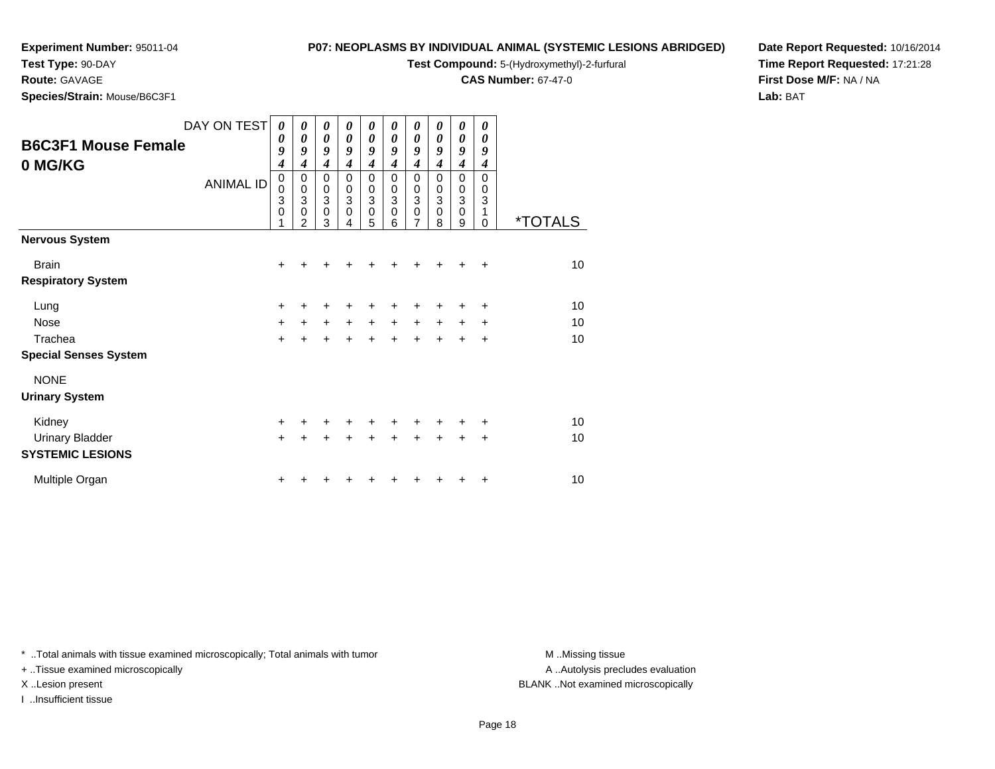# **Test Type:** 90-DAY

**Route:** GAVAGE

**Species/Strain:** Mouse/B6C3F1

# **P07: NEOPLASMS BY INDIVIDUAL ANIMAL (SYSTEMIC LESIONS ABRIDGED)**

**Test Compound:** 5-(Hydroxymethyl)-2-furfural

**CAS Number:** 67-47-0

**Date Report Requested:** 10/16/2014**Time Report Requested:** 17:21:28**First Dose M/F:** NA / NA**Lab:** BAT

| <b>B6C3F1 Mouse Female</b><br>0 MG/KG | DAY ON TEST<br><b>ANIMAL ID</b> | 0<br>$\boldsymbol{\theta}$<br>9<br>$\boldsymbol{4}$<br>$\mathbf 0$<br>$\mathbf 0$<br>3<br>$\mathbf 0$<br>1 | $\boldsymbol{\theta}$<br>$\boldsymbol{\theta}$<br>9<br>$\boldsymbol{4}$<br>0<br>$\pmb{0}$<br>3<br>$\mathbf 0$<br>$\overline{2}$ | 0<br>$\boldsymbol{\theta}$<br>9<br>$\boldsymbol{4}$<br>0<br>$_3^0$<br>$\mathbf 0$<br>3 | 0<br>0<br>9<br>$\boldsymbol{4}$<br>0<br>$\pmb{0}$<br>$\overline{3}$<br>$\mathbf 0$<br>4 | 0<br>0<br>9<br>$\boldsymbol{4}$<br>0<br>$_3^0$<br>$\mathbf 0$<br>5 | 0<br>0<br>9<br>4<br>0<br>0<br>$\ensuremath{\mathsf{3}}$<br>$\mathbf 0$<br>6 | 0<br>0<br>9<br>$\boldsymbol{4}$<br>0<br>$_3^0$<br>$\mathbf 0$<br>$\overline{7}$ | 0<br>0<br>9<br>4<br>0<br>0<br>$\,$ 3 $\,$<br>$\mathbf 0$<br>8 | 0<br>0<br>9<br>$\boldsymbol{4}$<br>0<br>0<br>$\,$ 3 $\,$<br>$\mathbf 0$<br>9 | 0<br>0<br>9<br>4<br>$\Omega$<br>0<br>3<br>1<br>0 | <i><b>*TOTALS</b></i> |
|---------------------------------------|---------------------------------|------------------------------------------------------------------------------------------------------------|---------------------------------------------------------------------------------------------------------------------------------|----------------------------------------------------------------------------------------|-----------------------------------------------------------------------------------------|--------------------------------------------------------------------|-----------------------------------------------------------------------------|---------------------------------------------------------------------------------|---------------------------------------------------------------|------------------------------------------------------------------------------|--------------------------------------------------|-----------------------|
| <b>Nervous System</b>                 |                                 |                                                                                                            |                                                                                                                                 |                                                                                        |                                                                                         |                                                                    |                                                                             |                                                                                 |                                                               |                                                                              |                                                  |                       |
| <b>Brain</b>                          |                                 | $\ddot{}$                                                                                                  | +                                                                                                                               |                                                                                        |                                                                                         |                                                                    |                                                                             | ٠                                                                               | +                                                             | ٠                                                                            | ÷                                                | 10                    |
| <b>Respiratory System</b>             |                                 |                                                                                                            |                                                                                                                                 |                                                                                        |                                                                                         |                                                                    |                                                                             |                                                                                 |                                                               |                                                                              |                                                  |                       |
| Lung                                  |                                 | $\ddot{}$                                                                                                  |                                                                                                                                 |                                                                                        |                                                                                         |                                                                    |                                                                             |                                                                                 |                                                               | +                                                                            | $\ddot{}$                                        | 10                    |
| <b>Nose</b>                           |                                 | $\ddot{}$                                                                                                  | $\ddot{}$                                                                                                                       | $+$                                                                                    | $+$                                                                                     | $+$                                                                | $+$                                                                         | $\ddot{}$                                                                       | $\ddot{}$                                                     | $\ddot{}$                                                                    | $\ddot{}$                                        | 10                    |
| Trachea                               |                                 | $\ddot{}$                                                                                                  |                                                                                                                                 |                                                                                        |                                                                                         | $\ddot{}$                                                          |                                                                             | $\ddot{}$                                                                       | $\ddot{}$                                                     | +                                                                            | $\ddot{}$                                        | 10                    |
| <b>Special Senses System</b>          |                                 |                                                                                                            |                                                                                                                                 |                                                                                        |                                                                                         |                                                                    |                                                                             |                                                                                 |                                                               |                                                                              |                                                  |                       |
| <b>NONE</b>                           |                                 |                                                                                                            |                                                                                                                                 |                                                                                        |                                                                                         |                                                                    |                                                                             |                                                                                 |                                                               |                                                                              |                                                  |                       |
| <b>Urinary System</b>                 |                                 |                                                                                                            |                                                                                                                                 |                                                                                        |                                                                                         |                                                                    |                                                                             |                                                                                 |                                                               |                                                                              |                                                  |                       |
| Kidney                                |                                 | $\ddot{}$                                                                                                  |                                                                                                                                 | ÷                                                                                      |                                                                                         | ÷                                                                  |                                                                             | ٠                                                                               | +                                                             | +                                                                            | ÷                                                | 10                    |
| <b>Urinary Bladder</b>                |                                 | $\ddot{}$                                                                                                  |                                                                                                                                 |                                                                                        |                                                                                         |                                                                    |                                                                             | +                                                                               | $\ddot{}$                                                     | $\ddot{}$                                                                    | $\ddot{}$                                        | 10                    |
| <b>SYSTEMIC LESIONS</b>               |                                 |                                                                                                            |                                                                                                                                 |                                                                                        |                                                                                         |                                                                    |                                                                             |                                                                                 |                                                               |                                                                              |                                                  |                       |
| Multiple Organ                        |                                 | +                                                                                                          |                                                                                                                                 |                                                                                        |                                                                                         |                                                                    |                                                                             |                                                                                 |                                                               | +                                                                            | ÷                                                | 10                    |

\* ..Total animals with tissue examined microscopically; Total animals with tumor **M** . Missing tissue M ..Missing tissue

+ ..Tissue examined microscopically

I ..Insufficient tissue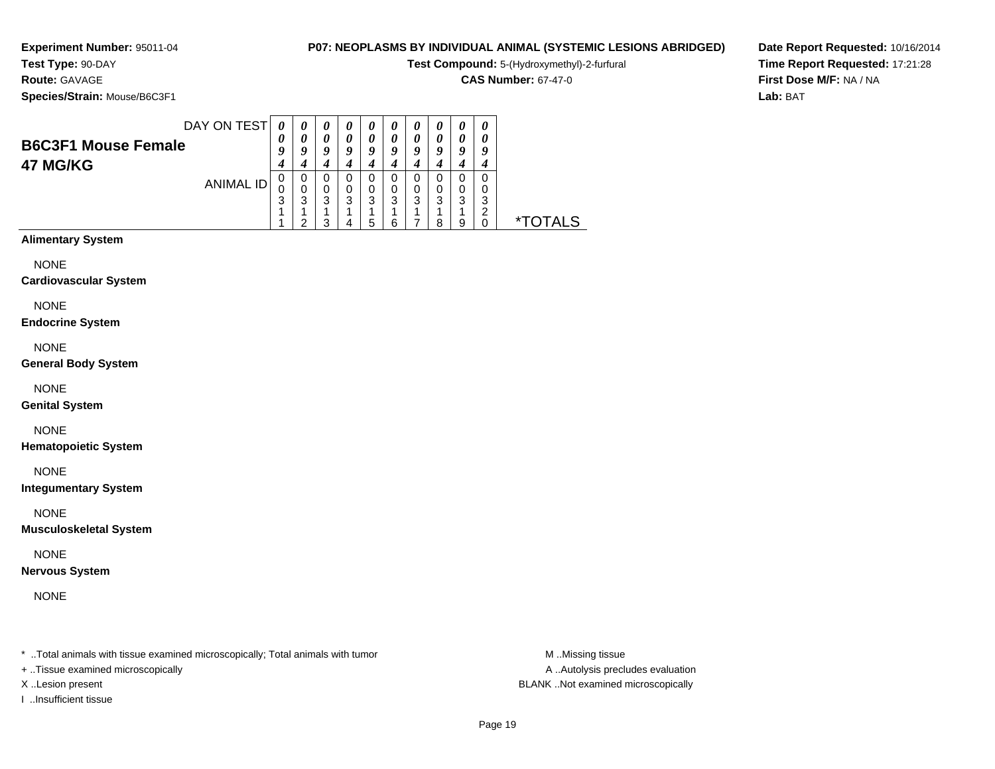**Route:** GAVAGE

**Species/Strain:** Mouse/B6C3F1

# **P07: NEOPLASMS BY INDIVIDUAL ANIMAL (SYSTEMIC LESIONS ABRIDGED)**

**Test Compound:** 5-(Hydroxymethyl)-2-furfural

**CAS Number:** 67-47-0

**Date Report Requested:** 10/16/2014**Time Report Requested:** 17:21:28**First Dose M/F:** NA / NA**Lab:** BAT

|                            | DAY ON TEST |        | $\boldsymbol{\theta}$ | 0      | "      | 0      | U      | $\boldsymbol{\theta}$ | $\boldsymbol{v}$ | $\boldsymbol{\theta}$ | $\boldsymbol{\theta}$ |                       |
|----------------------------|-------------|--------|-----------------------|--------|--------|--------|--------|-----------------------|------------------|-----------------------|-----------------------|-----------------------|
| <b>B6C3F1 Mouse Female</b> |             | 0<br>9 | Q                     | 0<br>9 | 0<br>9 | 0<br>9 | 0<br>9 | 0<br>9                | 0<br>9           | 0<br>9                | q                     |                       |
| 47 MG/KG                   |             | 4      |                       |        |        |        |        | 4                     |                  |                       |                       |                       |
| ANIMAL ID                  |             | 0      | 0                     | 0      | U      | 0      |        | 0                     |                  |                       |                       |                       |
|                            |             | 3      | 0<br>3                | 0<br>3 | 0<br>3 | 0<br>3 | 3      | 0<br>3                | 3                | 0<br>3                | 0<br>3                |                       |
|                            |             |        |                       |        |        |        |        |                       |                  |                       | ີ                     |                       |
|                            |             |        | ◠                     | 3      |        | 5      | 6      |                       | я                | 9                     |                       | <i><b>*TOTALS</b></i> |
| <b>Alimentary System</b>   |             |        |                       |        |        |        |        |                       |                  |                       |                       |                       |

NONE

**Cardiovascular System**

NONE

**Endocrine System**

NONE

**General Body System**

NONE

**Genital System**

NONE

**Hematopoietic System**

NONE

**Integumentary System**

NONE

**Musculoskeletal System**

NONE

**Nervous System**

NONE

\* ..Total animals with tissue examined microscopically; Total animals with tumor **M** ...Missing tissue M ...Missing tissue

+ ..Tissue examined microscopically

I ..Insufficient tissue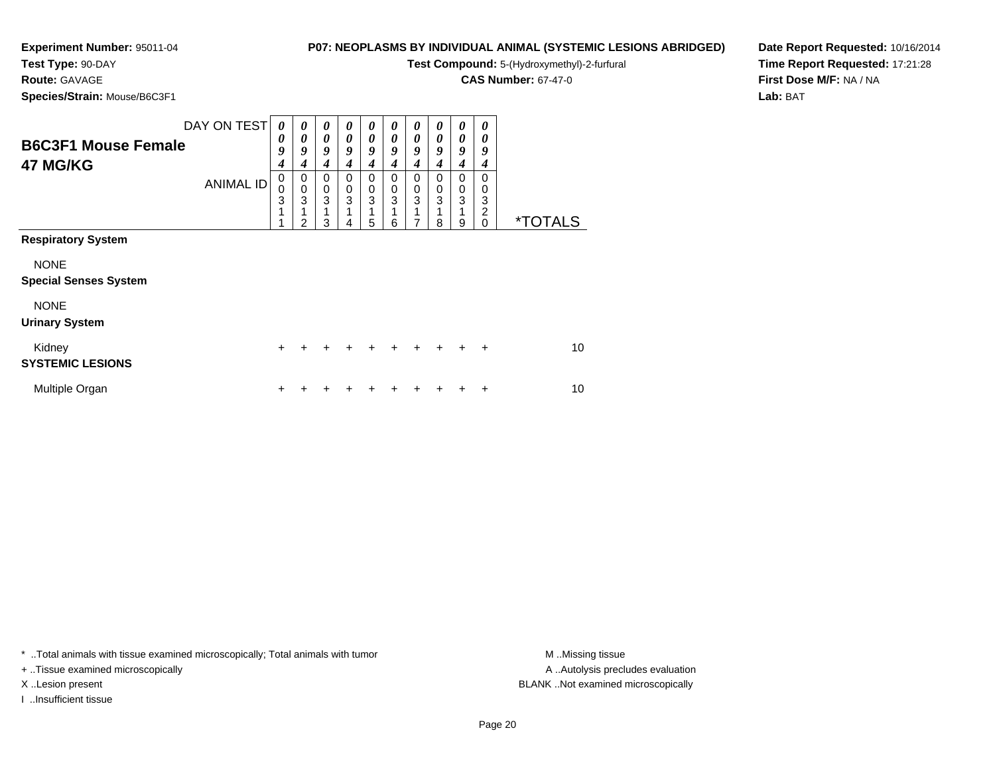# **Test Type:** 90-DAY**Route:** GAVAGE

**Species/Strain:** Mouse/B6C3F1

# **P07: NEOPLASMS BY INDIVIDUAL ANIMAL (SYSTEMIC LESIONS ABRIDGED)**

**Test Compound:** 5-(Hydroxymethyl)-2-furfural

**CAS Number:** 67-47-0

**Date Report Requested:** 10/16/2014**Time Report Requested:** 17:21:28**First Dose M/F:** NA / NA**Lab:** BAT

| <b>B6C3F1 Mouse Female</b><br>47 MG/KG                                   | DAY ON TEST<br><b>ANIMAL ID</b> | 0<br>0<br>9<br>$\boldsymbol{4}$<br>0<br>$\mathbf 0$<br>3<br>1 | 0<br>0<br>9<br>4<br>0<br>$\mathbf 0$<br>3<br>1<br>$\overline{2}$ | 0<br>0<br>9<br>4<br>0<br>$\mathbf 0$<br>3<br>3 | 0<br>0<br>9<br>4<br>0<br>0<br>3 | 0<br>0<br>9<br>4<br>0<br>$\boldsymbol{0}$<br>3<br>1 | 0<br>0<br>9<br>$\boldsymbol{4}$<br>0<br>$\mathbf 0$<br>3<br>1 | 0<br>0<br>9<br>$\boldsymbol{4}$<br>0<br>0<br>3<br>1<br>7 | N<br>0<br>9<br>4<br>0<br>0<br>3 | 0<br>0<br>9<br>4<br>0<br>0<br>3 | 0<br>0<br>9<br>4<br>0<br>0<br>3<br>2<br>$\Omega$ | <i><b>*TOTALS</b></i> |
|--------------------------------------------------------------------------|---------------------------------|---------------------------------------------------------------|------------------------------------------------------------------|------------------------------------------------|---------------------------------|-----------------------------------------------------|---------------------------------------------------------------|----------------------------------------------------------|---------------------------------|---------------------------------|--------------------------------------------------|-----------------------|
| <b>Respiratory System</b><br><b>NONE</b><br><b>Special Senses System</b> |                                 |                                                               |                                                                  |                                                |                                 | 5                                                   | 6                                                             |                                                          | 8                               | 9                               |                                                  |                       |
| <b>NONE</b><br><b>Urinary System</b><br>Kidney                           |                                 | $+$                                                           |                                                                  |                                                |                                 |                                                     |                                                               |                                                          |                                 |                                 | $\div$                                           | 10                    |
| <b>SYSTEMIC LESIONS</b><br>Multiple Organ                                |                                 | +                                                             |                                                                  |                                                |                                 |                                                     |                                                               |                                                          |                                 |                                 | +                                                | 10                    |

\* ..Total animals with tissue examined microscopically; Total animals with tumor **M** . Missing tissue M ..Missing tissue

+ ..Tissue examined microscopically

I ..Insufficient tissue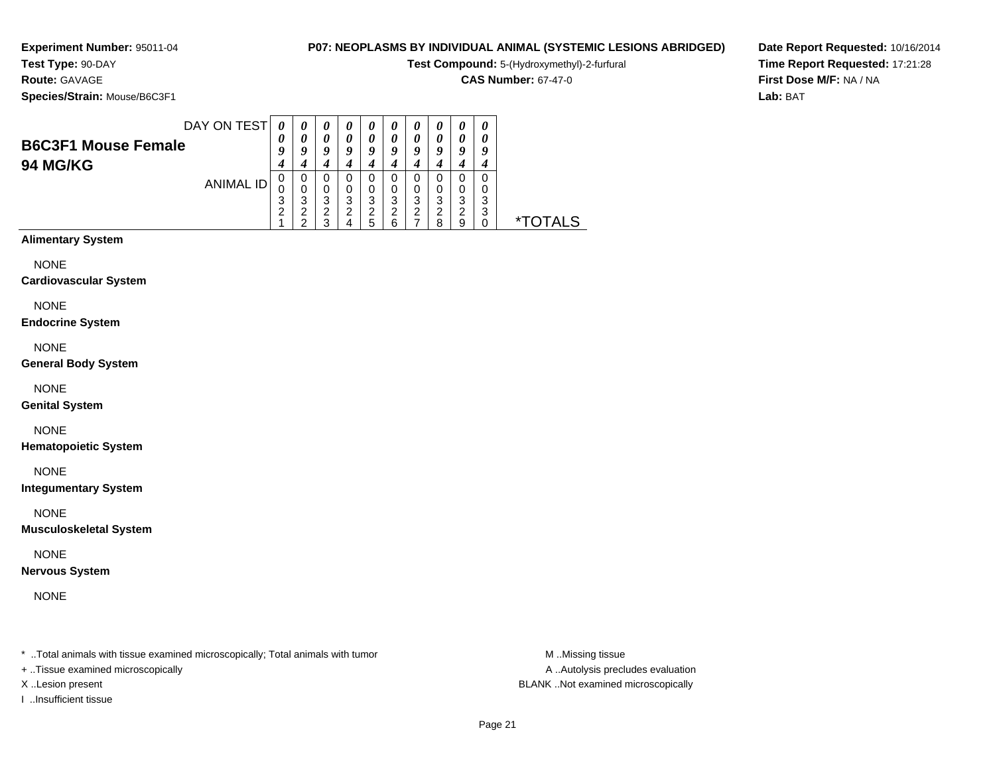# **Route:** GAVAGE

**Species/Strain:** Mouse/B6C3F1

## **P07: NEOPLASMS BY INDIVIDUAL ANIMAL (SYSTEMIC LESIONS ABRIDGED)**

**Test Compound:** 5-(Hydroxymethyl)-2-furfural

**CAS Number:** 67-47-0

**Date Report Requested:** 10/16/2014**Time Report Requested:** 17:21:28**First Dose M/F:** NA / NA**Lab:** BAT

| <b>B6C3F1 Mouse Female</b> | DAY ON TEST      | 0<br>0      | $\theta$<br>0<br>o | $\boldsymbol{\theta}$<br>0<br>9 | $\boldsymbol{\theta}$<br>0<br>о | $\boldsymbol{\theta}$<br>0<br>9 | $\boldsymbol{\theta}$<br>0<br>9 | $\boldsymbol{\theta}$<br>0<br>9 | $\boldsymbol{\theta}$<br>$\prime$<br>g | $\boldsymbol{\theta}$<br>0<br>9 | 0<br>0<br>9 |              |
|----------------------------|------------------|-------------|--------------------|---------------------------------|---------------------------------|---------------------------------|---------------------------------|---------------------------------|----------------------------------------|---------------------------------|-------------|--------------|
| <b>94 MG/KG</b>            |                  |             |                    |                                 |                                 |                                 |                                 |                                 |                                        |                                 |             |              |
|                            | <b>ANIMAL ID</b> | 0<br>0<br>З | 0<br>O<br>3        | O<br>0<br>3                     | O<br>3                          | 0<br>0<br>3                     | 0<br>3                          | 0<br>0<br>3                     | 0<br>0<br>3                            | 0<br>0<br>3                     | 0<br>0<br>3 |              |
|                            |                  | റ           | ົ                  | ົ<br>▵<br>◠                     | ⌒                               | 2<br>:5                         | っ<br>6                          | 2                               | റ<br>8                                 | 2<br>9                          | 3<br>0      | rotals<br>∗т |

# **Alimentary System**

NONE

#### **Cardiovascular System**

NONE

#### **Endocrine System**

NONE

#### **General Body System**

NONE

#### **Genital System**

NONE

#### **Hematopoietic System**

NONE

#### **Integumentary System**

NONE

#### **Musculoskeletal System**

NONE

#### **Nervous System**

NONE

\* ..Total animals with tissue examined microscopically; Total animals with tumor **M** ...Missing tissue M ...Missing tissue

+ ..Tissue examined microscopically

I ..Insufficient tissue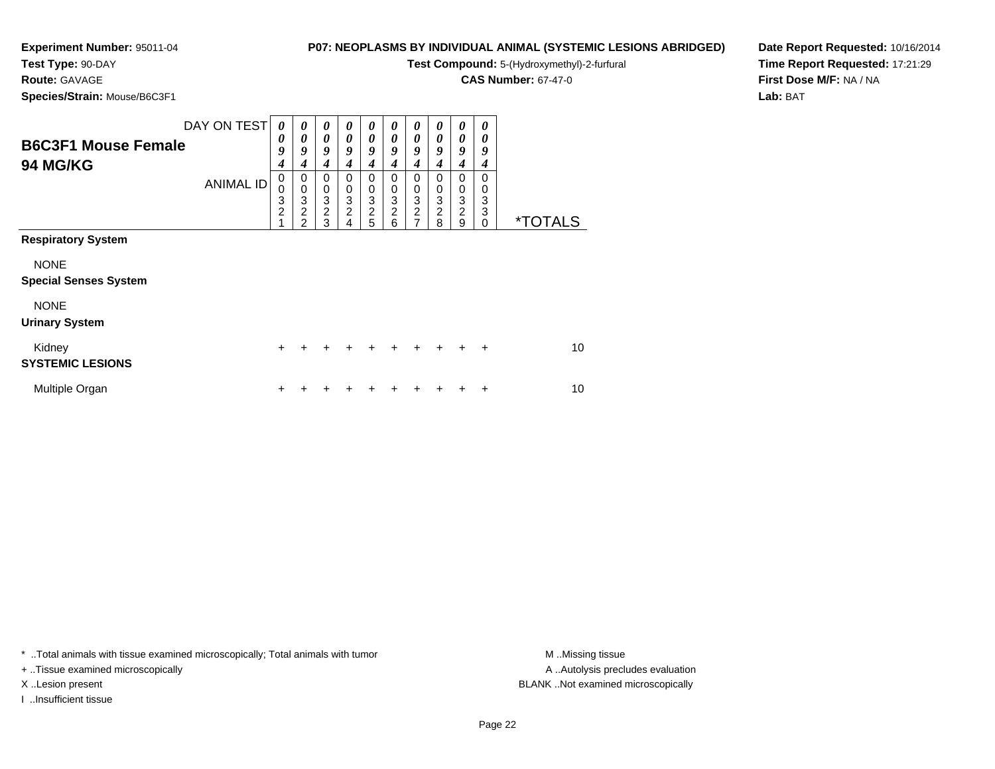# **Test Type:** 90-DAY

**Route:** GAVAGE

**Species/Strain:** Mouse/B6C3F1

# **P07: NEOPLASMS BY INDIVIDUAL ANIMAL (SYSTEMIC LESIONS ABRIDGED)**

**Test Compound:** 5-(Hydroxymethyl)-2-furfural

**CAS Number:** 67-47-0

**Date Report Requested:** 10/16/2014**Time Report Requested:** 17:21:29**First Dose M/F:** NA / NA**Lab:** BAT

| <b>B6C3F1 Mouse Female</b><br><b>94 MG/KG</b>                                           | DAY ON TEST<br><b>ANIMAL ID</b> | $\boldsymbol{\theta}$<br>0<br>9<br>$\boldsymbol{4}$<br>0<br>0<br>3<br>$\overline{c}$ | 0<br>0<br>9<br>4<br>0<br>$\mathbf 0$<br>3<br>$\overline{c}$<br>$\mathfrak{p}$ | 0<br>0<br>9<br>$\boldsymbol{4}$<br>0<br>$\pmb{0}$<br>3<br>$\overline{\mathbf{c}}$<br>3 | 0<br>0<br>9<br>4<br>0<br>$\pmb{0}$<br>$\ensuremath{\mathsf{3}}$<br>$\boldsymbol{2}$<br>4 | 0<br>0<br>9<br>4<br>0<br>$\pmb{0}$<br>3<br>$\frac{2}{5}$ | 0<br>0<br>9<br>4<br>0<br>0<br>3<br>2<br>6 | 0<br>0<br>9<br>4<br>0<br>$\boldsymbol{0}$<br>$\ensuremath{\mathsf{3}}$<br>$\frac{2}{7}$ | 0<br>0<br>9<br>4<br>0<br>0<br>$\ensuremath{\mathsf{3}}$<br>$\overline{\mathbf{c}}$<br>8 | 0<br>0<br>9<br>$\boldsymbol{4}$<br>0<br>0<br>3<br>$\overline{c}$<br>9 | 0<br>0<br>9<br>4<br>0<br>0<br>3<br>3<br>0 | <i><b>*TOTALS</b></i> |
|-----------------------------------------------------------------------------------------|---------------------------------|--------------------------------------------------------------------------------------|-------------------------------------------------------------------------------|----------------------------------------------------------------------------------------|------------------------------------------------------------------------------------------|----------------------------------------------------------|-------------------------------------------|-----------------------------------------------------------------------------------------|-----------------------------------------------------------------------------------------|-----------------------------------------------------------------------|-------------------------------------------|-----------------------|
| <b>Respiratory System</b><br><b>NONE</b><br><b>Special Senses System</b><br><b>NONE</b> |                                 |                                                                                      |                                                                               |                                                                                        |                                                                                          |                                                          |                                           |                                                                                         |                                                                                         |                                                                       |                                           |                       |
| <b>Urinary System</b><br>Kidney<br><b>SYSTEMIC LESIONS</b>                              |                                 | +                                                                                    |                                                                               |                                                                                        |                                                                                          |                                                          | +                                         |                                                                                         |                                                                                         |                                                                       | $\ddot{}$                                 | 10                    |
| Multiple Organ                                                                          |                                 | +                                                                                    |                                                                               |                                                                                        |                                                                                          |                                                          |                                           |                                                                                         |                                                                                         |                                                                       | ٠                                         | 10                    |

\* ..Total animals with tissue examined microscopically; Total animals with tumor **M** . Missing tissue M ..Missing tissue

+ ..Tissue examined microscopically

I ..Insufficient tissue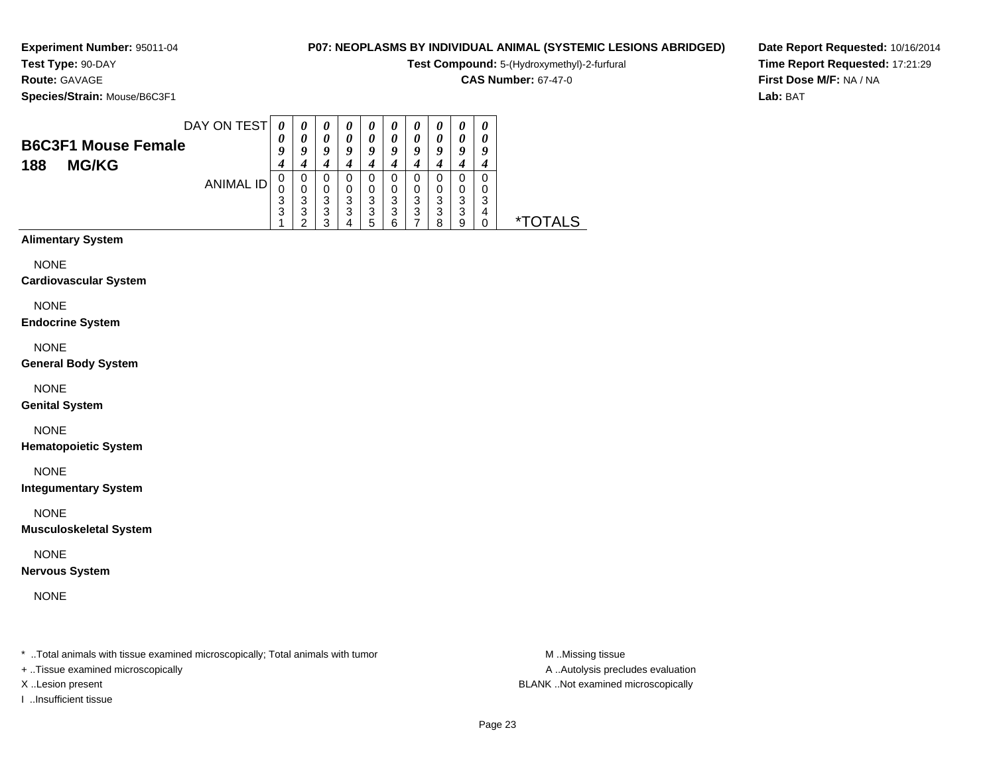# **P07: NEOPLASMS BY INDIVIDUAL ANIMAL (SYSTEMIC LESIONS ABRIDGED)**

**Test Compound:** 5-(Hydroxymethyl)-2-furfural

**CAS Number:** 67-47-0

**Date Report Requested:** 10/16/2014**Time Report Requested:** 17:21:29**First Dose M/F:** NA / NA**Lab:** BAT

**Species/Strain:** Mouse/B6C3F1

**Route:** GAVAGE

|                            | DAY ON TEST | 0           | $\theta$    | $\boldsymbol{\theta}$ | $\boldsymbol{\theta}$ | $\boldsymbol{\theta}$ | 0      | U           | U      | 0           |   |                       |
|----------------------------|-------------|-------------|-------------|-----------------------|-----------------------|-----------------------|--------|-------------|--------|-------------|---|-----------------------|
| <b>B6C3F1 Mouse Female</b> |             | U           | 0<br>o      | 0<br>Q                | 0<br>a                | 0<br>o                | 0<br>0 | 0<br>Q      | u      | 0<br>O      |   |                       |
| <b>MG/KG</b><br>188        |             | 4           |             | 4                     |                       |                       |        | 4           |        |             |   |                       |
|                            | ANIMAL ID   | U<br>ν<br>3 | 0<br>0<br>3 | 0<br>0<br>3           | 0<br>3                | 0<br>0<br>3           | O<br>ົ | 0<br>0<br>3 | O<br>ົ | 0<br>0<br>3 | ົ |                       |
|                            |             | 3           | 3<br>◠      | 3<br>◠                | 3                     | 3<br>5                | 3<br>6 | 3           | 3<br>я | 3<br>9      | 4 | <i><b>*TOTALS</b></i> |

# **Alimentary System**

NONE

#### **Cardiovascular System**

NONE

#### **Endocrine System**

NONE

#### **General Body System**

NONE

#### **Genital System**

NONE

#### **Hematopoietic System**

NONE

#### **Integumentary System**

NONE

#### **Musculoskeletal System**

NONE

#### **Nervous System**

NONE

\* ..Total animals with tissue examined microscopically; Total animals with tumor **M** ...Missing tissue M ...Missing tissue

+ ..Tissue examined microscopically

I ..Insufficient tissue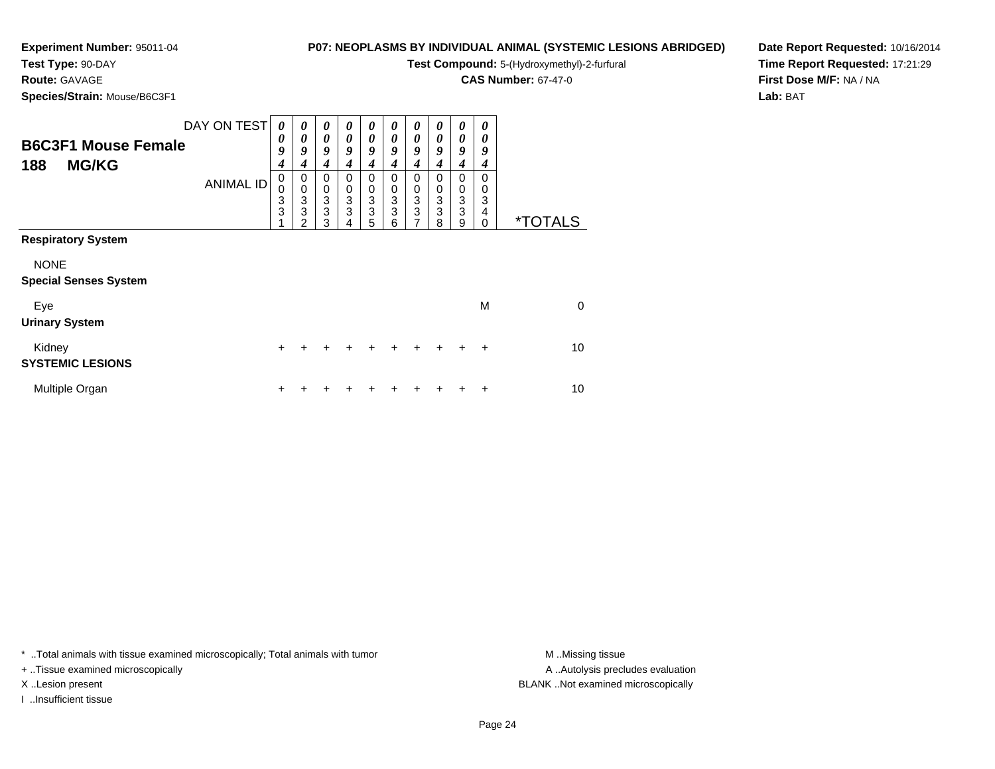# **P07: NEOPLASMS BY INDIVIDUAL ANIMAL (SYSTEMIC LESIONS ABRIDGED)**

**Test Compound:** 5-(Hydroxymethyl)-2-furfural

**CAS Number:** 67-47-0

**Date Report Requested:** 10/16/2014**Time Report Requested:** 17:21:29**First Dose M/F:** NA / NA**Lab:** BAT

**Species/Strain:** Mouse/B6C3F1

**Route:** GAVAGE

| <b>B6C3F1 Mouse Female</b><br><b>MG/KG</b><br>188 | DAY ON TEST      | 0<br>0<br>9<br>$\boldsymbol{4}$         | 0<br>0<br>9<br>$\boldsymbol{4}$ | 0<br>0<br>9<br>4                              | 0<br>0<br>9<br>4                  | 0<br>$\boldsymbol{\theta}$<br>$\boldsymbol{g}$<br>$\boldsymbol{4}$            | 0<br>0<br>9<br>4                                             | 0<br>0<br>9<br>4                | 0<br>0<br>9<br>$\boldsymbol{4}$                                                        | 0<br>0<br>9<br>4      | $\boldsymbol{\theta}$<br>0<br>9<br>4 |                       |
|---------------------------------------------------|------------------|-----------------------------------------|---------------------------------|-----------------------------------------------|-----------------------------------|-------------------------------------------------------------------------------|--------------------------------------------------------------|---------------------------------|----------------------------------------------------------------------------------------|-----------------------|--------------------------------------|-----------------------|
|                                                   | <b>ANIMAL ID</b> | 0<br>$\mathbf 0$<br>3<br>$\overline{3}$ | 0<br>$\pmb{0}$<br>3<br>3<br>っ   | 0<br>$\begin{matrix}0\\3\\3\end{matrix}$<br>3 | $\Omega$<br>$\mathbf 0$<br>3<br>3 | 0<br>$\pmb{0}$<br>$\ensuremath{\mathsf{3}}$<br>$\ensuremath{\mathsf{3}}$<br>5 | $\Omega$<br>$\mathbf 0$<br>$\mathbf{3}$<br>$\mathbf{3}$<br>6 | 0<br>$\mathbf 0$<br>3<br>3<br>7 | $\Omega$<br>$\mathbf 0$<br>$\ensuremath{\mathsf{3}}$<br>$\ensuremath{\mathsf{3}}$<br>8 | 0<br>0<br>3<br>3<br>9 | 0<br>0<br>3<br>4<br>$\mathbf 0$      | <i><b>*TOTALS</b></i> |
| <b>Respiratory System</b>                         |                  |                                         |                                 |                                               |                                   |                                                                               |                                                              |                                 |                                                                                        |                       |                                      |                       |
| <b>NONE</b><br><b>Special Senses System</b>       |                  |                                         |                                 |                                               |                                   |                                                                               |                                                              |                                 |                                                                                        |                       |                                      |                       |
| Eye<br><b>Urinary System</b>                      |                  |                                         |                                 |                                               |                                   |                                                                               |                                                              |                                 |                                                                                        |                       | M                                    | $\mathbf 0$           |
| Kidney<br><b>SYSTEMIC LESIONS</b>                 |                  | +                                       |                                 |                                               |                                   |                                                                               |                                                              | +                               | $\ddot{}$                                                                              | $\ddot{}$             | $\ddot{}$                            | 10                    |
| Multiple Organ                                    |                  | +                                       |                                 |                                               |                                   |                                                                               |                                                              |                                 |                                                                                        |                       | +                                    | 10                    |

\* ..Total animals with tissue examined microscopically; Total animals with tumor **M** . Missing tissue M ..Missing tissue

+ ..Tissue examined microscopically

I ..Insufficient tissue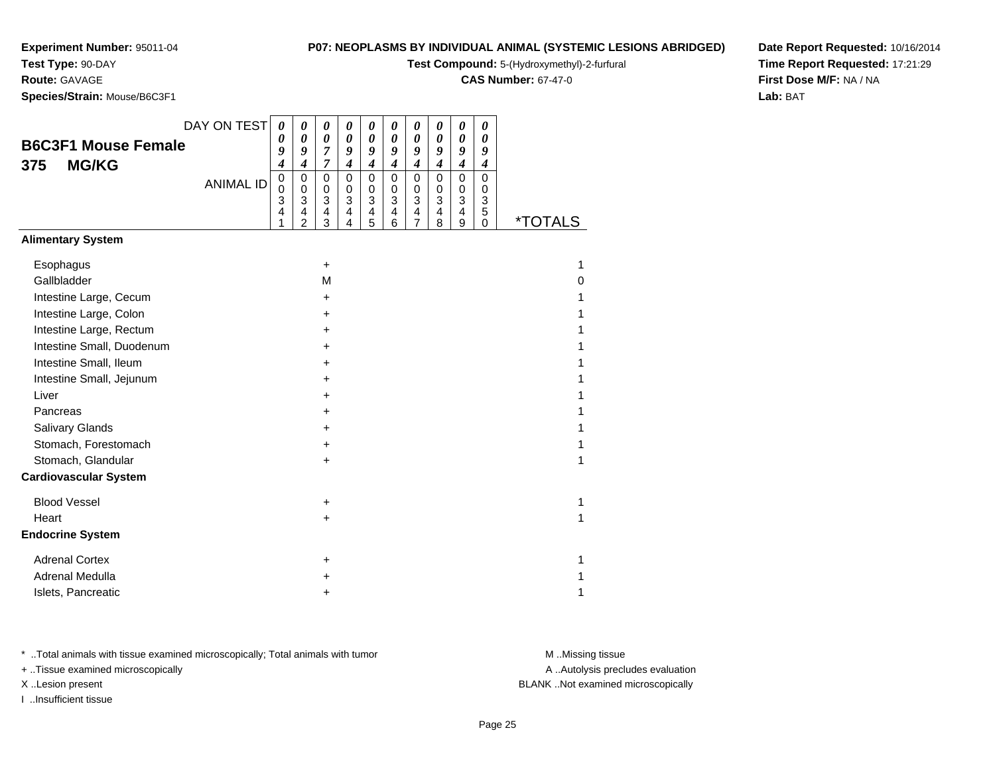**Test Type:** 90-DAY

# **Route:** GAVAGE

**Species/Strain:** Mouse/B6C3F1

# **P07: NEOPLASMS BY INDIVIDUAL ANIMAL (SYSTEMIC LESIONS ABRIDGED)**

**Test Compound:** 5-(Hydroxymethyl)-2-furfural

**CAS Number:** 67-47-0

**Date Report Requested:** 10/16/2014**Time Report Requested:** 17:21:29**First Dose M/F:** NA / NA**Lab:** BAT

|                              | DAY ON TEST      | 0                        | 0                                  | 0                                                       | 0                               | 0                             | 0                                                       | $\boldsymbol{\theta}$                                 | 0                               | 0                                                                    | 0                                          |                       |
|------------------------------|------------------|--------------------------|------------------------------------|---------------------------------------------------------|---------------------------------|-------------------------------|---------------------------------------------------------|-------------------------------------------------------|---------------------------------|----------------------------------------------------------------------|--------------------------------------------|-----------------------|
| <b>B6C3F1 Mouse Female</b>   |                  | 0<br>9                   | 0<br>9                             | 0<br>7                                                  | 0<br>9                          | 0<br>9                        | 0<br>9                                                  | 0<br>9                                                | $\boldsymbol{\theta}$<br>9      | 0<br>9                                                               | 0<br>9                                     |                       |
| <b>MG/KG</b><br>375          |                  | 4                        | 4                                  | 7                                                       | $\boldsymbol{4}$                | $\boldsymbol{4}$              | $\boldsymbol{4}$                                        | $\boldsymbol{4}$                                      | 4                               | 4                                                                    | 4                                          |                       |
|                              | <b>ANIMAL ID</b> | $\pmb{0}$<br>0<br>3<br>4 | 0<br>0<br>3<br>4<br>$\overline{2}$ | $\mathbf 0$<br>0<br>$\mathbf{3}$<br>$\overline{4}$<br>3 | $\mathbf 0$<br>0<br>3<br>4<br>4 | $\pmb{0}$<br>0<br>3<br>4<br>5 | $\mathbf 0$<br>0<br>$\ensuremath{\mathsf{3}}$<br>4<br>6 | $\pmb{0}$<br>0<br>$\mathbf{3}$<br>$\overline{4}$<br>7 | $\mathbf 0$<br>0<br>3<br>4<br>8 | $\pmb{0}$<br>0<br>$\ensuremath{\mathsf{3}}$<br>4<br>$\boldsymbol{9}$ | $\mathbf 0$<br>0<br>$\mathbf{3}$<br>5<br>0 | <i><b>*TOTALS</b></i> |
| <b>Alimentary System</b>     |                  |                          |                                    |                                                         |                                 |                               |                                                         |                                                       |                                 |                                                                      |                                            |                       |
| Esophagus                    |                  |                          |                                    | +                                                       |                                 |                               |                                                         |                                                       |                                 |                                                                      |                                            | 1                     |
| Gallbladder                  |                  |                          |                                    | M                                                       |                                 |                               |                                                         |                                                       |                                 |                                                                      |                                            | 0                     |
| Intestine Large, Cecum       |                  |                          |                                    | +                                                       |                                 |                               |                                                         |                                                       |                                 |                                                                      |                                            |                       |
| Intestine Large, Colon       |                  |                          |                                    | +                                                       |                                 |                               |                                                         |                                                       |                                 |                                                                      |                                            |                       |
| Intestine Large, Rectum      |                  |                          |                                    | +                                                       |                                 |                               |                                                         |                                                       |                                 |                                                                      |                                            |                       |
| Intestine Small, Duodenum    |                  |                          |                                    | +                                                       |                                 |                               |                                                         |                                                       |                                 |                                                                      |                                            |                       |
| Intestine Small, Ileum       |                  |                          |                                    | +                                                       |                                 |                               |                                                         |                                                       |                                 |                                                                      |                                            |                       |
| Intestine Small, Jejunum     |                  |                          |                                    | +                                                       |                                 |                               |                                                         |                                                       |                                 |                                                                      |                                            |                       |
| Liver                        |                  |                          |                                    | +                                                       |                                 |                               |                                                         |                                                       |                                 |                                                                      |                                            |                       |
| Pancreas                     |                  |                          |                                    | +                                                       |                                 |                               |                                                         |                                                       |                                 |                                                                      |                                            |                       |
| Salivary Glands              |                  |                          |                                    | +                                                       |                                 |                               |                                                         |                                                       |                                 |                                                                      |                                            |                       |
| Stomach, Forestomach         |                  |                          |                                    | +                                                       |                                 |                               |                                                         |                                                       |                                 |                                                                      |                                            |                       |
| Stomach, Glandular           |                  |                          |                                    | $\pm$                                                   |                                 |                               |                                                         |                                                       |                                 |                                                                      |                                            | 1                     |
| <b>Cardiovascular System</b> |                  |                          |                                    |                                                         |                                 |                               |                                                         |                                                       |                                 |                                                                      |                                            |                       |
| <b>Blood Vessel</b>          |                  |                          |                                    | +                                                       |                                 |                               |                                                         |                                                       |                                 |                                                                      |                                            | 1                     |
| Heart                        |                  |                          |                                    | +                                                       |                                 |                               |                                                         |                                                       |                                 |                                                                      |                                            | 1                     |
| <b>Endocrine System</b>      |                  |                          |                                    |                                                         |                                 |                               |                                                         |                                                       |                                 |                                                                      |                                            |                       |
| <b>Adrenal Cortex</b>        |                  |                          |                                    | +                                                       |                                 |                               |                                                         |                                                       |                                 |                                                                      |                                            | 1                     |
| Adrenal Medulla              |                  |                          |                                    | +                                                       |                                 |                               |                                                         |                                                       |                                 |                                                                      |                                            |                       |
| Islets, Pancreatic           |                  |                          |                                    | +                                                       |                                 |                               |                                                         |                                                       |                                 |                                                                      |                                            | 1                     |

\* ..Total animals with tissue examined microscopically; Total animals with tumor **M** . Missing tissue M ..Missing tissue

+ ..Tissue examined microscopically

I ..Insufficient tissue

A ..Autolysis precludes evaluation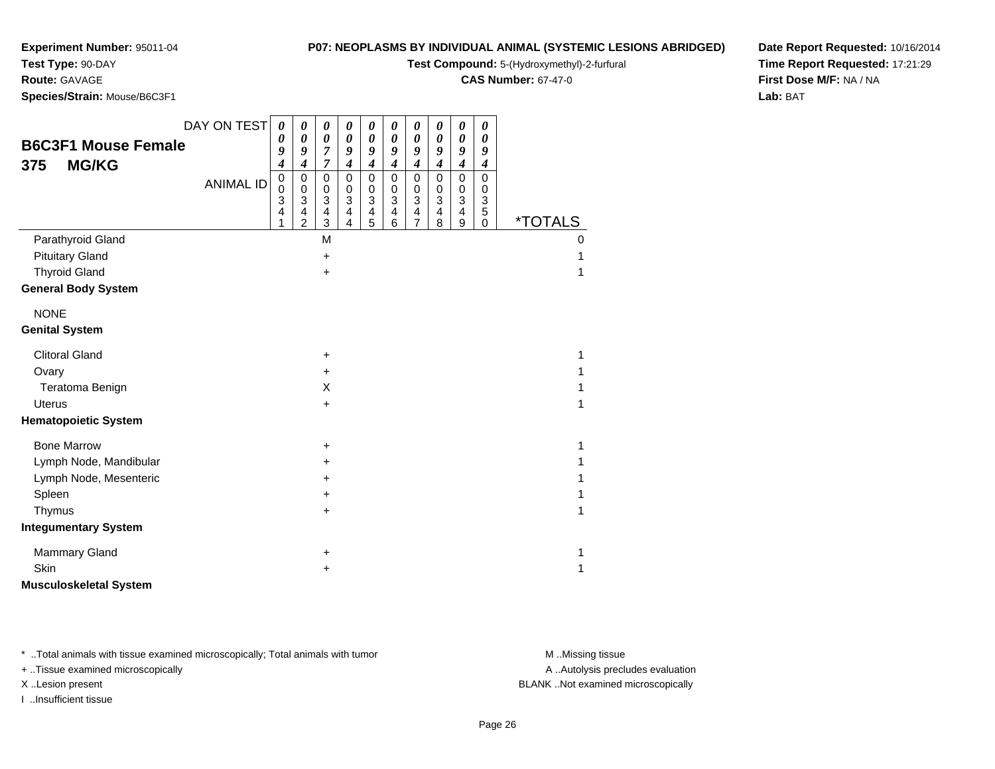**Test Type:** 90-DAY**Route:** GAVAGE

# **P07: NEOPLASMS BY INDIVIDUAL ANIMAL (SYSTEMIC LESIONS ABRIDGED)**

**Test Compound:** 5-(Hydroxymethyl)-2-furfural

**CAS Number:** 67-47-0

**Date Report Requested:** 10/16/2014**Time Report Requested:** 17:21:29**First Dose M/F:** NA / NA**Lab:** BAT

**Species/Strain:** Mouse/B6C3F1

|                               | DAY ON TEST      | 0                                | 0                                                                                | $\boldsymbol{\theta}$                                 | $\pmb{\theta}$                                                             | 0                                                                             | 0                                                                             | $\pmb{\theta}$                               | 0                                                     | $\boldsymbol{\theta}$                                   | 0                                                                              |                       |
|-------------------------------|------------------|----------------------------------|----------------------------------------------------------------------------------|-------------------------------------------------------|----------------------------------------------------------------------------|-------------------------------------------------------------------------------|-------------------------------------------------------------------------------|----------------------------------------------|-------------------------------------------------------|---------------------------------------------------------|--------------------------------------------------------------------------------|-----------------------|
| <b>B6C3F1 Mouse Female</b>    |                  | 0                                | $\pmb{\theta}$                                                                   | $\boldsymbol{\theta}$                                 | $\boldsymbol{\theta}$                                                      | $\boldsymbol{\theta}$                                                         | $\pmb{\theta}$                                                                | $\boldsymbol{\theta}$                        | 0                                                     | $\boldsymbol{\theta}$                                   | $\boldsymbol{\theta}$                                                          |                       |
| <b>MG/KG</b><br>375           |                  | 9<br>4                           | 9<br>$\boldsymbol{4}$                                                            | 7<br>$\overline{7}$                                   | 9<br>$\boldsymbol{4}$                                                      | 9<br>$\boldsymbol{4}$                                                         | 9<br>$\boldsymbol{4}$                                                         | 9<br>$\boldsymbol{4}$                        | 9<br>$\boldsymbol{4}$                                 | 9<br>$\boldsymbol{4}$                                   | 9<br>$\boldsymbol{4}$                                                          |                       |
|                               | <b>ANIMAL ID</b> | $\pmb{0}$<br>$\pmb{0}$<br>3<br>4 | 0<br>0<br>$\ensuremath{\mathsf{3}}$<br>$\overline{\mathbf{4}}$<br>$\overline{2}$ | $\mathbf 0$<br>0<br>3<br>$\overline{\mathbf{4}}$<br>3 | $\pmb{0}$<br>$\,0\,$<br>$\overline{3}$<br>$\overline{4}$<br>$\overline{4}$ | $\mathbf 0$<br>0<br>$\ensuremath{\mathsf{3}}$<br>$\overline{\mathbf{4}}$<br>5 | $\mathbf 0$<br>0<br>$\ensuremath{\mathsf{3}}$<br>$\overline{\mathbf{4}}$<br>6 | $\mathbf 0$<br>0<br>3<br>4<br>$\overline{7}$ | $\mathbf 0$<br>0<br>3<br>$\overline{\mathbf{4}}$<br>8 | $\mathbf 0$<br>0<br>$\mathbf{3}$<br>$\overline{4}$<br>9 | $\mathbf 0$<br>0<br>$\ensuremath{\mathsf{3}}$<br>$\overline{5}$<br>$\mathbf 0$ | <i><b>*TOTALS</b></i> |
| Parathyroid Gland             |                  |                                  |                                                                                  | M                                                     |                                                                            |                                                                               |                                                                               |                                              |                                                       |                                                         |                                                                                | $\Omega$              |
| <b>Pituitary Gland</b>        |                  |                                  |                                                                                  | +                                                     |                                                                            |                                                                               |                                                                               |                                              |                                                       |                                                         |                                                                                | 1                     |
| <b>Thyroid Gland</b>          |                  |                                  |                                                                                  | $\ddot{}$                                             |                                                                            |                                                                               |                                                                               |                                              |                                                       |                                                         |                                                                                |                       |
| <b>General Body System</b>    |                  |                                  |                                                                                  |                                                       |                                                                            |                                                                               |                                                                               |                                              |                                                       |                                                         |                                                                                |                       |
| <b>NONE</b>                   |                  |                                  |                                                                                  |                                                       |                                                                            |                                                                               |                                                                               |                                              |                                                       |                                                         |                                                                                |                       |
| <b>Genital System</b>         |                  |                                  |                                                                                  |                                                       |                                                                            |                                                                               |                                                                               |                                              |                                                       |                                                         |                                                                                |                       |
| <b>Clitoral Gland</b>         |                  |                                  |                                                                                  | $\ddot{}$                                             |                                                                            |                                                                               |                                                                               |                                              |                                                       |                                                         |                                                                                | 1                     |
| Ovary                         |                  |                                  |                                                                                  | $\ddot{}$                                             |                                                                            |                                                                               |                                                                               |                                              |                                                       |                                                         |                                                                                |                       |
| Teratoma Benign               |                  |                                  |                                                                                  | X                                                     |                                                                            |                                                                               |                                                                               |                                              |                                                       |                                                         |                                                                                |                       |
| <b>Uterus</b>                 |                  |                                  |                                                                                  | +                                                     |                                                                            |                                                                               |                                                                               |                                              |                                                       |                                                         |                                                                                | 1                     |
| <b>Hematopoietic System</b>   |                  |                                  |                                                                                  |                                                       |                                                                            |                                                                               |                                                                               |                                              |                                                       |                                                         |                                                                                |                       |
| <b>Bone Marrow</b>            |                  |                                  |                                                                                  | $\ddot{}$                                             |                                                                            |                                                                               |                                                                               |                                              |                                                       |                                                         |                                                                                | 1                     |
| Lymph Node, Mandibular        |                  |                                  |                                                                                  | $\ddot{}$                                             |                                                                            |                                                                               |                                                                               |                                              |                                                       |                                                         |                                                                                |                       |
| Lymph Node, Mesenteric        |                  |                                  |                                                                                  | $\ddot{}$                                             |                                                                            |                                                                               |                                                                               |                                              |                                                       |                                                         |                                                                                |                       |
| Spleen                        |                  |                                  |                                                                                  | +                                                     |                                                                            |                                                                               |                                                                               |                                              |                                                       |                                                         |                                                                                |                       |
| Thymus                        |                  |                                  |                                                                                  | $\ddot{}$                                             |                                                                            |                                                                               |                                                                               |                                              |                                                       |                                                         |                                                                                | 1                     |
| <b>Integumentary System</b>   |                  |                                  |                                                                                  |                                                       |                                                                            |                                                                               |                                                                               |                                              |                                                       |                                                         |                                                                                |                       |
| <b>Mammary Gland</b>          |                  |                                  |                                                                                  | +                                                     |                                                                            |                                                                               |                                                                               |                                              |                                                       |                                                         |                                                                                | 1                     |
| Skin                          |                  |                                  |                                                                                  | +                                                     |                                                                            |                                                                               |                                                                               |                                              |                                                       |                                                         |                                                                                | 1                     |
| <b>Musculoskeletal System</b> |                  |                                  |                                                                                  |                                                       |                                                                            |                                                                               |                                                                               |                                              |                                                       |                                                         |                                                                                |                       |

\* ..Total animals with tissue examined microscopically; Total animals with tumor **M** . Missing tissue M ..Missing tissue

+ ..Tissue examined microscopically

I ..Insufficient tissue

A ..Autolysis precludes evaluation

X ..Lesion present BLANK ..Not examined microscopically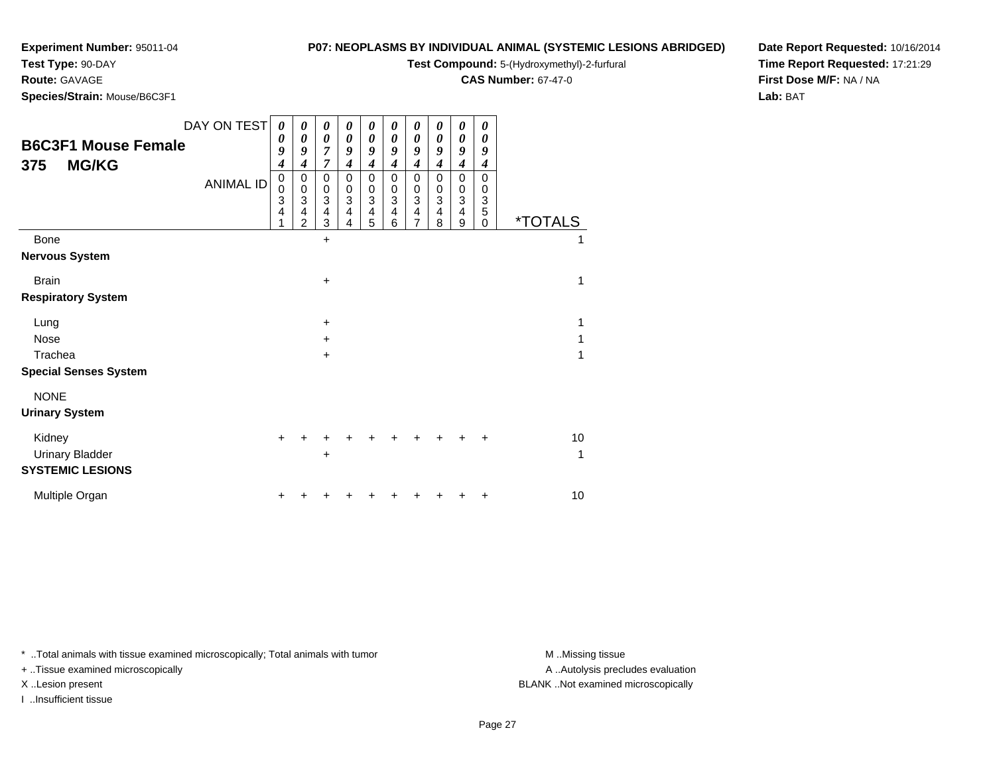# **Test Type:** 90-DAY

**Route:** GAVAGE

**Species/Strain:** Mouse/B6C3F1

## **P07: NEOPLASMS BY INDIVIDUAL ANIMAL (SYSTEMIC LESIONS ABRIDGED)**

**Test Compound:** 5-(Hydroxymethyl)-2-furfural

**CAS Number:** 67-47-0

**Date Report Requested:** 10/16/2014**Time Report Requested:** 17:21:29**First Dose M/F:** NA / NA**Lab:** BAT

| <b>B6C3F1 Mouse Female</b><br><b>MG/KG</b><br>375           | DAY ON TEST<br><b>ANIMAL ID</b> | 0<br>0<br>9<br>$\boldsymbol{4}$<br>$\pmb{0}$<br>$\mathbf 0$<br>$\overline{3}$<br>$\overline{\mathbf{4}}$<br>1 | 0<br>0<br>9<br>4<br>0<br>0<br>$\ensuremath{\mathsf{3}}$<br>$\overline{\mathbf{4}}$<br>$\overline{2}$ | 0<br>$\boldsymbol{\theta}$<br>$\overline{7}$<br>$\overline{7}$<br>0<br>$\mathbf 0$<br>$\overline{3}$<br>$\overline{4}$<br>3 | 0<br>0<br>9<br>4<br>0<br>0<br>3<br>4<br>4 | 0<br>0<br>9<br>4<br>0<br>0<br>3<br>4<br>5 | 0<br>0<br>9<br>4<br>$\mathbf 0$<br>0<br>3<br>$\overline{4}$<br>6 | 0<br>0<br>9<br>4<br>0<br>0<br>3<br>$\overline{\mathbf{4}}$<br>$\overline{7}$ | 0<br>0<br>9<br>4<br>0<br>0<br>$\mathbf{3}$<br>$\overline{\mathbf{4}}$<br>8 | 0<br>0<br>9<br>$\boldsymbol{4}$<br>$\mathbf 0$<br>$\mathbf 0$<br>3<br>$\overline{\mathbf{4}}$<br>$\boldsymbol{9}$ | 0<br>0<br>9<br>4<br>$\mathbf 0$<br>0<br>3<br>5<br>0 | <i><b>*TOTALS</b></i> |
|-------------------------------------------------------------|---------------------------------|---------------------------------------------------------------------------------------------------------------|------------------------------------------------------------------------------------------------------|-----------------------------------------------------------------------------------------------------------------------------|-------------------------------------------|-------------------------------------------|------------------------------------------------------------------|------------------------------------------------------------------------------|----------------------------------------------------------------------------|-------------------------------------------------------------------------------------------------------------------|-----------------------------------------------------|-----------------------|
| Bone                                                        |                                 |                                                                                                               |                                                                                                      | $\ddot{}$                                                                                                                   |                                           |                                           |                                                                  |                                                                              |                                                                            |                                                                                                                   |                                                     | 1                     |
| <b>Nervous System</b>                                       |                                 |                                                                                                               |                                                                                                      |                                                                                                                             |                                           |                                           |                                                                  |                                                                              |                                                                            |                                                                                                                   |                                                     |                       |
| <b>Brain</b>                                                |                                 |                                                                                                               |                                                                                                      | $+$                                                                                                                         |                                           |                                           |                                                                  |                                                                              |                                                                            |                                                                                                                   |                                                     | 1                     |
| <b>Respiratory System</b>                                   |                                 |                                                                                                               |                                                                                                      |                                                                                                                             |                                           |                                           |                                                                  |                                                                              |                                                                            |                                                                                                                   |                                                     |                       |
| Lung                                                        |                                 |                                                                                                               |                                                                                                      | $\ddot{}$                                                                                                                   |                                           |                                           |                                                                  |                                                                              |                                                                            |                                                                                                                   |                                                     | 1                     |
| <b>Nose</b>                                                 |                                 |                                                                                                               |                                                                                                      | $+$                                                                                                                         |                                           |                                           |                                                                  |                                                                              |                                                                            |                                                                                                                   |                                                     | 1                     |
| Trachea                                                     |                                 |                                                                                                               |                                                                                                      | $\ddot{}$                                                                                                                   |                                           |                                           |                                                                  |                                                                              |                                                                            |                                                                                                                   |                                                     | 1                     |
| <b>Special Senses System</b>                                |                                 |                                                                                                               |                                                                                                      |                                                                                                                             |                                           |                                           |                                                                  |                                                                              |                                                                            |                                                                                                                   |                                                     |                       |
| <b>NONE</b>                                                 |                                 |                                                                                                               |                                                                                                      |                                                                                                                             |                                           |                                           |                                                                  |                                                                              |                                                                            |                                                                                                                   |                                                     |                       |
| <b>Urinary System</b>                                       |                                 |                                                                                                               |                                                                                                      |                                                                                                                             |                                           |                                           |                                                                  |                                                                              |                                                                            |                                                                                                                   |                                                     |                       |
| Kidney<br><b>Urinary Bladder</b><br><b>SYSTEMIC LESIONS</b> |                                 | $\ddot{}$                                                                                                     |                                                                                                      | ٠                                                                                                                           |                                           |                                           |                                                                  |                                                                              |                                                                            |                                                                                                                   |                                                     | 10<br>1               |
| Multiple Organ                                              |                                 |                                                                                                               |                                                                                                      |                                                                                                                             |                                           |                                           |                                                                  |                                                                              |                                                                            |                                                                                                                   |                                                     | 10                    |

\* ..Total animals with tissue examined microscopically; Total animals with tumor **M** . Missing tissue M ..Missing tissue

+ ..Tissue examined microscopically

I ..Insufficient tissue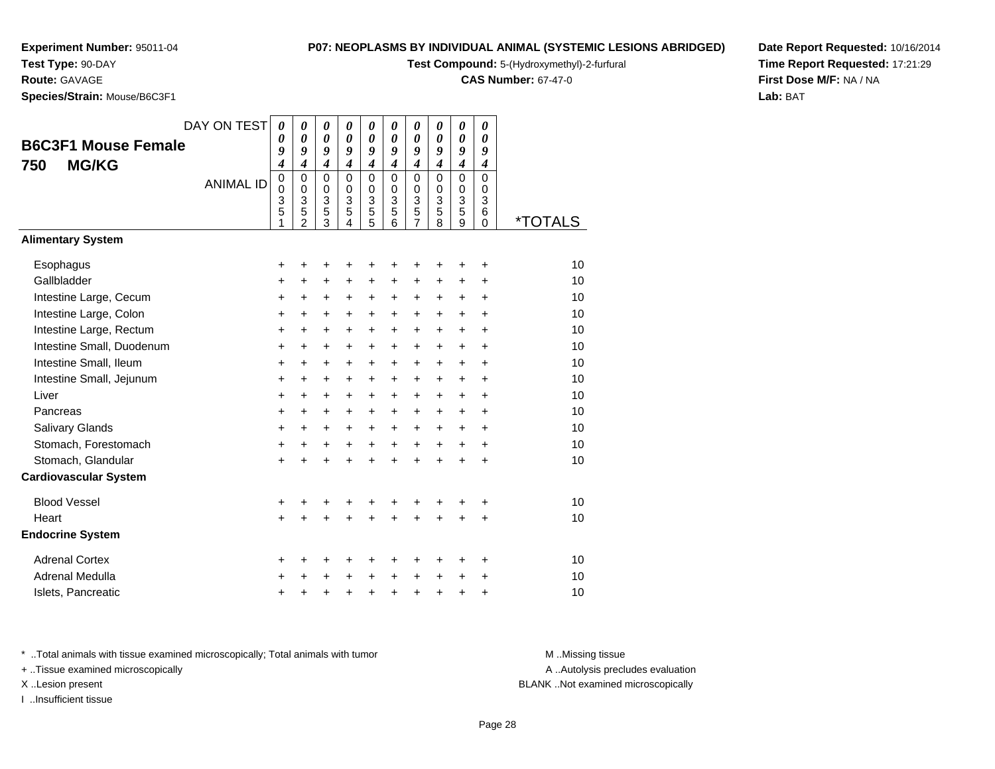# **Test Type:** 90-DAY

**Route:** GAVAGE

**Species/Strain:** Mouse/B6C3F1

## **P07: NEOPLASMS BY INDIVIDUAL ANIMAL (SYSTEMIC LESIONS ABRIDGED)**

**Test Compound:** 5-(Hydroxymethyl)-2-furfural

**CAS Number:** 67-47-0

**Date Report Requested:** 10/16/2014**Time Report Requested:** 17:21:29**First Dose M/F:** NA / NA**Lab:** BAT

| <b>B6C3F1 Mouse Female</b><br><b>MG/KG</b><br>750 | DAY ON TEST<br><b>ANIMAL ID</b> | $\boldsymbol{\theta}$<br>$\theta$<br>9<br>4<br>$\overline{0}$<br>0<br>3<br>5<br>1 | 0<br>$\boldsymbol{\theta}$<br>9<br>$\boldsymbol{4}$<br>$\mathbf 0$<br>$\mathbf 0$<br>3<br>5<br>$\mathfrak{p}$ | $\boldsymbol{\theta}$<br>$\boldsymbol{\theta}$<br>9<br>$\boldsymbol{4}$<br>$\mathbf 0$<br>$\mathbf 0$<br>3<br>$\frac{5}{3}$ | 0<br>$\boldsymbol{\theta}$<br>9<br>$\boldsymbol{4}$<br>$\mathbf 0$<br>$\mathbf 0$<br>$\overline{3}$<br>$\overline{5}$<br>4 | 0<br>$\boldsymbol{\theta}$<br>9<br>$\boldsymbol{4}$<br>$\mathbf 0$<br>$\pmb{0}$<br>$\ensuremath{\mathsf{3}}$<br>$\frac{5}{5}$ | 0<br>$\boldsymbol{\theta}$<br>9<br>$\boldsymbol{4}$<br>$\mathbf 0$<br>$\mathbf 0$<br>$\mathfrak{S}$<br>5<br>6 | 0<br>$\boldsymbol{\theta}$<br>9<br>$\boldsymbol{4}$<br>$\mathbf 0$<br>$\mathbf 0$<br>3<br>$\frac{5}{7}$ | 0<br>$\boldsymbol{\theta}$<br>9<br>$\boldsymbol{4}$<br>$\mathbf 0$<br>$\mathbf 0$<br>$\mathbf{3}$<br>5<br>8 | 0<br>$\boldsymbol{\theta}$<br>9<br>$\boldsymbol{4}$<br>$\mathbf 0$<br>$\begin{array}{c} 0 \\ 3 \\ 5 \\ 9 \end{array}$ | 0<br>$\boldsymbol{\theta}$<br>9<br>$\boldsymbol{4}$<br>$\overline{0}$<br>$\mathbf 0$<br>3<br>6<br>$\Omega$ | <i><b>*TOTALS</b></i> |
|---------------------------------------------------|---------------------------------|-----------------------------------------------------------------------------------|---------------------------------------------------------------------------------------------------------------|-----------------------------------------------------------------------------------------------------------------------------|----------------------------------------------------------------------------------------------------------------------------|-------------------------------------------------------------------------------------------------------------------------------|---------------------------------------------------------------------------------------------------------------|---------------------------------------------------------------------------------------------------------|-------------------------------------------------------------------------------------------------------------|-----------------------------------------------------------------------------------------------------------------------|------------------------------------------------------------------------------------------------------------|-----------------------|
| <b>Alimentary System</b>                          |                                 |                                                                                   |                                                                                                               |                                                                                                                             |                                                                                                                            |                                                                                                                               |                                                                                                               |                                                                                                         |                                                                                                             |                                                                                                                       |                                                                                                            |                       |
| Esophagus<br>Gallbladder                          |                                 | +<br>+                                                                            | +<br>$\ddot{}$                                                                                                | +<br>+                                                                                                                      | +<br>+                                                                                                                     | +<br>+                                                                                                                        | +<br>+                                                                                                        | +<br>+                                                                                                  | +<br>+                                                                                                      | +<br>+                                                                                                                | +<br>÷                                                                                                     | 10<br>10              |
| Intestine Large, Cecum                            |                                 | +                                                                                 | $\ddot{}$                                                                                                     | $\ddot{}$                                                                                                                   | $\ddot{}$                                                                                                                  | $\ddot{}$                                                                                                                     | $\ddot{}$                                                                                                     | +                                                                                                       | +                                                                                                           | +                                                                                                                     | +                                                                                                          | 10                    |
| Intestine Large, Colon                            |                                 | $\ddot{}$                                                                         | $\ddot{}$                                                                                                     | $\ddot{}$                                                                                                                   | $\ddot{}$                                                                                                                  | $\ddot{}$                                                                                                                     | $\ddot{}$                                                                                                     | $\ddot{}$                                                                                               | $\ddot{}$                                                                                                   | $\ddot{}$                                                                                                             | $\ddot{}$                                                                                                  | 10                    |
| Intestine Large, Rectum                           |                                 | $\ddot{}$                                                                         | $\ddot{}$                                                                                                     | $\ddot{}$                                                                                                                   | $\ddot{}$                                                                                                                  | +                                                                                                                             | $\ddot{}$                                                                                                     | $\ddot{}$                                                                                               | $\ddot{}$                                                                                                   | $\ddot{}$                                                                                                             | $\ddot{}$                                                                                                  | 10                    |
| Intestine Small, Duodenum                         |                                 | $\ddot{}$                                                                         | $\ddot{}$                                                                                                     | $\ddot{}$                                                                                                                   | $\ddot{}$                                                                                                                  | +                                                                                                                             | $\ddot{}$                                                                                                     | $\ddot{}$                                                                                               | $\ddot{}$                                                                                                   | $+$                                                                                                                   | $\ddot{}$                                                                                                  | 10                    |
| Intestine Small, Ileum                            |                                 | $\ddot{}$                                                                         | $\ddot{}$                                                                                                     | $\ddot{}$                                                                                                                   | $\ddot{}$                                                                                                                  | $\ddot{}$                                                                                                                     | $\ddot{}$                                                                                                     | $\ddot{}$                                                                                               | $+$                                                                                                         | $\ddot{}$                                                                                                             | $\ddot{}$                                                                                                  | 10                    |
| Intestine Small, Jejunum<br>Liver                 |                                 | $\ddot{}$                                                                         | $\ddot{}$                                                                                                     | $\ddot{}$                                                                                                                   | $\ddot{}$                                                                                                                  | $\ddot{}$                                                                                                                     | $\ddot{}$                                                                                                     | $\ddot{}$                                                                                               | $\ddot{}$                                                                                                   | $\ddot{}$                                                                                                             | $\ddot{}$                                                                                                  | 10<br>10              |
| Pancreas                                          |                                 | +                                                                                 | $\ddot{}$                                                                                                     | $\ddot{}$                                                                                                                   | $\ddot{}$                                                                                                                  | +                                                                                                                             | $\ddot{}$                                                                                                     | $\ddot{}$                                                                                               | $\ddot{}$                                                                                                   | $\ddot{}$                                                                                                             | $\ddot{}$                                                                                                  | 10                    |
| Salivary Glands                                   |                                 | +<br>+                                                                            | +<br>$\ddot{}$                                                                                                | +<br>$\ddot{}$                                                                                                              | +<br>$\ddot{}$                                                                                                             | +<br>$\ddot{}$                                                                                                                | +<br>$\ddot{}$                                                                                                | +<br>$\ddot{}$                                                                                          | $\ddot{}$<br>$\ddot{}$                                                                                      | $\ddot{}$<br>$+$                                                                                                      | $\ddot{}$<br>$\ddot{}$                                                                                     | 10                    |
| Stomach, Forestomach                              |                                 | $\ddot{}$                                                                         | $\ddot{}$                                                                                                     | $\ddot{}$                                                                                                                   | +                                                                                                                          | +                                                                                                                             | $\ddot{}$                                                                                                     | $\ddot{}$                                                                                               | $\ddot{}$                                                                                                   | $+$                                                                                                                   | $\ddot{}$                                                                                                  | 10                    |
| Stomach, Glandular                                |                                 | $\ddot{}$                                                                         |                                                                                                               |                                                                                                                             |                                                                                                                            | $\ddot{}$                                                                                                                     | $\ddot{}$                                                                                                     | $\ddot{}$                                                                                               | ÷                                                                                                           | $\ddot{}$                                                                                                             | $\ddot{}$                                                                                                  | 10                    |
| <b>Cardiovascular System</b>                      |                                 |                                                                                   |                                                                                                               |                                                                                                                             |                                                                                                                            |                                                                                                                               |                                                                                                               |                                                                                                         |                                                                                                             |                                                                                                                       |                                                                                                            |                       |
| <b>Blood Vessel</b>                               |                                 | +                                                                                 | +                                                                                                             | +                                                                                                                           | +                                                                                                                          | +                                                                                                                             | +                                                                                                             | +                                                                                                       | +                                                                                                           | +                                                                                                                     | +                                                                                                          | 10                    |
| Heart                                             |                                 | $\ddot{}$                                                                         |                                                                                                               |                                                                                                                             |                                                                                                                            |                                                                                                                               |                                                                                                               | Ŧ.                                                                                                      |                                                                                                             |                                                                                                                       | $\ddot{}$                                                                                                  | 10                    |
| <b>Endocrine System</b>                           |                                 |                                                                                   |                                                                                                               |                                                                                                                             |                                                                                                                            |                                                                                                                               |                                                                                                               |                                                                                                         |                                                                                                             |                                                                                                                       |                                                                                                            |                       |
| <b>Adrenal Cortex</b>                             |                                 | +                                                                                 | +                                                                                                             | +                                                                                                                           | +                                                                                                                          | +                                                                                                                             | +                                                                                                             | +                                                                                                       | +                                                                                                           | +                                                                                                                     | ٠                                                                                                          | 10                    |
| Adrenal Medulla                                   |                                 | +                                                                                 |                                                                                                               | +                                                                                                                           |                                                                                                                            | +                                                                                                                             | $\ddot{}$                                                                                                     | +                                                                                                       | +                                                                                                           | +                                                                                                                     | ÷                                                                                                          | 10                    |
| Islets, Pancreatic                                |                                 | +                                                                                 | +                                                                                                             | +                                                                                                                           | +                                                                                                                          | +                                                                                                                             | +                                                                                                             | +                                                                                                       | +                                                                                                           | +                                                                                                                     | +                                                                                                          | 10                    |

\* ..Total animals with tissue examined microscopically; Total animals with tumor **M** . Missing tissue M ..Missing tissue

+ ..Tissue examined microscopically

I ..Insufficient tissue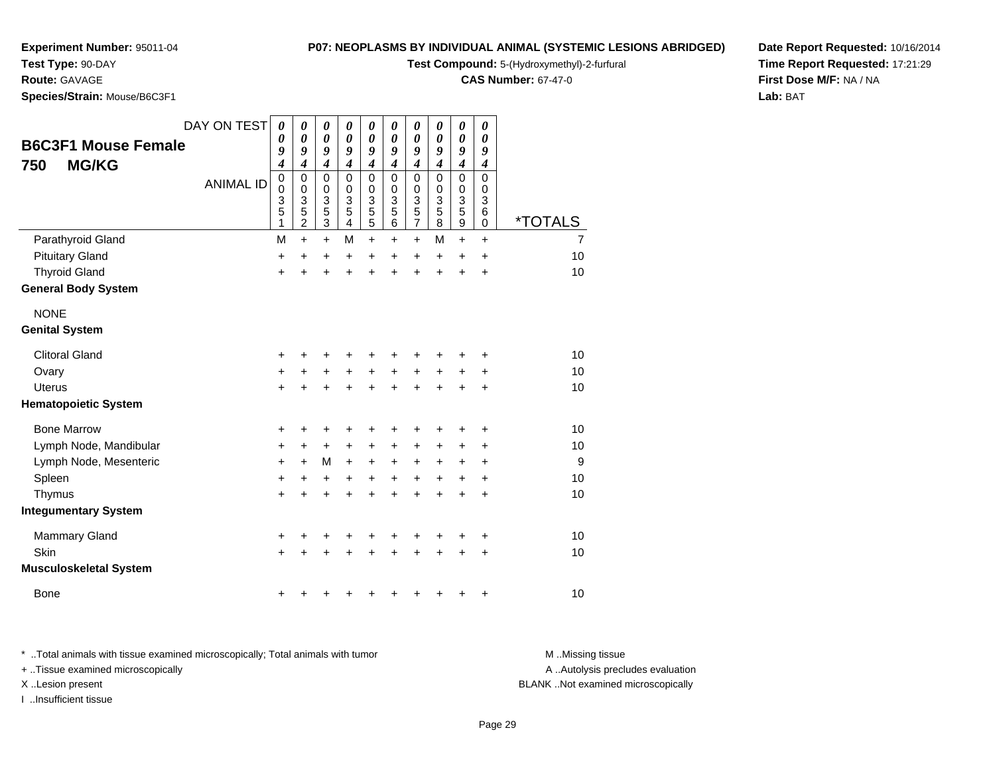# **Test Type:** 90-DAY

**Route:** GAVAGE

**Species/Strain:** Mouse/B6C3F1

## **P07: NEOPLASMS BY INDIVIDUAL ANIMAL (SYSTEMIC LESIONS ABRIDGED)**

**Test Compound:** 5-(Hydroxymethyl)-2-furfural

**CAS Number:** 67-47-0

**Date Report Requested:** 10/16/2014**Time Report Requested:** 17:21:29**First Dose M/F:** NA / NA**Lab:** BAT

| <b>B6C3F1 Mouse Female</b><br><b>MG/KG</b><br>750 | DAY ON TEST<br><b>ANIMAL ID</b> | $\boldsymbol{\theta}$<br>0<br>9<br>4<br>$\pmb{0}$<br>$\pmb{0}$<br>3<br>$\overline{5}$<br>1 | 0<br>0<br>9<br>$\boldsymbol{4}$<br>$\mathbf 0$<br>$\mathbf 0$<br>3<br>$\overline{5}$<br>$\overline{2}$ | 0<br>$\boldsymbol{\theta}$<br>9<br>$\boldsymbol{4}$<br>$\mathbf 0$<br>$\pmb{0}$<br>$\frac{3}{5}$<br>$\overline{3}$ | 0<br>0<br>9<br>$\boldsymbol{4}$<br>$\mathbf 0$<br>0<br>3<br>5<br>4 | $\boldsymbol{\theta}$<br>$\boldsymbol{\theta}$<br>9<br>$\boldsymbol{4}$<br>$\mathbf 0$<br>$\pmb{0}$<br>$\frac{3}{5}$<br>$\overline{5}$ | 0<br>0<br>9<br>$\boldsymbol{4}$<br>$\Omega$<br>$\mathbf 0$<br>3<br>5<br>6 | $\boldsymbol{\theta}$<br>$\boldsymbol{\theta}$<br>9<br>$\boldsymbol{4}$<br>$\mathbf 0$<br>$\pmb{0}$<br>$\frac{3}{5}$<br>$\overline{7}$ | 0<br>0<br>9<br>$\boldsymbol{4}$<br>$\Omega$<br>0<br>3<br>5<br>8 | $\boldsymbol{\theta}$<br>$\boldsymbol{\theta}$<br>9<br>$\boldsymbol{4}$<br>$\mathbf 0$<br>$\pmb{0}$<br>$\frac{3}{5}$<br>$\overline{9}$ | 0<br>0<br>9<br>$\boldsymbol{4}$<br>$\Omega$<br>0<br>3<br>$\,6$<br>0 | <i><b>*TOTALS</b></i> |
|---------------------------------------------------|---------------------------------|--------------------------------------------------------------------------------------------|--------------------------------------------------------------------------------------------------------|--------------------------------------------------------------------------------------------------------------------|--------------------------------------------------------------------|----------------------------------------------------------------------------------------------------------------------------------------|---------------------------------------------------------------------------|----------------------------------------------------------------------------------------------------------------------------------------|-----------------------------------------------------------------|----------------------------------------------------------------------------------------------------------------------------------------|---------------------------------------------------------------------|-----------------------|
| Parathyroid Gland                                 |                                 | M                                                                                          | $\ddot{}$                                                                                              | $+$                                                                                                                | M                                                                  | $\ddot{}$                                                                                                                              | +                                                                         | $\ddot{}$                                                                                                                              | M                                                               | $\ddot{}$                                                                                                                              | $\ddot{}$                                                           | 7                     |
| <b>Pituitary Gland</b>                            |                                 | +                                                                                          | +                                                                                                      | +                                                                                                                  | +                                                                  | $\ddot{}$                                                                                                                              | $\ddot{}$                                                                 | $\ddot{}$                                                                                                                              | $\ddot{}$                                                       | $\ddot{}$                                                                                                                              | $\ddot{}$                                                           | 10                    |
| <b>Thyroid Gland</b>                              |                                 | $\ddot{}$                                                                                  |                                                                                                        | $\ddot{}$                                                                                                          | $\ddot{}$                                                          | $\ddot{}$                                                                                                                              | $\ddot{}$                                                                 | $\ddot{}$                                                                                                                              | $\ddot{}$                                                       | $\ddot{}$                                                                                                                              | $\ddot{}$                                                           | 10                    |
| <b>General Body System</b>                        |                                 |                                                                                            |                                                                                                        |                                                                                                                    |                                                                    |                                                                                                                                        |                                                                           |                                                                                                                                        |                                                                 |                                                                                                                                        |                                                                     |                       |
| <b>NONE</b>                                       |                                 |                                                                                            |                                                                                                        |                                                                                                                    |                                                                    |                                                                                                                                        |                                                                           |                                                                                                                                        |                                                                 |                                                                                                                                        |                                                                     |                       |
| <b>Genital System</b>                             |                                 |                                                                                            |                                                                                                        |                                                                                                                    |                                                                    |                                                                                                                                        |                                                                           |                                                                                                                                        |                                                                 |                                                                                                                                        |                                                                     |                       |
| <b>Clitoral Gland</b>                             |                                 | +                                                                                          |                                                                                                        |                                                                                                                    |                                                                    |                                                                                                                                        |                                                                           |                                                                                                                                        |                                                                 |                                                                                                                                        | +                                                                   | 10                    |
| Ovary                                             |                                 | $\ddot{}$                                                                                  | +                                                                                                      | $\ddot{}$                                                                                                          | $\ddot{}$                                                          | +                                                                                                                                      | $\ddot{}$                                                                 | +                                                                                                                                      | +                                                               | +                                                                                                                                      | ٠                                                                   | 10                    |
| <b>Uterus</b>                                     |                                 | $+$                                                                                        |                                                                                                        | $\ddot{}$                                                                                                          | ÷.                                                                 | $\ddot{}$                                                                                                                              | $\ddot{}$                                                                 | $\ddot{}$                                                                                                                              | ÷                                                               | +                                                                                                                                      | $\ddot{}$                                                           | 10                    |
| <b>Hematopoietic System</b>                       |                                 |                                                                                            |                                                                                                        |                                                                                                                    |                                                                    |                                                                                                                                        |                                                                           |                                                                                                                                        |                                                                 |                                                                                                                                        |                                                                     |                       |
| <b>Bone Marrow</b>                                |                                 | +                                                                                          | +                                                                                                      | +                                                                                                                  | +                                                                  | +                                                                                                                                      | +                                                                         | +                                                                                                                                      | +                                                               | +                                                                                                                                      | +                                                                   | 10                    |
| Lymph Node, Mandibular                            |                                 | $\ddot{}$                                                                                  | +                                                                                                      | $+$                                                                                                                | $\ddot{}$                                                          | $\ddot{}$                                                                                                                              | $\ddot{}$                                                                 | $\ddot{}$                                                                                                                              | $\ddot{}$                                                       | $\pm$                                                                                                                                  | +                                                                   | 10                    |
| Lymph Node, Mesenteric                            |                                 | $\ddot{}$                                                                                  | $\ddot{}$                                                                                              | M                                                                                                                  | $\ddot{}$                                                          | $\ddot{}$                                                                                                                              | +                                                                         | +                                                                                                                                      | +                                                               | +                                                                                                                                      | +                                                                   | 9                     |
| Spleen                                            |                                 | +                                                                                          | +                                                                                                      | +                                                                                                                  | +                                                                  | +                                                                                                                                      | +                                                                         | +                                                                                                                                      | $\ddot{}$                                                       | +                                                                                                                                      | $\ddot{}$                                                           | 10                    |
| Thymus                                            |                                 | $\pm$                                                                                      |                                                                                                        | +                                                                                                                  | +                                                                  | $\ddot{}$                                                                                                                              | $\ddot{}$                                                                 | $\ddot{}$                                                                                                                              | $\ddot{}$                                                       | +                                                                                                                                      | $\ddot{}$                                                           | 10                    |
| <b>Integumentary System</b>                       |                                 |                                                                                            |                                                                                                        |                                                                                                                    |                                                                    |                                                                                                                                        |                                                                           |                                                                                                                                        |                                                                 |                                                                                                                                        |                                                                     |                       |
| Mammary Gland                                     |                                 | +                                                                                          |                                                                                                        | +                                                                                                                  | +                                                                  | +                                                                                                                                      | +                                                                         | +                                                                                                                                      | +                                                               | +                                                                                                                                      | +                                                                   | 10                    |
| Skin                                              |                                 | $\ddot{}$                                                                                  |                                                                                                        |                                                                                                                    |                                                                    |                                                                                                                                        |                                                                           | +                                                                                                                                      |                                                                 | +                                                                                                                                      | $\ddot{}$                                                           | 10                    |
| <b>Musculoskeletal System</b>                     |                                 |                                                                                            |                                                                                                        |                                                                                                                    |                                                                    |                                                                                                                                        |                                                                           |                                                                                                                                        |                                                                 |                                                                                                                                        |                                                                     |                       |
| <b>Bone</b>                                       |                                 | +                                                                                          |                                                                                                        |                                                                                                                    |                                                                    |                                                                                                                                        | ٠                                                                         | +                                                                                                                                      | +                                                               | +                                                                                                                                      | +                                                                   | 10                    |

\* ..Total animals with tissue examined microscopically; Total animals with tumor **M** . Missing tissue M ..Missing tissue + ..Tissue examined microscopically X ..Lesion present BLANK ..Not examined microscopically

I ..Insufficient tissue

A ..Autolysis precludes evaluation